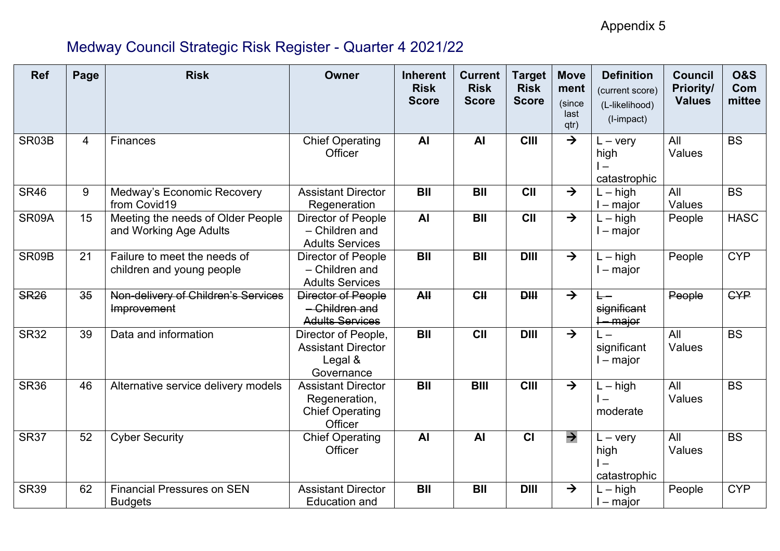Appendix 5

# Medway Council Strategic Risk Register - Quarter 4 2021/22

| <b>Ref</b>  | Page | <b>Risk</b>                                                 | Owner                                                                           | <b>Inherent</b><br><b>Risk</b><br><b>Score</b> | <b>Current</b><br><b>Risk</b><br><b>Score</b> | Target<br><b>Risk</b><br><b>Score</b> | <b>Move</b><br>ment<br>(since<br>last<br>qtr) | <b>Definition</b><br>(current score)<br>(L-likelihood)<br>(I-impact)  | <b>Council</b><br><b>Priority/</b><br><b>Values</b> | <b>0&amp;S</b><br>Com<br>mittee |
|-------------|------|-------------------------------------------------------------|---------------------------------------------------------------------------------|------------------------------------------------|-----------------------------------------------|---------------------------------------|-----------------------------------------------|-----------------------------------------------------------------------|-----------------------------------------------------|---------------------------------|
| SR03B       | 4    | Finances                                                    | <b>Chief Operating</b><br>Officer                                               | <b>AI</b>                                      | <b>AI</b>                                     | <b>CIII</b>                           | $\rightarrow$                                 | $L - \text{very}$<br>high<br>$\overline{\phantom{a}}$<br>catastrophic | All<br>Values                                       | <b>BS</b>                       |
| <b>SR46</b> | 9    | Medway's Economic Recovery<br>from Covid19                  | <b>Assistant Director</b><br>Regeneration                                       | <b>BII</b>                                     | <b>BII</b>                                    | <b>CII</b>                            | $\rightarrow$                                 | $L - high$<br>l – major                                               | All<br>Values                                       | <b>BS</b>                       |
| SR09A       | 15   | Meeting the needs of Older People<br>and Working Age Adults | Director of People<br>- Children and<br><b>Adults Services</b>                  | <b>AI</b>                                      | <b>BII</b>                                    | <b>CII</b>                            | $\rightarrow$                                 | $-$ high<br>l – major                                                 | People                                              | <b>HASC</b>                     |
| SR09B       | 21   | Failure to meet the needs of<br>children and young people   | <b>Director of People</b><br>- Children and<br><b>Adults Services</b>           | <b>BII</b>                                     | <b>BII</b>                                    | <b>DIII</b>                           | $\rightarrow$                                 | $L - h$ igh<br>l – major                                              | People                                              | <b>CYP</b>                      |
| <b>SR26</b> | 35   | Non-delivery of Children's Services<br>Improvement          | Director of People<br>- Children and<br><b>Adults Services</b>                  | AH                                             | CH                                            | PH                                    | $\rightarrow$                                 | significant<br><del>l – major</del>                                   | People                                              | <b>GYP</b>                      |
| <b>SR32</b> | 39   | Data and information                                        | Director of People,<br><b>Assistant Director</b><br>Legal &<br>Governance       | <b>BII</b>                                     | <b>CII</b>                                    | <b>DIII</b>                           | $\rightarrow$                                 | significant<br>$-$ major                                              | All<br>Values                                       | $\overline{\mathsf{BS}}$        |
| <b>SR36</b> | 46   | Alternative service delivery models                         | <b>Assistant Director</b><br>Regeneration,<br><b>Chief Operating</b><br>Officer | <b>BII</b>                                     | <b>BIII</b>                                   | <b>CIII</b>                           | $\rightarrow$                                 | $L - h$ igh<br>moderate                                               | All<br>Values                                       | <b>BS</b>                       |
| <b>SR37</b> | 52   | <b>Cyber Security</b>                                       | <b>Chief Operating</b><br>Officer                                               | <b>AI</b>                                      | <b>AI</b>                                     | $\overline{c}$                        | $\rightarrow$                                 | $L - \text{very}$<br>high<br>$\overline{\phantom{0}}$<br>catastrophic | All<br>Values                                       | $\overline{\mathsf{BS}}$        |
| <b>SR39</b> | 62   | <b>Financial Pressures on SEN</b><br><b>Budgets</b>         | <b>Assistant Director</b><br><b>Education and</b>                               | <b>BII</b>                                     | <b>BII</b>                                    | <b>DIII</b>                           | $\rightarrow$                                 | $L - h$ igh<br>l – major                                              | People                                              | <b>CYP</b>                      |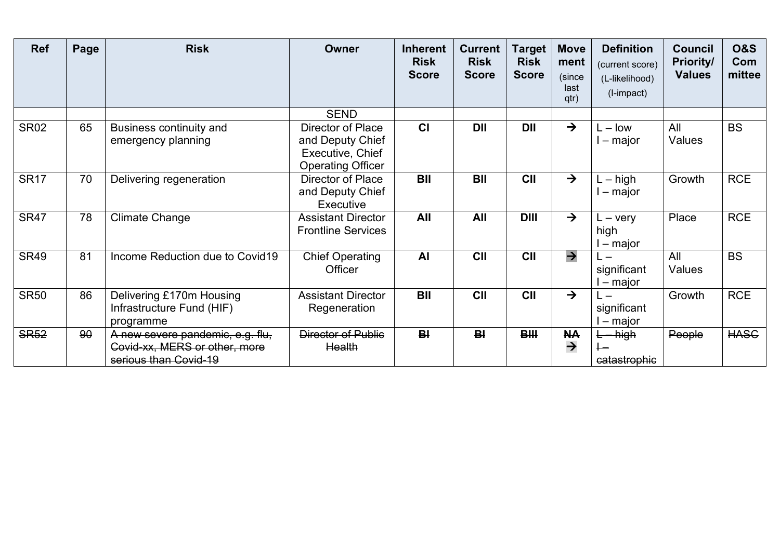| <b>Ref</b>  | Page | <b>Risk</b>                                                                                | <b>Owner</b>                                                                                 | <b>Inherent</b><br><b>Risk</b><br><b>Score</b> | <b>Current</b><br><b>Risk</b><br><b>Score</b> | <b>Target</b><br><b>Risk</b><br><b>Score</b> | <b>Move</b><br>ment<br>(since<br>last<br>qtr) | <b>Definition</b><br>(current score)<br>(L-likelihood)<br>(I-impact) | <b>Council</b><br><b>Priority/</b><br><b>Values</b> | <b>O&amp;S</b><br>Com<br>mittee |
|-------------|------|--------------------------------------------------------------------------------------------|----------------------------------------------------------------------------------------------|------------------------------------------------|-----------------------------------------------|----------------------------------------------|-----------------------------------------------|----------------------------------------------------------------------|-----------------------------------------------------|---------------------------------|
|             |      |                                                                                            | <b>SEND</b>                                                                                  |                                                |                                               |                                              |                                               |                                                                      |                                                     |                                 |
| <b>SR02</b> | 65   | <b>Business continuity and</b><br>emergency planning                                       | <b>Director of Place</b><br>and Deputy Chief<br>Executive, Chief<br><b>Operating Officer</b> | C <sub>1</sub>                                 | <b>DII</b>                                    | <b>DII</b>                                   | $\rightarrow$                                 | $L - low$<br>$-$ major                                               | All<br>Values                                       | <b>BS</b>                       |
| <b>SR17</b> | 70   | Delivering regeneration                                                                    | Director of Place<br>and Deputy Chief<br>Executive                                           | <b>BII</b>                                     | <b>BII</b>                                    | CII                                          | $\rightarrow$                                 | $L - h$ igh<br>l – major                                             | Growth                                              | <b>RCE</b>                      |
| <b>SR47</b> | 78   | <b>Climate Change</b>                                                                      | <b>Assistant Director</b><br><b>Frontline Services</b>                                       | All                                            | All                                           | <b>DIII</b>                                  | $\rightarrow$                                 | $L - \text{very}$<br>high<br>l – major                               | Place                                               | <b>RCE</b>                      |
| <b>SR49</b> | 81   | Income Reduction due to Covid19                                                            | <b>Chief Operating</b><br>Officer                                                            | <b>Al</b>                                      | <b>CII</b>                                    | CII                                          | $\rightarrow$                                 | $\mathsf{I}$ $-$<br>significant<br>– major                           | All<br>Values                                       | <b>BS</b>                       |
| <b>SR50</b> | 86   | Delivering £170m Housing<br>Infrastructure Fund (HIF)<br>programme                         | <b>Assistant Director</b><br>Regeneration                                                    | <b>BII</b>                                     | CII                                           | CII                                          | $\rightarrow$                                 | $\Box$<br>significant<br>– major                                     | Growth                                              | <b>RCE</b>                      |
| <b>SR52</b> | 90   | A new severe pandemic, e.g. flu,<br>Covid-xx, MERS or other, more<br>serious than Covid-19 | <b>Director of Public</b><br>Health                                                          | B <sub>1</sub>                                 | B <sub>1</sub>                                | <b>BIII</b>                                  | <b>NA</b><br>$\rightarrow$                    | <del>L high</del><br>catastrophic                                    | People                                              | <b>HASC</b>                     |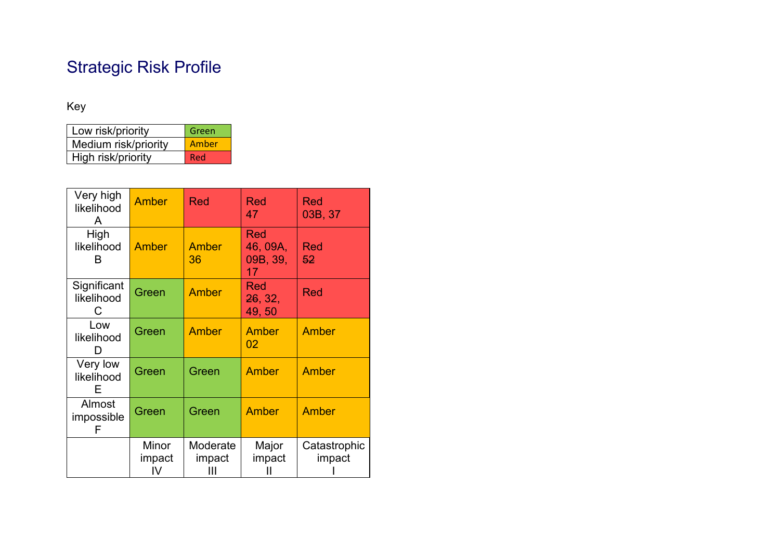# Strategic Risk Profile

# Key

| Low risk/priority    | Green |
|----------------------|-------|
| Medium risk/priority | Amber |
| High risk/priority   | Red   |

| Very high<br>likelihood<br>A   | Amber                 | <b>Red</b>              | <b>Red</b><br>47                         | <b>Red</b><br>03B, 37  |
|--------------------------------|-----------------------|-------------------------|------------------------------------------|------------------------|
| High<br>likelihood<br>в        | Amber                 | Amber<br>36             | <b>Red</b><br>46, 09A,<br>09B, 39,<br>17 | <b>Red</b><br>52       |
| Significant<br>likelihood<br>C | Green                 | <b>Amber</b>            | <b>Red</b><br>26, 32,<br>49,50           | <b>Red</b>             |
| Low<br>likelihood<br>D         | Green                 | <b>Amber</b>            | Amber<br>02                              | <b>Amber</b>           |
| Very low<br>likelihood<br>Е    | Green                 | Green                   | Amber                                    | Amber                  |
| Almost<br>impossible<br>F      | Green                 | Green                   | Amber                                    | Amber                  |
|                                | Minor<br>impact<br>IV | Moderate<br>impact<br>Ш | Major<br>impact                          | Catastrophic<br>impact |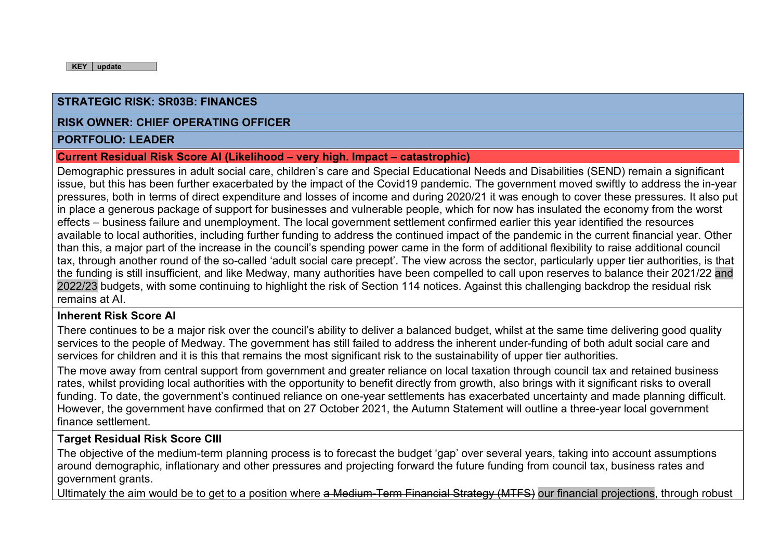#### **RISK OWNER: CHIEF OPERATING OFFICER**

#### **PORTFOLIO: LEADER**

#### **Current Residual Risk Score AI (Likelihood – very high. Impact – catastrophic)**

Demographic pressures in adult social care, children's care and Special Educational Needs and Disabilities (SEND) remain a significant issue, but this has been further exacerbated by the impact of the Covid19 pandemic. The government moved swiftly to address the in-year pressures, both in terms of direct expenditure and losses of income and during 2020/21 it was enough to cover these pressures. It also put in place a generous package of support for businesses and vulnerable people, which for now has insulated the economy from the worst effects – business failure and unemployment. The local government settlement confirmed earlier this year identified the resources available to local authorities, including further funding to address the continued impact of the pandemic in the current financial year. Other than this, a major part of the increase in the council's spending power came in the form of additional flexibility to raise additional council tax, through another round of the so-called 'adult social care precept'. The view across the sector, particularly upper tier authorities, is that the funding is still insufficient, and like Medway, many authorities have been compelled to call upon reserves to balance their 2021/22 and 2022/23 budgets, with some continuing to highlight the risk of Section 114 notices. Against this challenging backdrop the residual risk remains at AI.

#### **Inherent Risk Score AI**

There continues to be a major risk over the council's ability to deliver a balanced budget, whilst at the same time delivering good quality services to the people of Medway. The government has still failed to address the inherent under-funding of both adult social care and services for children and it is this that remains the most significant risk to the sustainability of upper tier authorities.

The move away from central support from government and greater reliance on local taxation through council tax and retained business rates, whilst providing local authorities with the opportunity to benefit directly from growth, also brings with it significant risks to overall funding. To date, the government's continued reliance on one-year settlements has exacerbated uncertainty and made planning difficult. However, the government have confirmed that on 27 October 2021, the Autumn Statement will outline a three-year local government finance settlement.

#### **Target Residual Risk Score CIII**

The objective of the medium-term planning process is to forecast the budget 'gap' over several years, taking into account assumptions around demographic, inflationary and other pressures and projecting forward the future funding from council tax, business rates and government grants.

Ultimately the aim would be to get to a position where a Medium-Term Financial Strategy (MTFS) our financial projections, through robust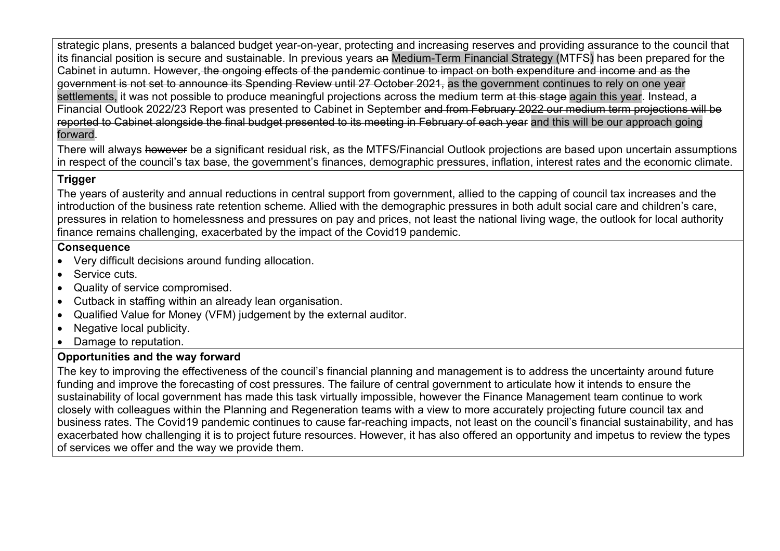strategic plans, presents a balanced budget year-on-year, protecting and increasing reserves and providing assurance to the council that its financial position is secure and sustainable. In previous years an Medium-Term Financial Strategy (MTFS) has been prepared for the Cabinet in autumn. However, the ongoing effects of the pandemic continue to impact on both expenditure and income and as the government is not set to announce its Spending Review until 27 October 2021, as the government continues to rely on one year settlements, it was not possible to produce meaningful projections across the medium term at this stage again this year. Instead, a Financial Outlook 2022/23 Report was presented to Cabinet in September and from February 2022 our medium term projections will be reported to Cabinet alongside the final budget presented to its meeting in February of each year and this will be our approach going forward.

There will always however be a significant residual risk, as the MTFS/Financial Outlook projections are based upon uncertain assumptions in respect of the council's tax base, the government's finances, demographic pressures, inflation, interest rates and the economic climate.

# **Trigger**

The years of austerity and annual reductions in central support from government, allied to the capping of council tax increases and the introduction of the business rate retention scheme. Allied with the demographic pressures in both adult social care and children's care, pressures in relation to homelessness and pressures on pay and prices, not least the national living wage, the outlook for local authority finance remains challenging, exacerbated by the impact of the Covid19 pandemic.

### **Consequence**

- Very difficult decisions around funding allocation.
- Service cuts.
- Quality of service compromised.
- Cutback in staffing within an already lean organisation.
- Qualified Value for Money (VFM) judgement by the external auditor.
- Negative local publicity.
- Damage to reputation.

# **Opportunities and the way forward**

The key to improving the effectiveness of the council's financial planning and management is to address the uncertainty around future funding and improve the forecasting of cost pressures. The failure of central government to articulate how it intends to ensure the sustainability of local government has made this task virtually impossible, however the Finance Management team continue to work closely with colleagues within the Planning and Regeneration teams with a view to more accurately projecting future council tax and business rates. The Covid19 pandemic continues to cause far-reaching impacts, not least on the council's financial sustainability, and has exacerbated how challenging it is to project future resources. However, it has also offered an opportunity and impetus to review the types of services we offer and the way we provide them.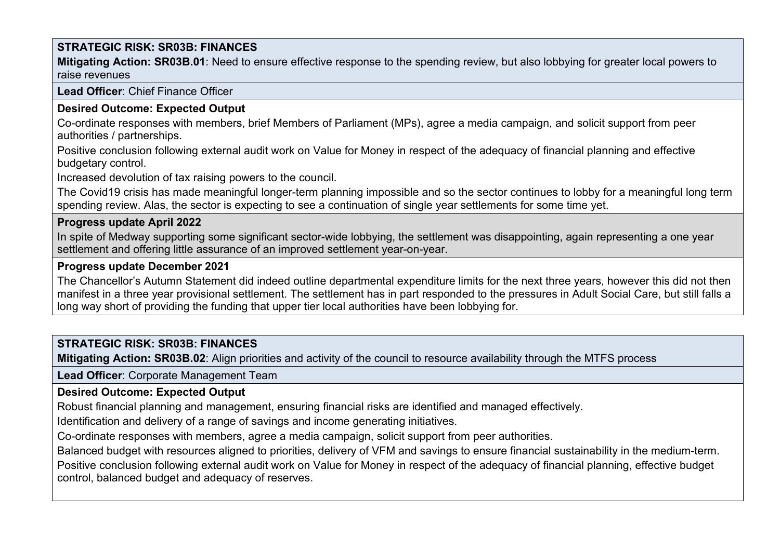**Mitigating Action: SR03B.01**: Need to ensure effective response to the spending review, but also lobbying for greater local powers to raise revenues

#### **Lead Officer**: Chief Finance Officer

# **Desired Outcome: Expected Output**

Co-ordinate responses with members, brief Members of Parliament (MPs), agree a media campaign, and solicit support from peer authorities / partnerships.

Positive conclusion following external audit work on Value for Money in respect of the adequacy of financial planning and effective budgetary control.

Increased devolution of tax raising powers to the council.

The Covid19 crisis has made meaningful longer-term planning impossible and so the sector continues to lobby for a meaningful long term spending review. Alas, the sector is expecting to see a continuation of single year settlements for some time yet.

#### **Progress update April 2022**

In spite of Medway supporting some significant sector-wide lobbying, the settlement was disappointing, again representing a one year settlement and offering little assurance of an improved settlement year-on-year.

#### **Progress update December 2021**

The Chancellor's Autumn Statement did indeed outline departmental expenditure limits for the next three years, however this did not then manifest in a three year provisional settlement. The settlement has in part responded to the pressures in Adult Social Care, but still falls a long way short of providing the funding that upper tier local authorities have been lobbying for.

# **STRATEGIC RISK: SR03B: FINANCES**

**Mitigating Action: SR03B.02**: Align priorities and activity of the council to resource availability through the MTFS process

**Lead Officer**: Corporate Management Team

# **Desired Outcome: Expected Output**

Robust financial planning and management, ensuring financial risks are identified and managed effectively.

Identification and delivery of a range of savings and income generating initiatives.

Co-ordinate responses with members, agree a media campaign, solicit support from peer authorities.

Balanced budget with resources aligned to priorities, delivery of VFM and savings to ensure financial sustainability in the medium-term.

Positive conclusion following external audit work on Value for Money in respect of the adequacy of financial planning, effective budget control, balanced budget and adequacy of reserves.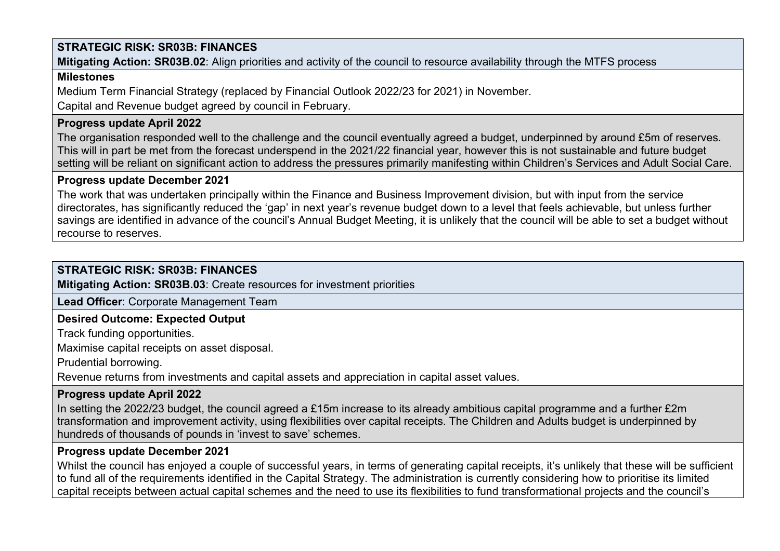**Mitigating Action: SR03B.02**: Align priorities and activity of the council to resource availability through the MTFS process

### **Milestones**

Medium Term Financial Strategy (replaced by Financial Outlook 2022/23 for 2021) in November.

Capital and Revenue budget agreed by council in February.

# **Progress update April 2022**

The organisation responded well to the challenge and the council eventually agreed a budget, underpinned by around £5m of reserves. This will in part be met from the forecast underspend in the 2021/22 financial year, however this is not sustainable and future budget setting will be reliant on significant action to address the pressures primarily manifesting within Children's Services and Adult Social Care.

# **Progress update December 2021**

The work that was undertaken principally within the Finance and Business Improvement division, but with input from the service directorates, has significantly reduced the 'gap' in next year's revenue budget down to a level that feels achievable, but unless further savings are identified in advance of the council's Annual Budget Meeting, it is unlikely that the council will be able to set a budget without recourse to reserves.

# **STRATEGIC RISK: SR03B: FINANCES**

**Mitigating Action: SR03B.03**: Create resources for investment priorities

**Lead Officer**: Corporate Management Team

# **Desired Outcome: Expected Output**

Track funding opportunities.

Maximise capital receipts on asset disposal.

Prudential borrowing.

Revenue returns from investments and capital assets and appreciation in capital asset values.

# **Progress update April 2022**

In setting the 2022/23 budget, the council agreed a £15m increase to its already ambitious capital programme and a further £2m transformation and improvement activity, using flexibilities over capital receipts. The Children and Adults budget is underpinned by hundreds of thousands of pounds in 'invest to save' schemes.

# **Progress update December 2021**

Whilst the council has enjoyed a couple of successful years, in terms of generating capital receipts, it's unlikely that these will be sufficient to fund all of the requirements identified in the Capital Strategy. The administration is currently considering how to prioritise its limited capital receipts between actual capital schemes and the need to use its flexibilities to fund transformational projects and the council's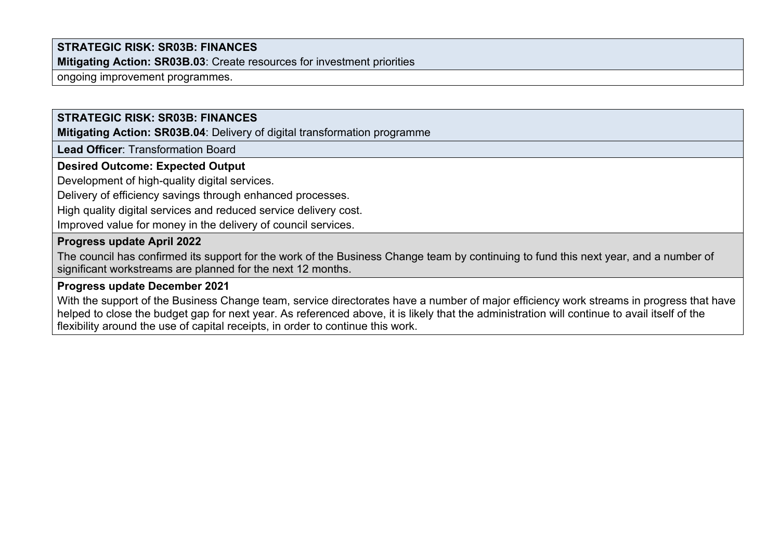**Mitigating Action: SR03B.03**: Create resources for investment priorities

ongoing improvement programmes.

# **STRATEGIC RISK: SR03B: FINANCES**

**Mitigating Action: SR03B.04**: Delivery of digital transformation programme

**Lead Officer**: Transformation Board

#### **Desired Outcome: Expected Output**

Development of high-quality digital services.

Delivery of efficiency savings through enhanced processes.

High quality digital services and reduced service delivery cost.

Improved value for money in the delivery of council services.

#### **Progress update April 2022**

The council has confirmed its support for the work of the Business Change team by continuing to fund this next year, and a number of significant workstreams are planned for the next 12 months.

#### **Progress update December 2021**

With the support of the Business Change team, service directorates have a number of major efficiency work streams in progress that have helped to close the budget gap for next year. As referenced above, it is likely that the administration will continue to avail itself of the flexibility around the use of capital receipts, in order to continue this work.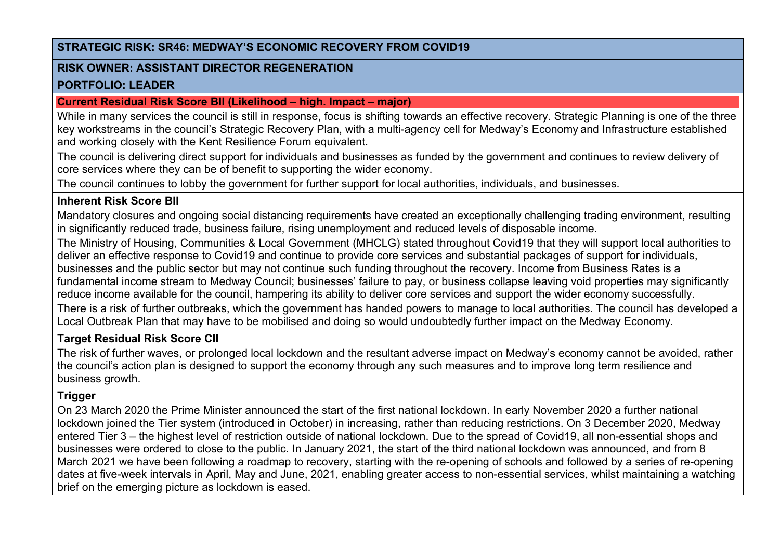#### **RISK OWNER: ASSISTANT DIRECTOR REGENERATION**

#### **PORTFOLIO: LEADER**

#### **Current Residual Risk Score BII (Likelihood – high. Impact – major)**

While in many services the council is still in response, focus is shifting towards an effective recovery. Strategic Planning is one of the three key workstreams in the council's Strategic Recovery Plan, with a multi-agency cell for Medway's Economy and Infrastructure established and working closely with the Kent Resilience Forum equivalent.

The council is delivering direct support for individuals and businesses as funded by the government and continues to review delivery of core services where they can be of benefit to supporting the wider economy.

The council continues to lobby the government for further support for local authorities, individuals, and businesses.

# **Inherent Risk Score BII**

Mandatory closures and ongoing social distancing requirements have created an exceptionally challenging trading environment, resulting in significantly reduced trade, business failure, rising unemployment and reduced levels of disposable income.

The Ministry of Housing, Communities & Local Government (MHCLG) stated throughout Covid19 that they will support local authorities to deliver an effective response to Covid19 and continue to provide core services and substantial packages of support for individuals, businesses and the public sector but may not continue such funding throughout the recovery. Income from Business Rates is a fundamental income stream to Medway Council; businesses' failure to pay, or business collapse leaving void properties may significantly reduce income available for the council, hampering its ability to deliver core services and support the wider economy successfully.

There is a risk of further outbreaks, which the government has handed powers to manage to local authorities. The council has developed a Local Outbreak Plan that may have to be mobilised and doing so would undoubtedly further impact on the Medway Economy.

# **Target Residual Risk Score CII**

The risk of further waves, or prolonged local lockdown and the resultant adverse impact on Medway's economy cannot be avoided, rather the council's action plan is designed to support the economy through any such measures and to improve long term resilience and business growth.

# **Trigger**

On 23 March 2020 the Prime Minister announced the start of the first national lockdown. In early November 2020 a further national lockdown joined the Tier system (introduced in October) in increasing, rather than reducing restrictions. On 3 December 2020, Medway entered Tier 3 – the highest level of restriction outside of national lockdown. Due to the spread of Covid19, all non-essential shops and businesses were ordered to close to the public. In January 2021, the start of the third national lockdown was announced, and from 8 March 2021 we have been following a roadmap to recovery, starting with the re-opening of schools and followed by a series of re-opening dates at five-week intervals in April, May and June, 2021, enabling greater access to non-essential services, whilst maintaining a watching brief on the emerging picture as lockdown is eased.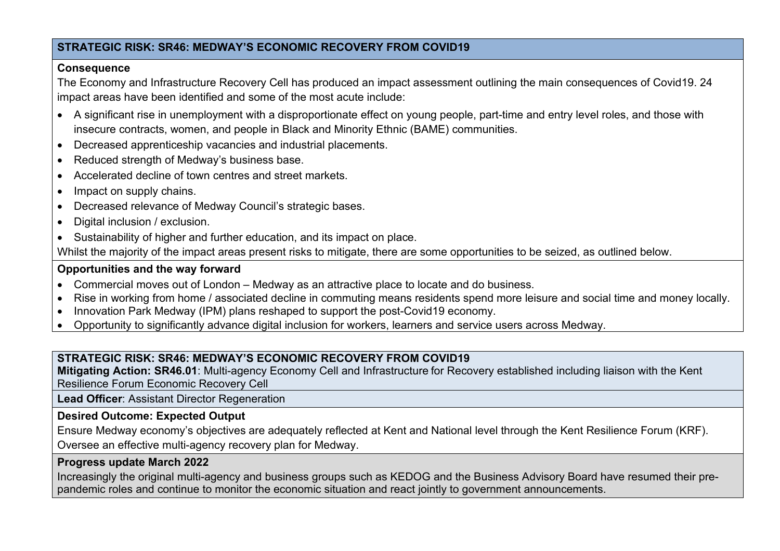#### **Consequence**

The Economy and Infrastructure Recovery Cell has produced an impact assessment outlining the main consequences of Covid19. 24 impact areas have been identified and some of the most acute include:

- A significant rise in unemployment with a disproportionate effect on young people, part-time and entry level roles, and those with insecure contracts, women, and people in Black and Minority Ethnic (BAME) communities.
- Decreased apprenticeship vacancies and industrial placements.
- Reduced strength of Medway's business base.
- Accelerated decline of town centres and street markets.
- Impact on supply chains.
- Decreased relevance of Medway Council's strategic bases.
- Digital inclusion / exclusion.
- Sustainability of higher and further education, and its impact on place.

Whilst the majority of the impact areas present risks to mitigate, there are some opportunities to be seized, as outlined below.

# **Opportunities and the way forward**

- Commercial moves out of London Medway as an attractive place to locate and do business.
- Rise in working from home / associated decline in commuting means residents spend more leisure and social time and money locally.
- Innovation Park Medway (IPM) plans reshaped to support the post-Covid19 economy.
- Opportunity to significantly advance digital inclusion for workers, learners and service users across Medway.

# **STRATEGIC RISK: SR46: MEDWAY'S ECONOMIC RECOVERY FROM COVID19**

**Mitigating Action: SR46.01**: Multi-agency Economy Cell and Infrastructure for Recovery established including liaison with the Kent Resilience Forum Economic Recovery Cell

**Lead Officer**: Assistant Director Regeneration

# **Desired Outcome: Expected Output**

Ensure Medway economy's objectives are adequately reflected at Kent and National level through the Kent Resilience Forum (KRF). Oversee an effective multi-agency recovery plan for Medway.

# **Progress update March 2022**

Increasingly the original multi-agency and business groups such as KEDOG and the Business Advisory Board have resumed their prepandemic roles and continue to monitor the economic situation and react jointly to government announcements.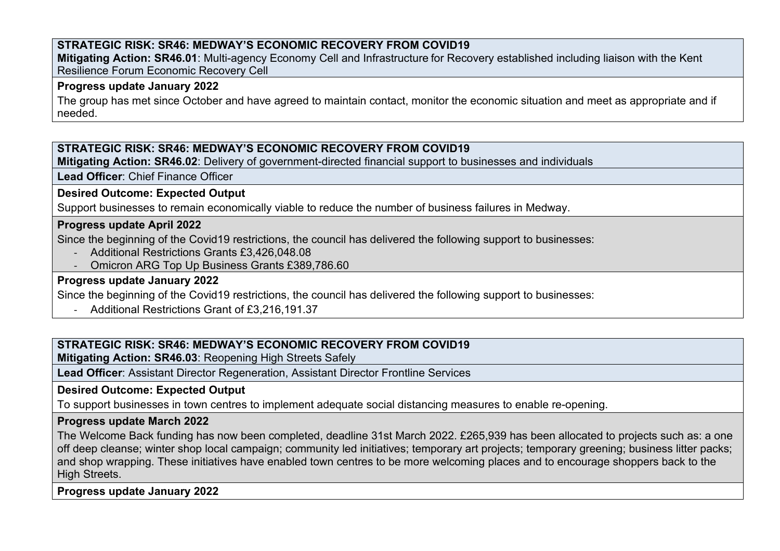**Mitigating Action: SR46.01**: Multi-agency Economy Cell and Infrastructure for Recovery established including liaison with the Kent Resilience Forum Economic Recovery Cell

#### **Progress update January 2022**

The group has met since October and have agreed to maintain contact, monitor the economic situation and meet as appropriate and if needed.

# **STRATEGIC RISK: SR46: MEDWAY'S ECONOMIC RECOVERY FROM COVID19**

**Mitigating Action: SR46.02**: Delivery of government-directed financial support to businesses and individuals

**Lead Officer**: Chief Finance Officer

### **Desired Outcome: Expected Output**

Support businesses to remain economically viable to reduce the number of business failures in Medway.

### **Progress update April 2022**

Since the beginning of the Covid19 restrictions, the council has delivered the following support to businesses:

- Additional Restrictions Grants £3,426,048.08
- Omicron ARG Top Up Business Grants £389,786.60

# **Progress update January 2022**

Since the beginning of the Covid19 restrictions, the council has delivered the following support to businesses:

- Additional Restrictions Grant of £3,216,191.37

# **STRATEGIC RISK: SR46: MEDWAY'S ECONOMIC RECOVERY FROM COVID19**

**Mitigating Action: SR46.03**: Reopening High Streets Safely

**Lead Officer**: Assistant Director Regeneration, Assistant Director Frontline Services

# **Desired Outcome: Expected Output**

To support businesses in town centres to implement adequate social distancing measures to enable re-opening.

# **Progress update March 2022**

The Welcome Back funding has now been completed, deadline 31st March 2022. £265,939 has been allocated to projects such as: a one off deep cleanse; winter shop local campaign; community led initiatives; temporary art projects; temporary greening; business litter packs; and shop wrapping. These initiatives have enabled town centres to be more welcoming places and to encourage shoppers back to the High Streets.

**Progress update January 2022**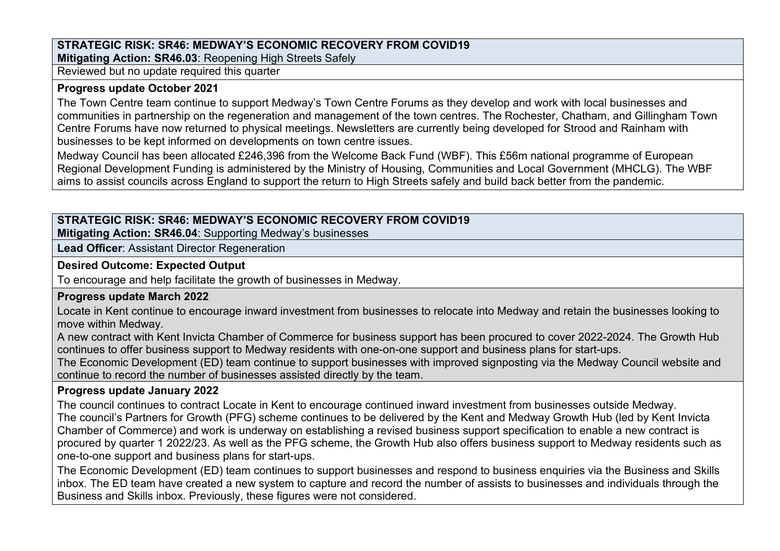**Mitigating Action: SR46.03**: Reopening High Streets Safely

Reviewed but no update required this quarter

# **Progress update October 2021**

The Town Centre team continue to support Medway's Town Centre Forums as they develop and work with local businesses and communities in partnership on the regeneration and management of the town centres. The Rochester, Chatham, and Gillingham Town Centre Forums have now returned to physical meetings. Newsletters are currently being developed for Strood and Rainham with businesses to be kept informed on developments on town centre issues.

Medway Council has been allocated £246,396 from the Welcome Back Fund (WBF). This £56m national programme of European Regional Development Funding is administered by the Ministry of Housing, Communities and Local Government (MHCLG). The WBF aims to assist councils across England to support the return to High Streets safely and build back better from the pandemic.

# **STRATEGIC RISK: SR46: MEDWAY'S ECONOMIC RECOVERY FROM COVID19**

**Mitigating Action: SR46.04**: Supporting Medway's businesses

**Lead Officer**: Assistant Director Regeneration

# **Desired Outcome: Expected Output**

To encourage and help facilitate the growth of businesses in Medway.

# **Progress update March 2022**

Locate in Kent continue to encourage inward investment from businesses to relocate into Medway and retain the businesses looking to move within Medway.

A new contract with Kent Invicta Chamber of Commerce for business support has been procured to cover 2022-2024. The Growth Hub continues to offer business support to Medway residents with one-on-one support and business plans for start-ups.

The Economic Development (ED) team continue to support businesses with improved signposting via the Medway Council website and continue to record the number of businesses assisted directly by the team.

# **Progress update January 2022**

The council continues to contract Locate in Kent to encourage continued inward investment from businesses outside Medway. The council's Partners for Growth (PFG) scheme continues to be delivered by the Kent and Medway Growth Hub (led by Kent Invicta Chamber of Commerce) and work is underway on establishing a revised business support specification to enable a new contract is procured by quarter 1 2022/23. As well as the PFG scheme, the Growth Hub also offers business support to Medway residents such as one-to-one support and business plans for start-ups.

The Economic Development (ED) team continues to support businesses and respond to business enquiries via the Business and Skills inbox. The ED team have created a new system to capture and record the number of assists to businesses and individuals through the Business and Skills inbox. Previously, these figures were not considered.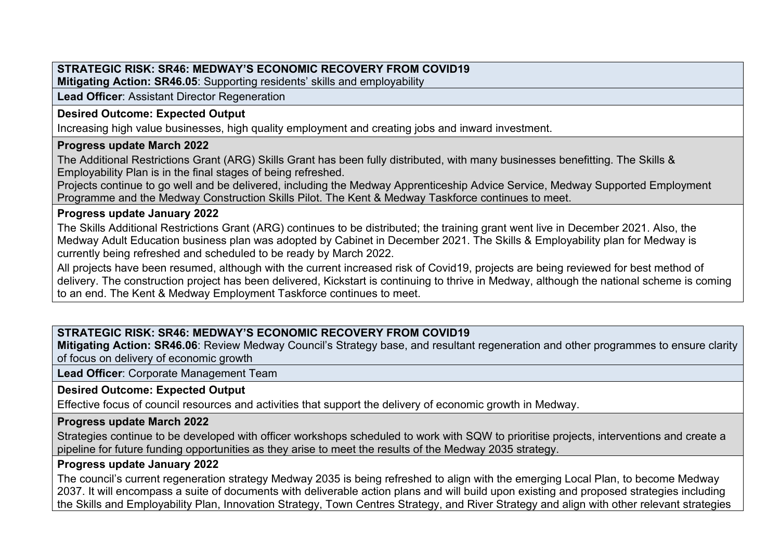**Mitigating Action: SR46.05**: Supporting residents' skills and employability

**Lead Officer**: Assistant Director Regeneration

# **Desired Outcome: Expected Output**

Increasing high value businesses, high quality employment and creating jobs and inward investment.

# **Progress update March 2022**

The Additional Restrictions Grant (ARG) Skills Grant has been fully distributed, with many businesses benefitting. The Skills & Employability Plan is in the final stages of being refreshed.

Projects continue to go well and be delivered, including the Medway Apprenticeship Advice Service, Medway Supported Employment Programme and the Medway Construction Skills Pilot. The Kent & Medway Taskforce continues to meet.

# **Progress update January 2022**

The Skills Additional Restrictions Grant (ARG) continues to be distributed; the training grant went live in December 2021. Also, the Medway Adult Education business plan was adopted by Cabinet in December 2021. The Skills & Employability plan for Medway is currently being refreshed and scheduled to be ready by March 2022.

All projects have been resumed, although with the current increased risk of Covid19, projects are being reviewed for best method of delivery. The construction project has been delivered, Kickstart is continuing to thrive in Medway, although the national scheme is coming to an end. The Kent & Medway Employment Taskforce continues to meet.

# **STRATEGIC RISK: SR46: MEDWAY'S ECONOMIC RECOVERY FROM COVID19**

**Mitigating Action: SR46.06**: Review Medway Council's Strategy base, and resultant regeneration and other programmes to ensure clarity of focus on delivery of economic growth

**Lead Officer**: Corporate Management Team

# **Desired Outcome: Expected Output**

Effective focus of council resources and activities that support the delivery of economic growth in Medway.

# **Progress update March 2022**

Strategies continue to be developed with officer workshops scheduled to work with SQW to prioritise projects, interventions and create a pipeline for future funding opportunities as they arise to meet the results of the Medway 2035 strategy.

#### **Progress update January 2022**

The council's current regeneration strategy Medway 2035 is being refreshed to align with the emerging Local Plan, to become Medway 2037. It will encompass a suite of documents with deliverable action plans and will build upon existing and proposed strategies including the Skills and Employability Plan, Innovation Strategy, Town Centres Strategy, and River Strategy and align with other relevant strategies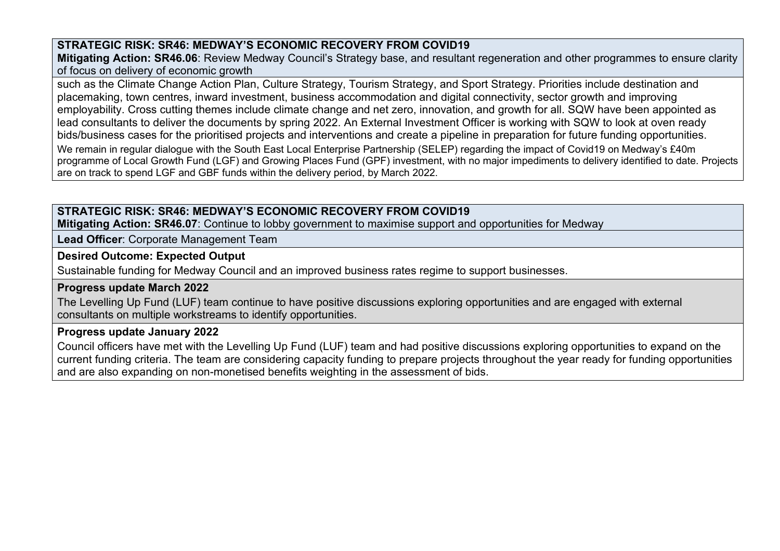**Mitigating Action: SR46.06**: Review Medway Council's Strategy base, and resultant regeneration and other programmes to ensure clarity of focus on delivery of economic growth

such as the Climate Change Action Plan, Culture Strategy, Tourism Strategy, and Sport Strategy. Priorities include destination and placemaking, town centres, inward investment, business accommodation and digital connectivity, sector growth and improving employability. Cross cutting themes include climate change and net zero, innovation, and growth for all. SQW have been appointed as lead consultants to deliver the documents by spring 2022. An External Investment Officer is working with SQW to look at oven ready bids/business cases for the prioritised projects and interventions and create a pipeline in preparation for future funding opportunities. We remain in regular dialogue with the South East Local Enterprise Partnership (SELEP) regarding the impact of Covid19 on Medway's £40m programme of Local Growth Fund (LGF) and Growing Places Fund (GPF) investment, with no major impediments to delivery identified to date. Projects are on track to spend LGF and GBF funds within the delivery period, by March 2022.

# **STRATEGIC RISK: SR46: MEDWAY'S ECONOMIC RECOVERY FROM COVID19**

**Mitigating Action: SR46.07**: Continue to lobby government to maximise support and opportunities for Medway

**Lead Officer**: Corporate Management Team

### **Desired Outcome: Expected Output**

Sustainable funding for Medway Council and an improved business rates regime to support businesses.

#### **Progress update March 2022**

The Levelling Up Fund (LUF) team continue to have positive discussions exploring opportunities and are engaged with external consultants on multiple workstreams to identify opportunities.

# **Progress update January 2022**

Council officers have met with the Levelling Up Fund (LUF) team and had positive discussions exploring opportunities to expand on the current funding criteria. The team are considering capacity funding to prepare projects throughout the year ready for funding opportunities and are also expanding on non-monetised benefits weighting in the assessment of bids.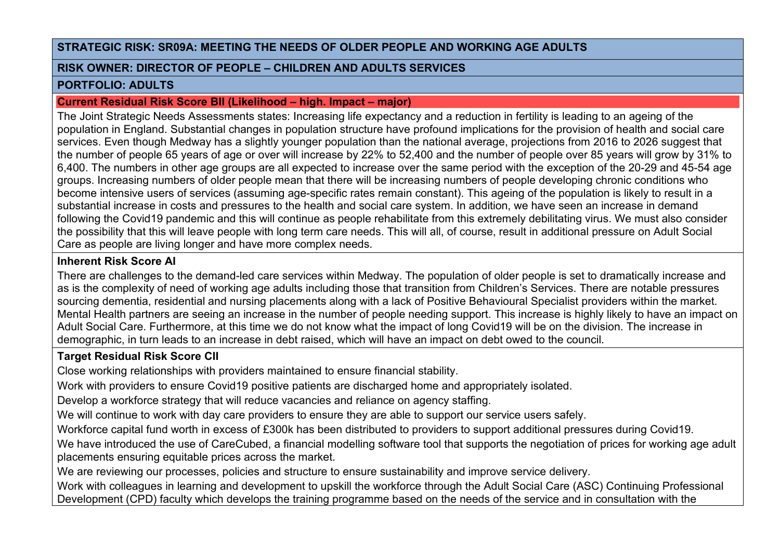#### **RISK OWNER: DIRECTOR OF PEOPLE – CHILDREN AND ADULTS SERVICES**

#### **PORTFOLIO: ADULTS**

#### **Current Residual Risk Score BII (Likelihood – high. Impact – major)**

The Joint Strategic Needs Assessments states: Increasing life expectancy and a reduction in fertility is leading to an ageing of the population in England. Substantial changes in population structure have profound implications for the provision of health and social care services. Even though Medway has a slightly younger population than the national average, projections from 2016 to 2026 suggest that the number of people 65 years of age or over will increase by 22% to 52,400 and the number of people over 85 years will grow by 31% to 6,400. The numbers in other age groups are all expected to increase over the same period with the exception of the 20-29 and 45-54 age groups. Increasing numbers of older people mean that there will be increasing numbers of people developing chronic conditions who become intensive users of services (assuming age-specific rates remain constant). This ageing of the population is likely to result in a substantial increase in costs and pressures to the health and social care system. In addition, we have seen an increase in demand following the Covid19 pandemic and this will continue as people rehabilitate from this extremely debilitating virus. We must also consider the possibility that this will leave people with long term care needs. This will all, of course, result in additional pressure on Adult Social Care as people are living longer and have more complex needs.

# **Inherent Risk Score AI**

There are challenges to the demand-led care services within Medway. The population of older people is set to dramatically increase and as is the complexity of need of working age adults including those that transition from Children's Services. There are notable pressures sourcing dementia, residential and nursing placements along with a lack of Positive Behavioural Specialist providers within the market. Mental Health partners are seeing an increase in the number of people needing support. This increase is highly likely to have an impact on Adult Social Care. Furthermore, at this time we do not know what the impact of long Covid19 will be on the division. The increase in demographic, in turn leads to an increase in debt raised, which will have an impact on debt owed to the council.

# **Target Residual Risk Score CII**

Close working relationships with providers maintained to ensure financial stability.

Work with providers to ensure Covid19 positive patients are discharged home and appropriately isolated.

Develop a workforce strategy that will reduce vacancies and reliance on agency staffing.

We will continue to work with day care providers to ensure they are able to support our service users safely.

Workforce capital fund worth in excess of £300k has been distributed to providers to support additional pressures during Covid19.

We have introduced the use of CareCubed, a financial modelling software tool that supports the negotiation of prices for working age adult placements ensuring equitable prices across the market.

We are reviewing our processes, policies and structure to ensure sustainability and improve service delivery.

Work with colleagues in learning and development to upskill the workforce through the Adult Social Care (ASC) Continuing Professional Development (CPD) faculty which develops the training programme based on the needs of the service and in consultation with the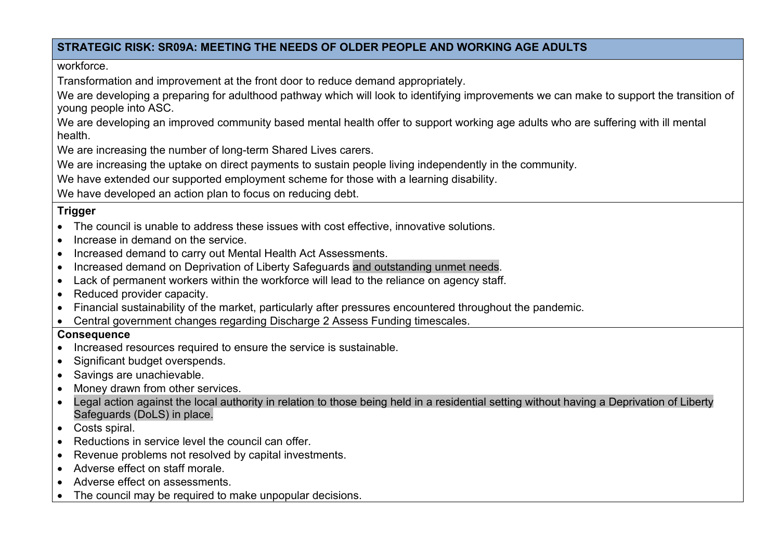workforce.

Transformation and improvement at the front door to reduce demand appropriately.

We are developing a preparing for adulthood pathway which will look to identifying improvements we can make to support the transition of young people into ASC.

We are developing an improved community based mental health offer to support working age adults who are suffering with ill mental health.

We are increasing the number of long-term Shared Lives carers.

We are increasing the uptake on direct payments to sustain people living independently in the community.

We have extended our supported employment scheme for those with a learning disability.

We have developed an action plan to focus on reducing debt.

# **Trigger**

- The council is unable to address these issues with cost effective, innovative solutions.
- Increase in demand on the service
- Increased demand to carry out Mental Health Act Assessments.
- Increased demand on Deprivation of Liberty Safeguards and outstanding unmet needs.
- Lack of permanent workers within the workforce will lead to the reliance on agency staff.
- Reduced provider capacity.
- Financial sustainability of the market, particularly after pressures encountered throughout the pandemic.
- Central government changes regarding Discharge 2 Assess Funding timescales.

# **Consequence**

- Increased resources required to ensure the service is sustainable.
- Significant budget overspends.
- Savings are unachievable.
- Money drawn from other services.
- Legal action against the local authority in relation to those being held in a residential setting without having a Deprivation of Liberty Safeguards (DoLS) in place.
- Costs spiral.
- Reductions in service level the council can offer.
- Revenue problems not resolved by capital investments.
- Adverse effect on staff morale.
- Adverse effect on assessments.
- The council may be required to make unpopular decisions.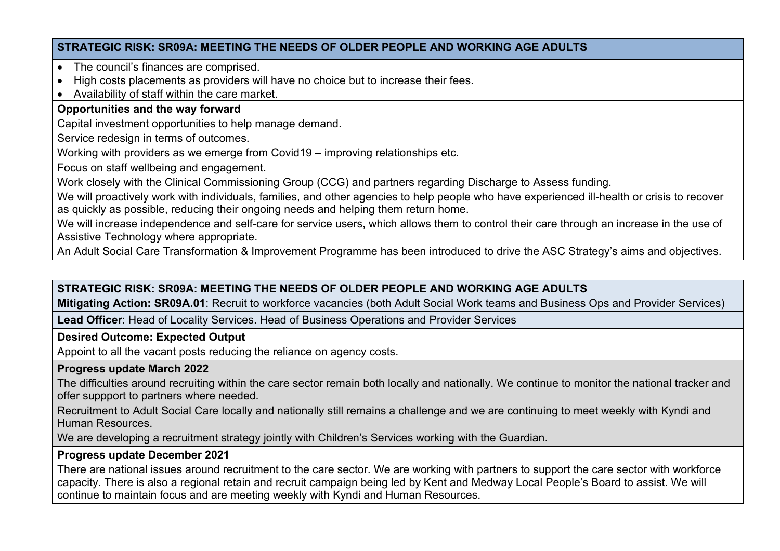- The council's finances are comprised.
- High costs placements as providers will have no choice but to increase their fees.
- Availability of staff within the care market.

# **Opportunities and the way forward**

Capital investment opportunities to help manage demand.

Service redesign in terms of outcomes.

Working with providers as we emerge from Covid19 – improving relationships etc.

Focus on staff wellbeing and engagement.

Work closely with the Clinical Commissioning Group (CCG) and partners regarding Discharge to Assess funding.

We will proactively work with individuals, families, and other agencies to help people who have experienced ill-health or crisis to recover as quickly as possible, reducing their ongoing needs and helping them return home.

We will increase independence and self-care for service users, which allows them to control their care through an increase in the use of Assistive Technology where appropriate.

An Adult Social Care Transformation & Improvement Programme has been introduced to drive the ASC Strategy's aims and objectives.

# **STRATEGIC RISK: SR09A: MEETING THE NEEDS OF OLDER PEOPLE AND WORKING AGE ADULTS**

**Mitigating Action: SR09A.01**: Recruit to workforce vacancies (both Adult Social Work teams and Business Ops and Provider Services)

**Lead Officer**: Head of Locality Services. Head of Business Operations and Provider Services

# **Desired Outcome: Expected Output**

Appoint to all the vacant posts reducing the reliance on agency costs.

# **Progress update March 2022**

The difficulties around recruiting within the care sector remain both locally and nationally. We continue to monitor the national tracker and offer suppport to partners where needed.

Recruitment to Adult Social Care locally and nationally still remains a challenge and we are continuing to meet weekly with Kyndi and Human Resources.

We are developing a recruitment strategy jointly with Children's Services working with the Guardian.

# **Progress update December 2021**

There are national issues around recruitment to the care sector. We are working with partners to support the care sector with workforce capacity. There is also a regional retain and recruit campaign being led by Kent and Medway Local People's Board to assist. We will continue to maintain focus and are meeting weekly with Kyndi and Human Resources.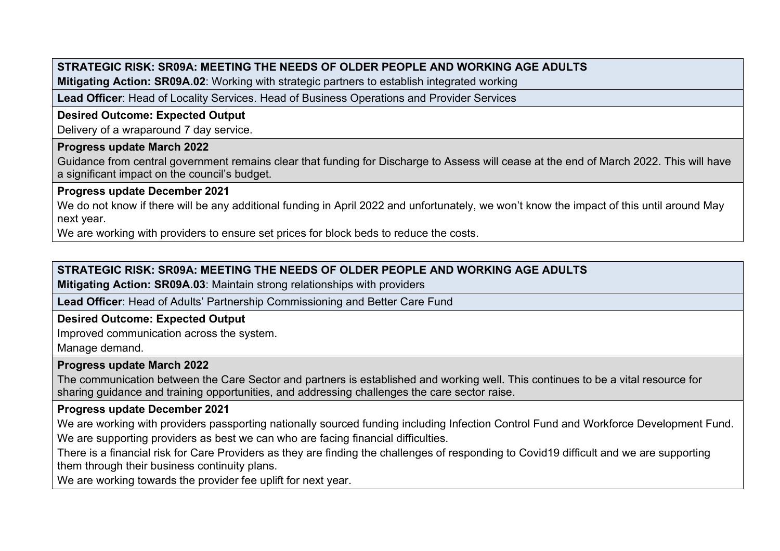**Mitigating Action: SR09A.02**: Working with strategic partners to establish integrated working

**Lead Officer**: Head of Locality Services. Head of Business Operations and Provider Services

# **Desired Outcome: Expected Output**

Delivery of a wraparound 7 day service.

### **Progress update March 2022**

Guidance from central government remains clear that funding for Discharge to Assess will cease at the end of March 2022. This will have a significant impact on the council's budget.

### **Progress update December 2021**

We do not know if there will be any additional funding in April 2022 and unfortunately, we won't know the impact of this until around May next year.

We are working with providers to ensure set prices for block beds to reduce the costs.

# **STRATEGIC RISK: SR09A: MEETING THE NEEDS OF OLDER PEOPLE AND WORKING AGE ADULTS**

**Mitigating Action: SR09A.03**: Maintain strong relationships with providers

**Lead Officer**: Head of Adults' Partnership Commissioning and Better Care Fund

# **Desired Outcome: Expected Output**

Improved communication across the system.

Manage demand.

#### **Progress update March 2022**

The communication between the Care Sector and partners is established and working well. This continues to be a vital resource for sharing guidance and training opportunities, and addressing challenges the care sector raise.

# **Progress update December 2021**

We are working with providers passporting nationally sourced funding including Infection Control Fund and Workforce Development Fund. We are supporting providers as best we can who are facing financial difficulties.

There is a financial risk for Care Providers as they are finding the challenges of responding to Covid19 difficult and we are supporting them through their business continuity plans.

We are working towards the provider fee uplift for next year.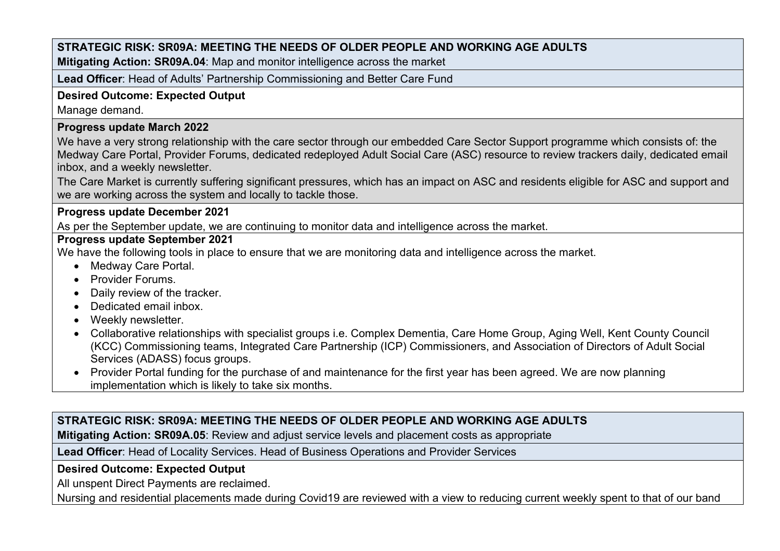**Mitigating Action: SR09A.04**: Map and monitor intelligence across the market

**Lead Officer**: Head of Adults' Partnership Commissioning and Better Care Fund

# **Desired Outcome: Expected Output**

Manage demand.

### **Progress update March 2022**

We have a very strong relationship with the care sector through our embedded Care Sector Support programme which consists of: the Medway Care Portal, Provider Forums, dedicated redeployed Adult Social Care (ASC) resource to review trackers daily, dedicated email inbox, and a weekly newsletter.

The Care Market is currently suffering significant pressures, which has an impact on ASC and residents eligible for ASC and support and we are working across the system and locally to tackle those.

#### **Progress update December 2021**

As per the September update, we are continuing to monitor data and intelligence across the market.

#### **Progress update September 2021**

We have the following tools in place to ensure that we are monitoring data and intelligence across the market.

- Medway Care Portal.
- Provider Forums.
- Daily review of the tracker.
- Dedicated email inbox.
- Weekly newsletter.
- Collaborative relationships with specialist groups i.e. Complex Dementia, Care Home Group, Aging Well, Kent County Council (KCC) Commissioning teams, Integrated Care Partnership (ICP) Commissioners, and Association of Directors of Adult Social Services (ADASS) focus groups.
- Provider Portal funding for the purchase of and maintenance for the first year has been agreed. We are now planning implementation which is likely to take six months.

# **STRATEGIC RISK: SR09A: MEETING THE NEEDS OF OLDER PEOPLE AND WORKING AGE ADULTS**

**Mitigating Action: SR09A.05**: Review and adjust service levels and placement costs as appropriate

**Lead Officer**: Head of Locality Services. Head of Business Operations and Provider Services

# **Desired Outcome: Expected Output**

All unspent Direct Payments are reclaimed.

Nursing and residential placements made during Covid19 are reviewed with a view to reducing current weekly spent to that of our band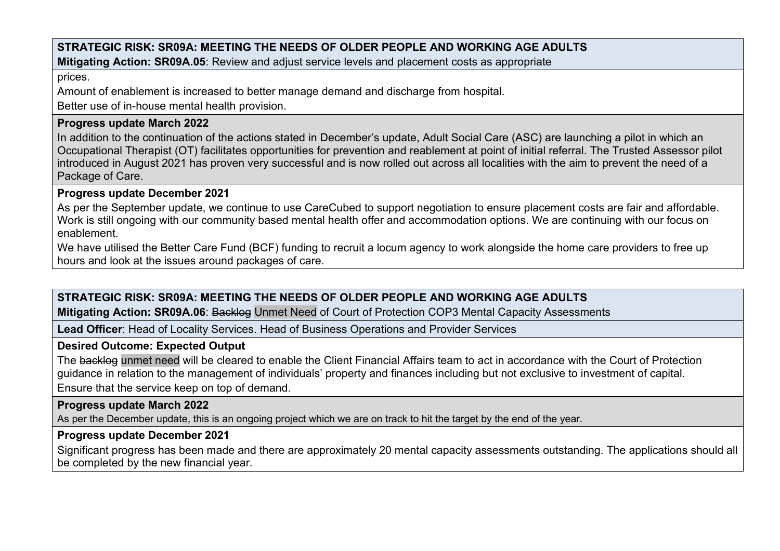### **STRATEGIC RISK: SR09A: MEETING THE NEEDS OF OLDER PEOPLE AND WORKING AGE ADULTS Mitigating Action: SR09A.05**: Review and adjust service levels and placement costs as appropriate

prices.

Amount of enablement is increased to better manage demand and discharge from hospital.

Better use of in-house mental health provision.

# **Progress update March 2022**

In addition to the continuation of the actions stated in December's update, Adult Social Care (ASC) are launching a pilot in which an Occupational Therapist (OT) facilitates opportunities for prevention and reablement at point of initial referral. The Trusted Assessor pilot introduced in August 2021 has proven very successful and is now rolled out across all localities with the aim to prevent the need of a Package of Care.

# **Progress update December 2021**

As per the September update, we continue to use CareCubed to support negotiation to ensure placement costs are fair and affordable. Work is still ongoing with our community based mental health offer and accommodation options. We are continuing with our focus on enablement.

We have utilised the Better Care Fund (BCF) funding to recruit a locum agency to work alongside the home care providers to free up hours and look at the issues around packages of care.

# **STRATEGIC RISK: SR09A: MEETING THE NEEDS OF OLDER PEOPLE AND WORKING AGE ADULTS**

**Mitigating Action: SR09A.06**: Backlog Unmet Need of Court of Protection COP3 Mental Capacity Assessments

**Lead Officer**: Head of Locality Services. Head of Business Operations and Provider Services

# **Desired Outcome: Expected Output**

The backlog unmet need will be cleared to enable the Client Financial Affairs team to act in accordance with the Court of Protection guidance in relation to the management of individuals' property and finances including but not exclusive to investment of capital. Ensure that the service keep on top of demand.

# **Progress update March 2022**

As per the December update, this is an ongoing project which we are on track to hit the target by the end of the year.

# **Progress update December 2021**

Significant progress has been made and there are approximately 20 mental capacity assessments outstanding. The applications should all be completed by the new financial year.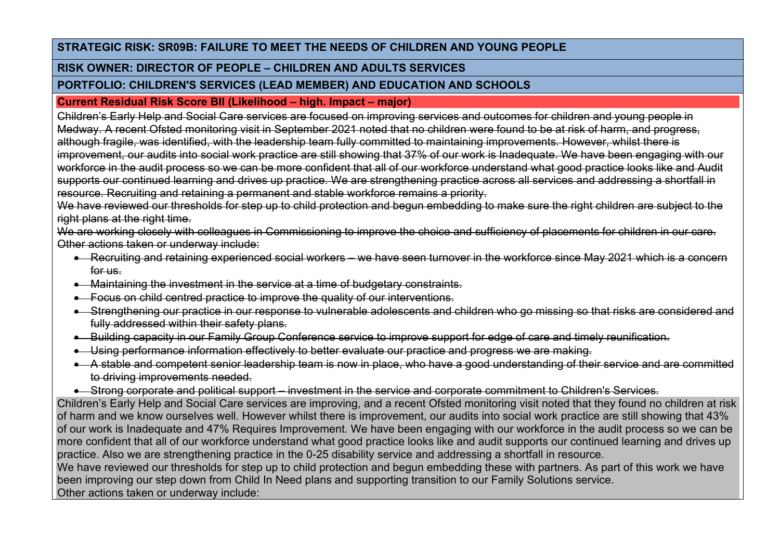# **RISK OWNER: DIRECTOR OF PEOPLE – CHILDREN AND ADULTS SERVICES**

# **PORTFOLIO: CHILDREN'S SERVICES (LEAD MEMBER) AND EDUCATION AND SCHOOLS**

# **Current Residual Risk Score BII (Likelihood – high. Impact – major)**

Children's Early Help and Social Care services are focused on improving services and outcomes for children and young people in Medway. A recent Ofsted monitoring visit in September 2021 noted that no children were found to be at risk of harm, and progress, although fragile, was identified, with the leadership team fully committed to maintaining improvements. However, whilst there is improvement, our audits into social work practice are still showing that 37% of our work is Inadequate. We have been engaging with our workforce in the audit process so we can be more confident that all of our workforce understand what good practice looks like and Audit supports our continued learning and drives up practice. We are strengthening practice across all services and addressing a shortfall in resource. Recruiting and retaining a permanent and stable workforce remains a priority.

We have reviewed our thresholds for step up to child protection and begun embedding to make sure the right children are subject to the right plans at the right time.

We are working closely with colleagues in Commissioning to improve the choice and sufficiency of placements for children in our care. Other actions taken or underway include:

- Recruiting and retaining experienced social workers we have seen turnover in the workforce since May 2021 which is a concern for us.
- Maintaining the investment in the service at a time of budgetary constraints.
- Focus on child centred practice to improve the quality of our interventions.
- Strengthening our practice in our response to vulnerable adolescents and children who go missing so that risks are considered and fully addressed within their safety plans.
- Building capacity in our Family Group Conference service to improve support for edge of care and timely reunification.
- Using performance information effectively to better evaluate our practice and progress we are making.
- A stable and competent senior leadership team is now in place, who have a good understanding of their service and are committed to driving improvements needed.
- Strong corporate and political support investment in the service and corporate commitment to Children's Services.

Children's Early Help and Social Care services are improving, and a recent Ofsted monitoring visit noted that they found no children at risk of harm and we know ourselves well. However whilst there is improvement, our audits into social work practice are still showing that 43% of our work is Inadequate and 47% Requires Improvement. We have been engaging with our workforce in the audit process so we can be more confident that all of our workforce understand what good practice looks like and audit supports our continued learning and drives up practice. Also we are strengthening practice in the 0-25 disability service and addressing a shortfall in resource.

We have reviewed our thresholds for step up to child protection and begun embedding these with partners. As part of this work we have been improving our step down from Child In Need plans and supporting transition to our Family Solutions service.

Other actions taken or underway include: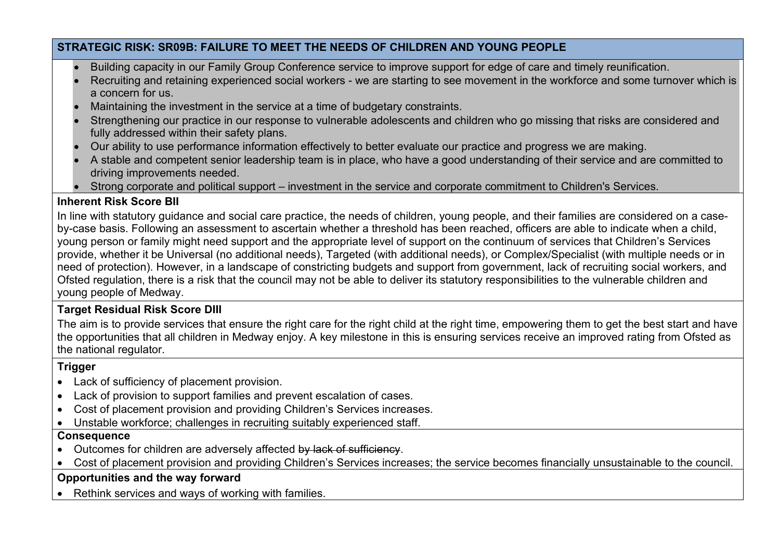- Building capacity in our Family Group Conference service to improve support for edge of care and timely reunification.
- Recruiting and retaining experienced social workers we are starting to see movement in the workforce and some turnover which is a concern for us.
- Maintaining the investment in the service at a time of budgetary constraints.
- Strengthening our practice in our response to vulnerable adolescents and children who go missing that risks are considered and fully addressed within their safety plans.
- Our ability to use performance information effectively to better evaluate our practice and progress we are making.
- A stable and competent senior leadership team is in place, who have a good understanding of their service and are committed to driving improvements needed.
- Strong corporate and political support investment in the service and corporate commitment to Children's Services.

# **Inherent Risk Score BII**

In line with statutory guidance and social care practice, the needs of children, young people, and their families are considered on a caseby-case basis. Following an assessment to ascertain whether a threshold has been reached, officers are able to indicate when a child, young person or family might need support and the appropriate level of support on the continuum of services that Children's Services provide, whether it be Universal (no additional needs), Targeted (with additional needs), or Complex/Specialist (with multiple needs or in need of protection). However, in a landscape of constricting budgets and support from government, lack of recruiting social workers, and Ofsted regulation, there is a risk that the council may not be able to deliver its statutory responsibilities to the vulnerable children and young people of Medway.

# **Target Residual Risk Score DIII**

The aim is to provide services that ensure the right care for the right child at the right time, empowering them to get the best start and have the opportunities that all children in Medway enjoy. A key milestone in this is ensuring services receive an improved rating from Ofsted as the national regulator.

# **Trigger**

- Lack of sufficiency of placement provision.
- Lack of provision to support families and prevent escalation of cases.
- Cost of placement provision and providing Children's Services increases.
- Unstable workforce; challenges in recruiting suitably experienced staff.

# **Consequence**

- Outcomes for children are adversely affected by lack of sufficiency.
- Cost of placement provision and providing Children's Services increases; the service becomes financially unsustainable to the council.

# **Opportunities and the way forward**

Rethink services and ways of working with families.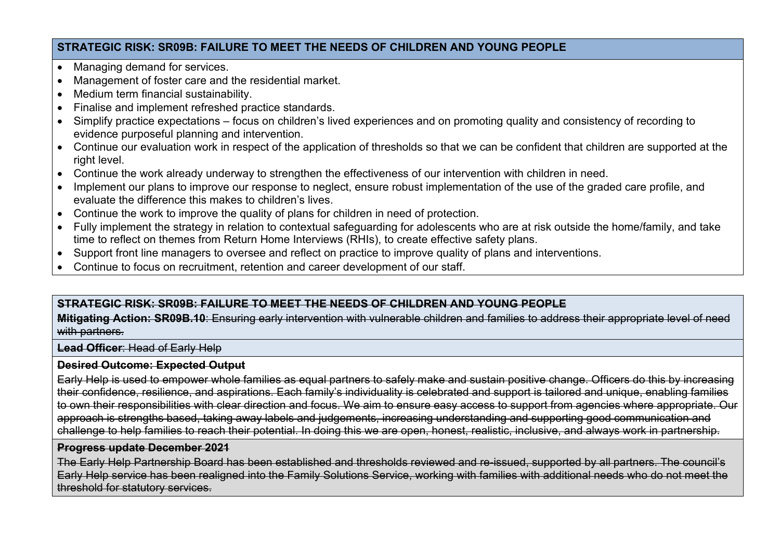- Managing demand for services.
- Management of foster care and the residential market.
- Medium term financial sustainability.
- Finalise and implement refreshed practice standards.
- Simplify practice expectations focus on children's lived experiences and on promoting quality and consistency of recording to evidence purposeful planning and intervention.
- Continue our evaluation work in respect of the application of thresholds so that we can be confident that children are supported at the right level.
- Continue the work already underway to strengthen the effectiveness of our intervention with children in need.
- Implement our plans to improve our response to neglect, ensure robust implementation of the use of the graded care profile, and evaluate the difference this makes to children's lives.
- Continue the work to improve the quality of plans for children in need of protection.
- Fully implement the strategy in relation to contextual safeguarding for adolescents who are at risk outside the home/family, and take time to reflect on themes from Return Home Interviews (RHIs), to create effective safety plans.
- Support front line managers to oversee and reflect on practice to improve quality of plans and interventions.
- Continue to focus on recruitment, retention and career development of our staff.

# **STRATEGIC RISK: SR09B: FAILURE TO MEET THE NEEDS OF CHILDREN AND YOUNG PEOPLE**

#### **Mitigating Action: SR09B.10**: Ensuring early intervention with vulnerable children and families to address their appropriate level of need with partners.

#### **Lead Officer**: Head of Early Help

#### **Desired Outcome: Expected Output**

Early Help is used to empower whole families as equal partners to safely make and sustain positive change. Officers do this by increasing their confidence, resilience, and aspirations. Each family's individuality is celebrated and support is tailored and unique, enabling families to own their responsibilities with clear direction and focus. We aim to ensure easy access to support from agencies where appropriate. Our approach is strengths based, taking away labels and judgements, increasing understanding and supporting good communication and challenge to help families to reach their potential. In doing this we are open, honest, realistic, inclusive, and always work in partnership.

#### **Progress update December 2021**

The Early Help Partnership Board has been established and thresholds reviewed and re-issued, supported by all partners. The council's Early Help service has been realigned into the Family Solutions Service, working with families with additional needs who do not meet the threshold for statutory services.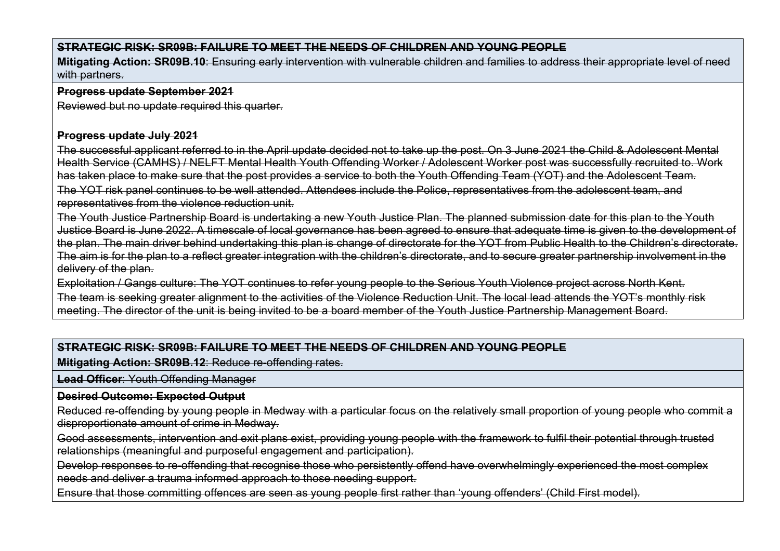**Mitigating Action: SR09B.10**: Ensuring early intervention with vulnerable children and families to address their appropriate level of need with partners.

#### **Progress update September 2021**

Reviewed but no update required this quarter.

#### **Progress update July 2021**

The successful applicant referred to in the April update decided not to take up the post. On 3 June 2021 the Child & Adolescent Mental Health Service (CAMHS) / NELFT Mental Health Youth Offending Worker / Adolescent Worker post was successfully recruited to. Work has taken place to make sure that the post provides a service to both the Youth Offending Team (YOT) and the Adolescent Team. The YOT risk panel continues to be well attended. Attendees include the Police, representatives from the adolescent team, and representatives from the violence reduction unit.

The Youth Justice Partnership Board is undertaking a new Youth Justice Plan. The planned submission date for this plan to the Youth Justice Board is June 2022. A timescale of local governance has been agreed to ensure that adequate time is given to the development of the plan. The main driver behind undertaking this plan is change of directorate for the YOT from Public Health to the Children's directorate. The aim is for the plan to a reflect greater integration with the children's directorate, and to secure greater partnership involvement in the delivery of the plan.

Exploitation / Gangs culture: The YOT continues to refer young people to the Serious Youth Violence project across North Kent. The team is seeking greater alignment to the activities of the Violence Reduction Unit. The local lead attends the YOT's monthly risk meeting. The director of the unit is being invited to be a board member of the Youth Justice Partnership Management Board.

# **STRATEGIC RISK: SR09B: FAILURE TO MEET THE NEEDS OF CHILDREN AND YOUNG PEOPLE**

**Mitigating Action: SR09B.12**: Reduce re-offending rates.

**Lead Officer**: Youth Offending Manager

#### **Desired Outcome: Expected Output**

Reduced re-offending by young people in Medway with a particular focus on the relatively small proportion of young people who commit a disproportionate amount of crime in Medway.

Good assessments, intervention and exit plans exist, providing young people with the framework to fulfil their potential through trusted relationships (meaningful and purposeful engagement and participation).

Develop responses to re-offending that recognise those who persistently offend have overwhelmingly experienced the most complex needs and deliver a trauma informed approach to those needing support.

Ensure that those committing offences are seen as young people first rather than 'young offenders' (Child First model).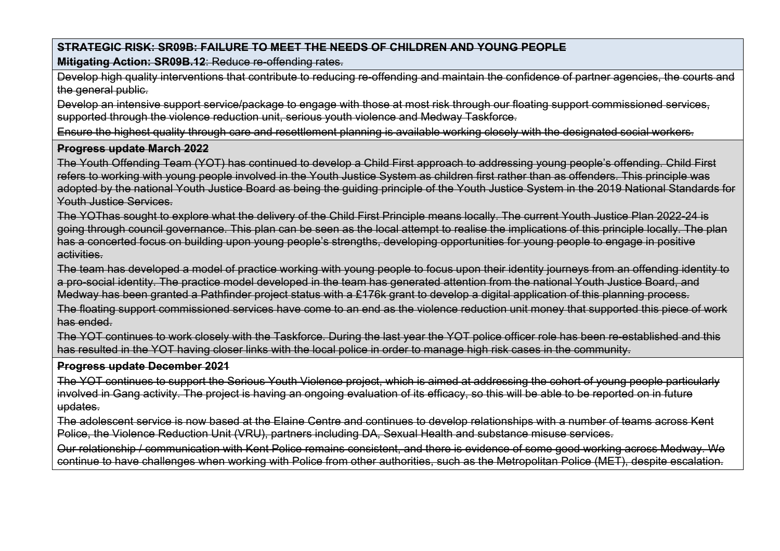**Mitigating Action: SR09B.12**: Reduce re-offending rates.

Develop high quality interventions that contribute to reducing re-offending and maintain the confidence of partner agencies, the courts and the general public.

Develop an intensive support service/package to engage with those at most risk through our floating support commissioned services, supported through the violence reduction unit, serious youth violence and Medway Taskforce.

Ensure the highest quality through care and resettlement planning is available working closely with the designated social workers.

#### **Progress update March 2022**

The Youth Offending Team (YOT) has continued to develop a Child First approach to addressing young people's offending. Child First refers to working with young people involved in the Youth Justice System as children first rather than as offenders. This principle was adopted by the national Youth Justice Board as being the guiding principle of the Youth Justice System in the 2019 National Standards for Youth Justice Services.

The YOThas sought to explore what the delivery of the Child First Principle means locally. The current Youth Justice Plan 2022-24 is going through council governance. This plan can be seen as the local attempt to realise the implications of this principle locally. The plan has a concerted focus on building upon young people's strengths, developing opportunities for young people to engage in positive activities.

The team has developed a model of practice working with young people to focus upon their identity journeys from an offending identity to a pro-social identity. The practice model developed in the team has generated attention from the national Youth Justice Board, and Medway has been granted a Pathfinder project status with a £176k grant to develop a digital application of this planning process.

The floating support commissioned services have come to an end as the violence reduction unit money that supported this piece of work has ended.

The YOT continues to work closely with the Taskforce. During the last year the YOT police officer role has been re-established and this has resulted in the YOT having closer links with the local police in order to manage high risk cases in the community.

#### **Progress update December 2021**

The YOT continues to support the Serious Youth Violence project, which is aimed at addressing the cohort of young people particularly involved in Gang activity. The project is having an ongoing evaluation of its efficacy, so this will be able to be reported on in future updates.

The adolescent service is now based at the Elaine Centre and continues to develop relationships with a number of teams across Kent Police, the Violence Reduction Unit (VRU), partners including DA, Sexual Health and substance misuse services.

Our relationship / communication with Kent Police remains consistent, and there is evidence of some good working across Medway. We continue to have challenges when working with Police from other authorities, such as the Metropolitan Police (MET), despite escalation.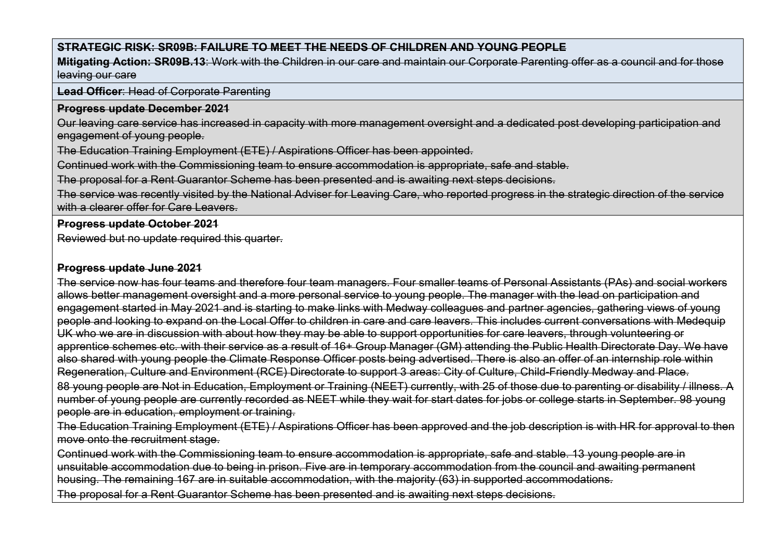**Mitigating Action: SR09B.13**: Work with the Children in our care and maintain our Corporate Parenting offer as a council and for those leaving our care

**Lead Officer**: Head of Corporate Parenting

#### **Progress update December 2021**

Our leaving care service has increased in capacity with more management oversight and a dedicated post developing participation and engagement of young people.

The Education Training Employment (ETE) / Aspirations Officer has been appointed.

Continued work with the Commissioning team to ensure accommodation is appropriate, safe and stable.

The proposal for a Rent Guarantor Scheme has been presented and is awaiting next steps decisions.

The service was recently visited by the National Adviser for Leaving Care, who reported progress in the strategic direction of the service with a clearer offer for Care Leavers.

#### **Progress update October 2021**

Reviewed but no update required this quarter.

#### **Progress update June 2021**

The service now has four teams and therefore four team managers. Four smaller teams of Personal Assistants (PAs) and social workers allows better management oversight and a more personal service to young people. The manager with the lead on participation and engagement started in May 2021 and is starting to make links with Medway colleagues and partner agencies, gathering views of young people and looking to expand on the Local Offer to children in care and care leavers. This includes current conversations with Medequip UK who we are in discussion with about how they may be able to support opportunities for care leavers, through volunteering or apprentice schemes etc. with their service as a result of 16+ Group Manager (GM) attending the Public Health Directorate Day. We have also shared with young people the Climate Response Officer posts being advertised. There is also an offer of an internship role within Regeneration, Culture and Environment (RCE) Directorate to support 3 areas: City of Culture, Child-Friendly Medway and Place. 88 young people are Not in Education, Employment or Training (NEET) currently, with 25 of those due to parenting or disability / illness. A number of young people are currently recorded as NEET while they wait for start dates for jobs or college starts in September. 98 young people are in education, employment or training.

The Education Training Employment (ETE) / Aspirations Officer has been approved and the job description is with HR for approval to then move onto the recruitment stage.

Continued work with the Commissioning team to ensure accommodation is appropriate, safe and stable. 13 young people are in unsuitable accommodation due to being in prison. Five are in temporary accommodation from the council and awaiting permanent housing. The remaining 167 are in suitable accommodation, with the majority (63) in supported accommodations.

The proposal for a Rent Guarantor Scheme has been presented and is awaiting next steps decisions.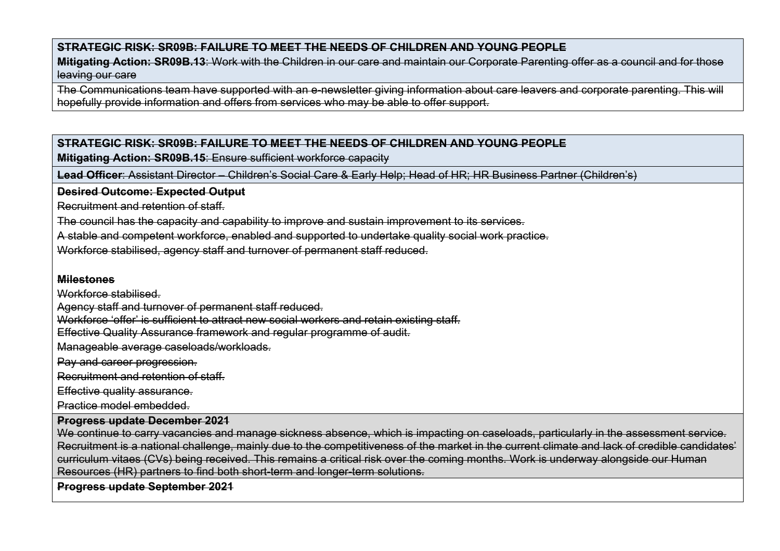**Mitigating Action: SR09B.13**: Work with the Children in our care and maintain our Corporate Parenting offer as a council and for those leaving our care

The Communications team have supported with an e-newsletter giving information about care leavers and corporate parenting. This will hopefully provide information and offers from services who may be able to offer support.

#### **STRATEGIC RISK: SR09B: FAILURE TO MEET THE NEEDS OF CHILDREN AND YOUNG PEOPLE**

**Mitigating Action: SR09B.15**: Ensure sufficient workforce capacity

**Lead Officer**: Assistant Director – Children's Social Care & Early Help; Head of HR; HR Business Partner (Children's)

**Desired Outcome: Expected Output**

Recruitment and retention of staff.

The council has the capacity and capability to improve and sustain improvement to its services.

A stable and competent workforce, enabled and supported to undertake quality social work practice.

Workforce stabilised, agency staff and turnover of permanent staff reduced.

#### **Milestones**

Workforce stabilised.

Agency staff and turnover of permanent staff reduced.

Workforce 'offer' is sufficient to attract new social workers and retain existing staff.

Effective Quality Assurance framework and regular programme of audit.

Manageable average caseloads/workloads.

Pay and career progression.

Recruitment and retention of staff.

Effective quality assurance.

Practice model embedded.

#### **Progress update December 2021**

We continue to carry vacancies and manage sickness absence, which is impacting on caseloads, particularly in the assessment service. Recruitment is a national challenge, mainly due to the competitiveness of the market in the current climate and lack of credible candidates' curriculum vitaes (CVs) being received. This remains a critical risk over the coming months. Work is underway alongside our Human Resources (HR) partners to find both short-term and longer-term solutions.

**Progress update September 2021**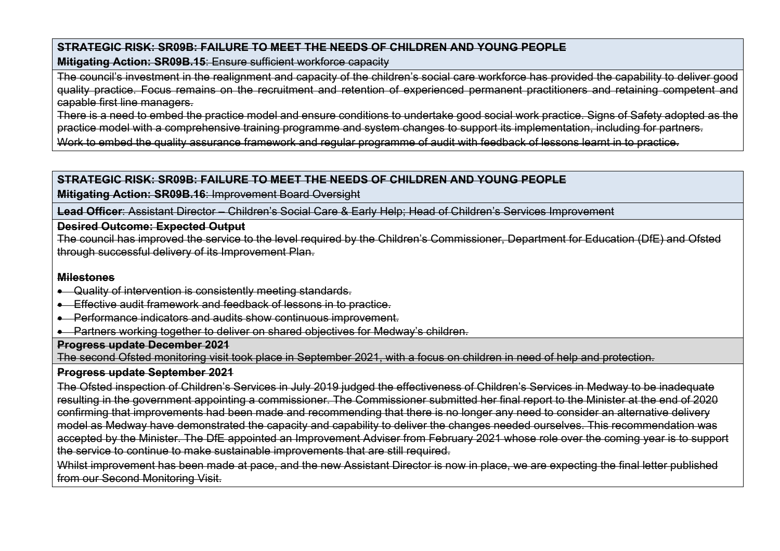**Mitigating Action: SR09B.15**: Ensure sufficient workforce capacity

The council's investment in the realignment and capacity of the children's social care workforce has provided the capability to deliver good quality practice. Focus remains on the recruitment and retention of experienced permanent practitioners and retaining competent and capable first line managers.

There is a need to embed the practice model and ensure conditions to undertake good social work practice. Signs of Safety adopted as the practice model with a comprehensive training programme and system changes to support its implementation, including for partners.

Work to embed the quality assurance framework and regular programme of audit with feedback of lessons learnt in to practice.

# **STRATEGIC RISK: SR09B: FAILURE TO MEET THE NEEDS OF CHILDREN AND YOUNG PEOPLE**

**Mitigating Action: SR09B.16**: Improvement Board Oversight

**Lead Officer**: Assistant Director – Children's Social Care & Early Help; Head of Children's Services Improvement

# **Desired Outcome: Expected Output**

The council has improved the service to the level required by the Children's Commissioner, Department for Education (DfE) and Ofsted through successful delivery of its Improvement Plan.

# **Milestones**

- Quality of intervention is consistently meeting standards.
- Effective audit framework and feedback of lessons in to practice.
- Performance indicators and audits show continuous improvement.
- Partners working together to deliver on shared objectives for Medway's children.

# **Progress update December 2021**

The second Ofsted monitoring visit took place in September 2021, with a focus on children in need of help and protection.

# **Progress update September 2021**

The Ofsted inspection of Children's Services in July 2019 judged the effectiveness of Children's Services in Medway to be inadequate resulting in the government appointing a commissioner. The Commissioner submitted her final report to the Minister at the end of 2020 confirming that improvements had been made and recommending that there is no longer any need to consider an alternative delivery model as Medway have demonstrated the capacity and capability to deliver the changes needed ourselves. This recommendation was accepted by the Minister. The DfE appointed an Improvement Adviser from February 2021 whose role over the coming year is to support the service to continue to make sustainable improvements that are still required.

Whilst improvement has been made at pace, and the new Assistant Director is now in place, we are expecting the final letter published from our Second Monitoring Visit.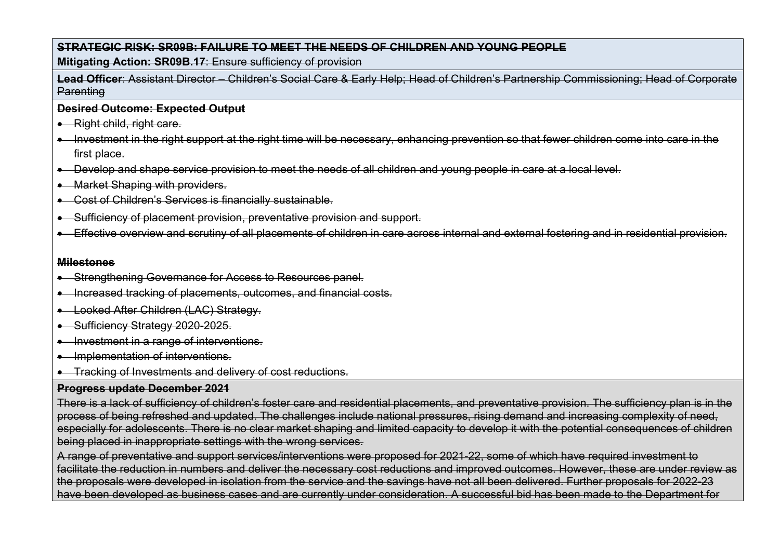**Mitigating Action: SR09B.17**: Ensure sufficiency of provision

**Lead Officer**: Assistant Director – Children's Social Care & Early Help; Head of Children's Partnership Commissioning; Head of Corporate **Parenting** 

#### **Desired Outcome: Expected Output**

- Right child, right care.
- Investment in the right support at the right time will be necessary, enhancing prevention so that fewer children come into care in the first place.
- Develop and shape service provision to meet the needs of all children and young people in care at a local level.
- Market Shaping with providers.
- Cost of Children's Services is financially sustainable.
- Sufficiency of placement provision, preventative provision and support.
- Effective overview and scrutiny of all placements of children in care across internal and external fostering and in residential provision.

#### **Milestones**

- Strengthening Governance for Access to Resources panel.
- Increased tracking of placements, outcomes, and financial costs.
- Looked After Children (LAC) Strategy.
- Sufficiency Strategy 2020-2025.
- Investment in a range of interventions.
- Implementation of interventions.
- Tracking of Investments and delivery of cost reductions.

# **Progress update December 2021**

There is a lack of sufficiency of children's foster care and residential placements, and preventative provision. The sufficiency plan is in the process of being refreshed and updated. The challenges include national pressures, rising demand and increasing complexity of need, especially for adolescents. There is no clear market shaping and limited capacity to develop it with the potential consequences of children being placed in inappropriate settings with the wrong services.

A range of preventative and support services/interventions were proposed for 2021-22, some of which have required investment to facilitate the reduction in numbers and deliver the necessary cost reductions and improved outcomes. However, these are under review as the proposals were developed in isolation from the service and the savings have not all been delivered. Further proposals for 2022-23 have been developed as business cases and are currently under consideration. A successful bid has been made to the Department for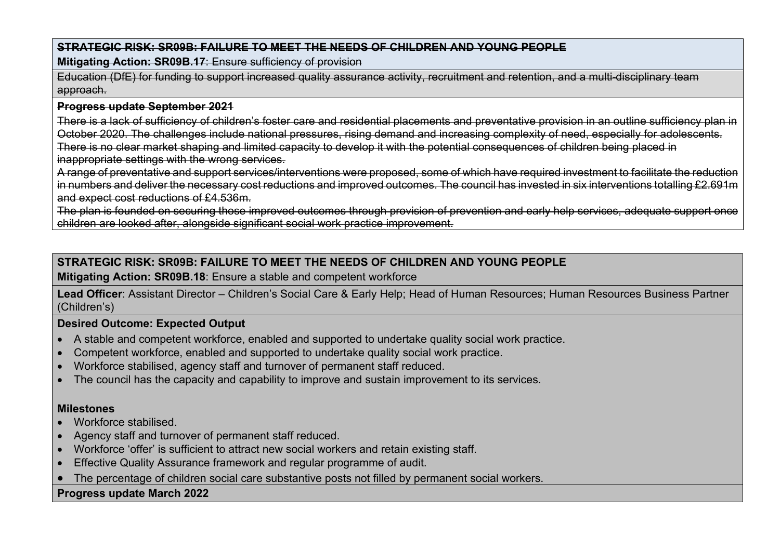**Mitigating Action: SR09B.17**: Ensure sufficiency of provision

Education (DfE) for funding to support increased quality assurance activity, recruitment and retention, and a multi-disciplinary team approach.

#### **Progress update September 2021**

There is a lack of sufficiency of children's foster care and residential placements and preventative provision in an outline sufficiency plan in October 2020. The challenges include national pressures, rising demand and increasing complexity of need, especially for adolescents. There is no clear market shaping and limited capacity to develop it with the potential consequences of children being placed in inappropriate settings with the wrong services.

A range of preventative and support services/interventions were proposed, some of which have required investment to facilitate the reduction in numbers and deliver the necessary cost reductions and improved outcomes. The council has invested in six interventions totalling £2.691m and expect cost reductions of £4.536m.

The plan is founded on securing those improved outcomes through provision of prevention and early help services, adequate support once children are looked after, alongside significant social work practice improvement.

# **STRATEGIC RISK: SR09B: FAILURE TO MEET THE NEEDS OF CHILDREN AND YOUNG PEOPLE**

# **Mitigating Action: SR09B.18**: Ensure a stable and competent workforce

**Lead Officer**: Assistant Director – Children's Social Care & Early Help; Head of Human Resources; Human Resources Business Partner (Children's)

#### **Desired Outcome: Expected Output**

- A stable and competent workforce, enabled and supported to undertake quality social work practice.
- Competent workforce, enabled and supported to undertake quality social work practice.
- Workforce stabilised, agency staff and turnover of permanent staff reduced.
- The council has the capacity and capability to improve and sustain improvement to its services.

#### **Milestones**

- Workforce stabilised.
- Agency staff and turnover of permanent staff reduced.
- Workforce 'offer' is sufficient to attract new social workers and retain existing staff.
- Effective Quality Assurance framework and regular programme of audit.
- The percentage of children social care substantive posts not filled by permanent social workers.

# **Progress update March 2022**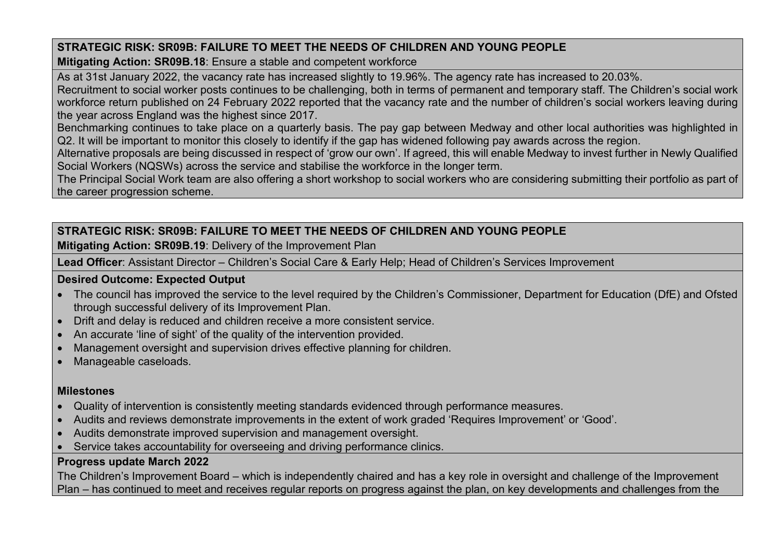**Mitigating Action: SR09B.18**: Ensure a stable and competent workforce

As at 31st January 2022, the vacancy rate has increased slightly to 19.96%. The agency rate has increased to 20.03%. Recruitment to social worker posts continues to be challenging, both in terms of permanent and temporary staff. The Children's social work workforce return published on 24 February 2022 reported that the vacancy rate and the number of children's social workers leaving during the year across England was the highest since 2017.

Benchmarking continues to take place on a quarterly basis. The pay gap between Medway and other local authorities was highlighted in Q2. It will be important to monitor this closely to identify if the gap has widened following pay awards across the region.

Alternative proposals are being discussed in respect of 'grow our own'. If agreed, this will enable Medway to invest further in Newly Qualified Social Workers (NQSWs) across the service and stabilise the workforce in the longer term.

The Principal Social Work team are also offering a short workshop to social workers who are considering submitting their portfolio as part of the career progression scheme.

# **STRATEGIC RISK: SR09B: FAILURE TO MEET THE NEEDS OF CHILDREN AND YOUNG PEOPLE**

**Mitigating Action: SR09B.19**: Delivery of the Improvement Plan

**Lead Officer**: Assistant Director – Children's Social Care & Early Help; Head of Children's Services Improvement

# **Desired Outcome: Expected Output**

- The council has improved the service to the level required by the Children's Commissioner, Department for Education (DfE) and Ofsted through successful delivery of its Improvement Plan.
- Drift and delay is reduced and children receive a more consistent service.
- An accurate 'line of sight' of the quality of the intervention provided.
- Management oversight and supervision drives effective planning for children.
- Manageable caseloads.

# **Milestones**

- Quality of intervention is consistently meeting standards evidenced through performance measures.
- Audits and reviews demonstrate improvements in the extent of work graded 'Requires Improvement' or 'Good'.
- Audits demonstrate improved supervision and management oversight.
- Service takes accountability for overseeing and driving performance clinics.

# **Progress update March 2022**

The Children's Improvement Board – which is independently chaired and has a key role in oversight and challenge of the Improvement Plan – has continued to meet and receives regular reports on progress against the plan, on key developments and challenges from the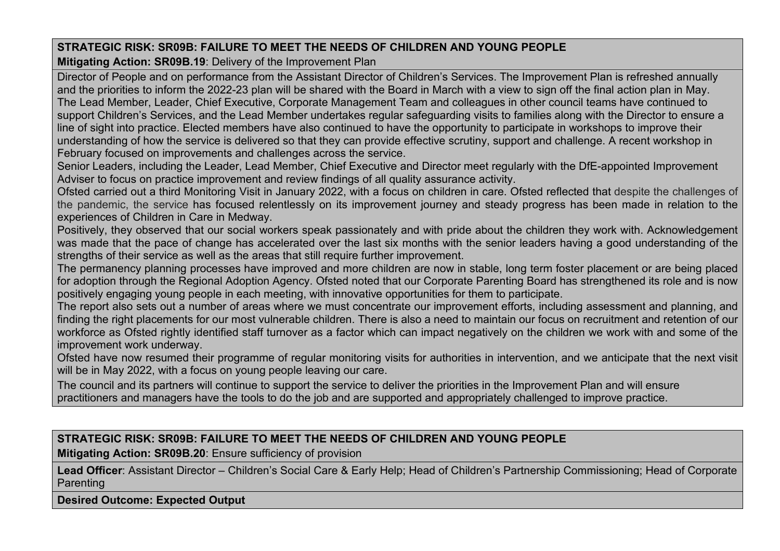**Mitigating Action: SR09B.19**: Delivery of the Improvement Plan

Director of People and on performance from the Assistant Director of Children's Services. The Improvement Plan is refreshed annually and the priorities to inform the 2022-23 plan will be shared with the Board in March with a view to sign off the final action plan in May. The Lead Member, Leader, Chief Executive, Corporate Management Team and colleagues in other council teams have continued to support Children's Services, and the Lead Member undertakes regular safeguarding visits to families along with the Director to ensure a line of sight into practice. Elected members have also continued to have the opportunity to participate in workshops to improve their understanding of how the service is delivered so that they can provide effective scrutiny, support and challenge. A recent workshop in February focused on improvements and challenges across the service.

Senior Leaders, including the Leader, Lead Member, Chief Executive and Director meet regularly with the DfE-appointed Improvement Adviser to focus on practice improvement and review findings of all quality assurance activity.

Ofsted carried out a third Monitoring Visit in January 2022, with a focus on children in care. Ofsted reflected that despite the challenges of the pandemic, the service has focused relentlessly on its improvement journey and steady progress has been made in relation to the experiences of Children in Care in Medway.

Positively, they observed that our social workers speak passionately and with pride about the children they work with. Acknowledgement was made that the pace of change has accelerated over the last six months with the senior leaders having a good understanding of the strengths of their service as well as the areas that still require further improvement.

The permanency planning processes have improved and more children are now in stable, long term foster placement or are being placed for adoption through the Regional Adoption Agency. Ofsted noted that our Corporate Parenting Board has strengthened its role and is now positively engaging young people in each meeting, with innovative opportunities for them to participate.

The report also sets out a number of areas where we must concentrate our improvement efforts, including assessment and planning, and finding the right placements for our most vulnerable children. There is also a need to maintain our focus on recruitment and retention of our workforce as Ofsted rightly identified staff turnover as a factor which can impact negatively on the children we work with and some of the improvement work underway.

Ofsted have now resumed their programme of regular monitoring visits for authorities in intervention, and we anticipate that the next visit will be in May 2022, with a focus on young people leaving our care.

The council and its partners will continue to support the service to deliver the priorities in the Improvement Plan and will ensure practitioners and managers have the tools to do the job and are supported and appropriately challenged to improve practice.

**STRATEGIC RISK: SR09B: FAILURE TO MEET THE NEEDS OF CHILDREN AND YOUNG PEOPLE**

**Mitigating Action: SR09B.20**: Ensure sufficiency of provision

**Lead Officer**: Assistant Director – Children's Social Care & Early Help; Head of Children's Partnership Commissioning; Head of Corporate Parenting

**Desired Outcome: Expected Output**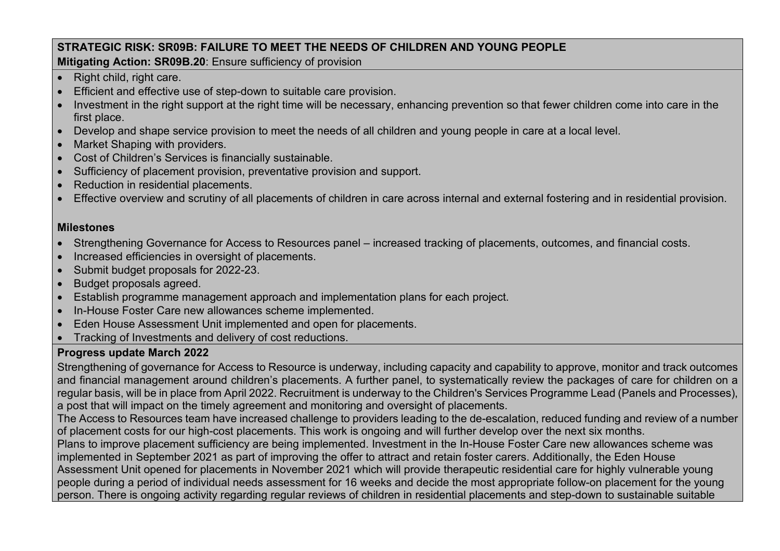**Mitigating Action: SR09B.20**: Ensure sufficiency of provision

- Right child, right care.
- Efficient and effective use of step-down to suitable care provision.
- Investment in the right support at the right time will be necessary, enhancing prevention so that fewer children come into care in the first place.
- Develop and shape service provision to meet the needs of all children and young people in care at a local level.
- Market Shaping with providers.
- Cost of Children's Services is financially sustainable.
- Sufficiency of placement provision, preventative provision and support.
- Reduction in residential placements.
- Effective overview and scrutiny of all placements of children in care across internal and external fostering and in residential provision.

# **Milestones**

- Strengthening Governance for Access to Resources panel increased tracking of placements, outcomes, and financial costs.
- Increased efficiencies in oversight of placements.
- Submit budget proposals for 2022-23.
- Budget proposals agreed.
- Establish programme management approach and implementation plans for each project.
- In-House Foster Care new allowances scheme implemented.
- Eden House Assessment Unit implemented and open for placements.
- Tracking of Investments and delivery of cost reductions.

# **Progress update March 2022**

Strengthening of governance for Access to Resource is underway, including capacity and capability to approve, monitor and track outcomes and financial management around children's placements. A further panel, to systematically review the packages of care for children on a regular basis, will be in place from April 2022. Recruitment is underway to the Children's Services Programme Lead (Panels and Processes), a post that will impact on the timely agreement and monitoring and oversight of placements.

The Access to Resources team have increased challenge to providers leading to the de-escalation, reduced funding and review of a number of placement costs for our high-cost placements. This work is ongoing and will further develop over the next six months.

Plans to improve placement sufficiency are being implemented. Investment in the In-House Foster Care new allowances scheme was implemented in September 2021 as part of improving the offer to attract and retain foster carers. Additionally, the Eden House Assessment Unit opened for placements in November 2021 which will provide therapeutic residential care for highly vulnerable young people during a period of individual needs assessment for 16 weeks and decide the most appropriate follow-on placement for the young person. There is ongoing activity regarding regular reviews of children in residential placements and step-down to sustainable suitable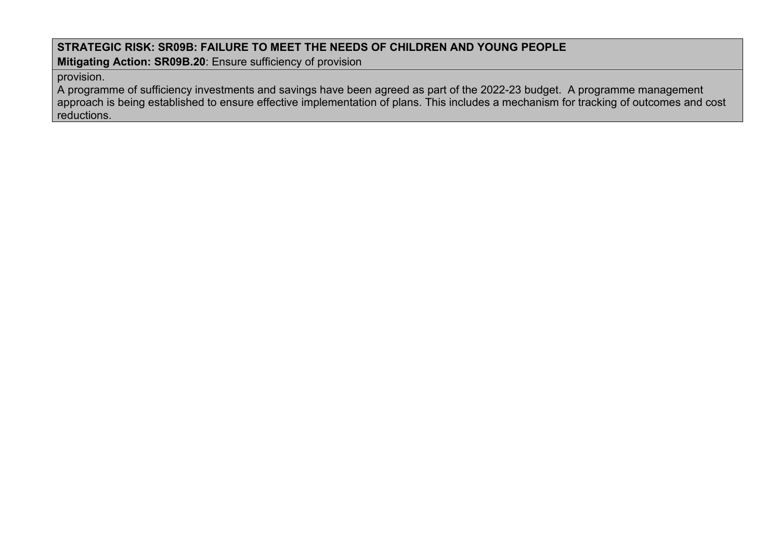**Mitigating Action: SR09B.20**: Ensure sufficiency of provision

### provision.

A programme of sufficiency investments and savings have been agreed as part of the 2022-23 budget. A programme management approach is being established to ensure effective implementation of plans. This includes a mechanism for tracking of outcomes and cost reductions.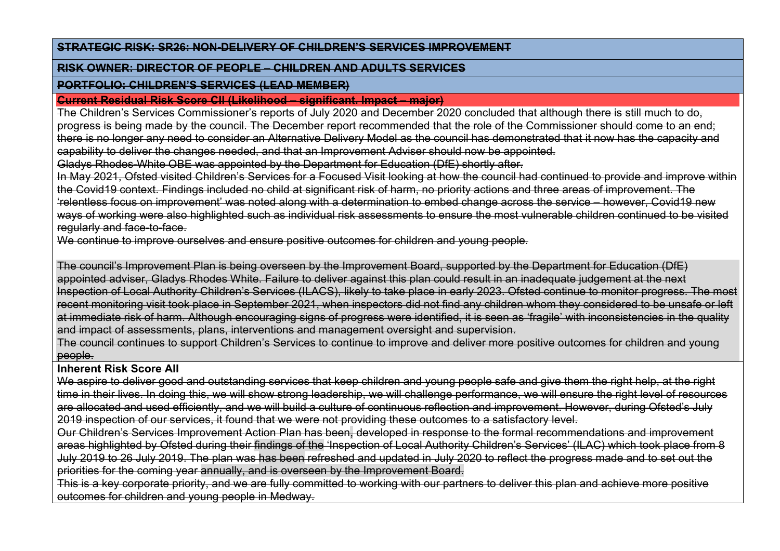#### **STRATEGIC RISK: SR26: NON-DELIVERY OF CHILDREN'S SERVICES IMPROVEMENT**

#### **RISK OWNER: DIRECTOR OF PEOPLE – CHILDREN AND ADULTS SERVICES**

### **PORTFOLIO: CHILDREN'S SERVICES (LEAD MEMBER)**

#### **Current Residual Risk Score CII (Likelihood – significant. Impact – major)**

The Children's Services Commissioner's reports of July 2020 and December 2020 concluded that although there is still much to do, progress is being made by the council. The December report recommended that the role of the Commissioner should come to an end; there is no longer any need to consider an Alternative Delivery Model as the council has demonstrated that it now has the capacity and capability to deliver the changes needed, and that an Improvement Adviser should now be appointed.

Gladys Rhodes-White OBE was appointed by the Department for Education (DfE) shortly after.

In May 2021, Ofsted visited Children's Services for a Focused Visit looking at how the council had continued to provide and improve within the Covid19 context. Findings included no child at significant risk of harm, no priority actions and three areas of improvement. The 'relentless focus on improvement' was noted along with a determination to embed change across the service – however, Covid19 new ways of working were also highlighted such as individual risk assessments to ensure the most vulnerable children continued to be visited regularly and face-to-face.

We continue to improve ourselves and ensure positive outcomes for children and voung people.

The council's Improvement Plan is being overseen by the Improvement Board, supported by the Department for Education (DfE) appointed adviser, Gladys Rhodes White. Failure to deliver against this plan could result in an inadequate judgement at the next Inspection of Local Authority Children's Services (ILACS), likely to take place in early 2023. Ofsted continue to monitor progress. The most recent monitoring visit took place in September 2021, when inspectors did not find any children whom they considered to be unsafe or left at immediate risk of harm. Although encouraging signs of progress were identified, it is seen as 'fragile' with inconsistencies in the quality and impact of assessments, plans, interventions and management oversight and supervision.

The council continues to support Children's Services to continue to improve and deliver more positive outcomes for children and young people.

# **Inherent Risk Score AII**

We aspire to deliver good and outstanding services that keep children and young people safe and give them the right help, at the right time in their lives. In doing this, we will show strong leadership, we will challenge performance, we will ensure the right level of resources are allocated and used efficiently, and we will build a culture of continuous reflection and improvement. However, during Ofsted's July 2019 inspection of our services, it found that we were not providing these outcomes to a satisfactory level.

Our Children's Services Improvement Action Plan has been, developed in response to the formal recommendations and improvement areas highlighted by Ofsted during their findings of the 'Inspection of Local Authority Children's Services' (ILAC) which took place from 8 July 2019 to 26 July 2019. The plan was has been refreshed and updated in July 2020 to reflect the progress made and to set out the priorities for the coming year annually, and is overseen by the Improvement Board.

This is a key corporate priority, and we are fully committed to working with our partners to deliver this plan and achieve more positive outcomes for children and young people in Medway.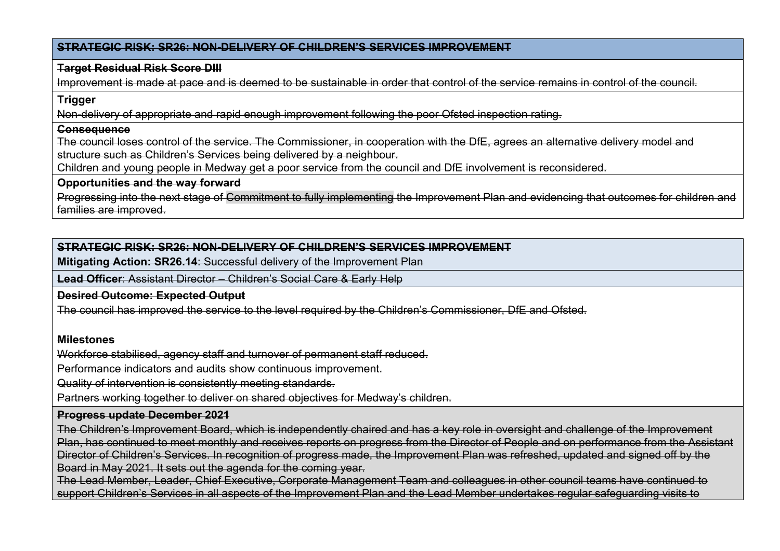### **STRATEGIC RISK: SR26: NON-DELIVERY OF CHILDREN'S SERVICES IMPROVEMENT**

### **Target Residual Risk Score DIII**

Improvement is made at pace and is deemed to be sustainable in order that control of the service remains in control of the council.

### **Trigger**

Non-delivery of appropriate and rapid enough improvement following the poor Ofsted inspection rating.

#### **Consequence**

The council loses control of the service. The Commissioner, in cooperation with the DfE, agrees an alternative delivery model and structure such as Children's Services being delivered by a neighbour.

Children and young people in Medway get a poor service from the council and DfE involvement is reconsidered.

#### **Opportunities and the way forward**

Progressing into the next stage of Commitment to fully implementing the Improvement Plan and evidencing that outcomes for children and families are improved.

# **STRATEGIC RISK: SR26: NON-DELIVERY OF CHILDREN'S SERVICES IMPROVEMENT**

**Mitigating Action: SR26.14**: Successful delivery of the Improvement Plan

**Lead Officer**: Assistant Director – Children's Social Care & Early Help

#### **Desired Outcome: Expected Output**

The council has improved the service to the level required by the Children's Commissioner, DfE and Ofsted.

#### **Milestones**

Workforce stabilised, agency staff and turnover of permanent staff reduced.

Performance indicators and audits show continuous improvement.

Quality of intervention is consistently meeting standards.

Partners working together to deliver on shared objectives for Medway's children.

# **Progress update December 2021**

The Children's Improvement Board, which is independently chaired and has a key role in oversight and challenge of the Improvement Plan, has continued to meet monthly and receives reports on progress from the Director of People and on performance from the Assistant Director of Children's Services. In recognition of progress made, the Improvement Plan was refreshed, updated and signed off by the Board in May 2021. It sets out the agenda for the coming year.

The Lead Member, Leader, Chief Executive, Corporate Management Team and colleagues in other council teams have continued to support Children's Services in all aspects of the Improvement Plan and the Lead Member undertakes regular safeguarding visits to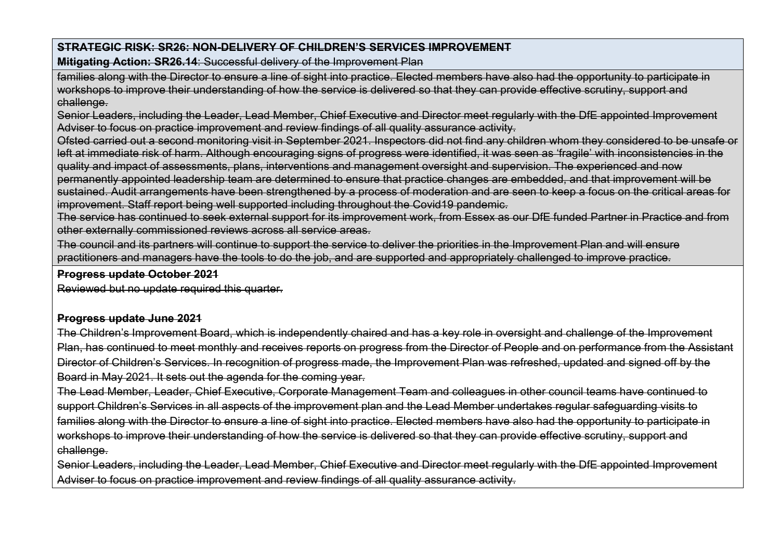## **STRATEGIC RISK: SR26: NON-DELIVERY OF CHILDREN'S SERVICES IMPROVEMENT**

**Mitigating Action: SR26.14**: Successful delivery of the Improvement Plan

families along with the Director to ensure a line of sight into practice. Elected members have also had the opportunity to participate in workshops to improve their understanding of how the service is delivered so that they can provide effective scrutiny, support and challenge.

Senior Leaders, including the Leader, Lead Member, Chief Executive and Director meet regularly with the DfE appointed Improvement Adviser to focus on practice improvement and review findings of all quality assurance activity.

Ofsted carried out a second monitoring visit in September 2021. Inspectors did not find any children whom they considered to be unsafe or left at immediate risk of harm. Although encouraging signs of progress were identified, it was seen as 'fragile' with inconsistencies in the quality and impact of assessments, plans, interventions and management oversight and supervision. The experienced and now permanently appointed leadership team are determined to ensure that practice changes are embedded, and that improvement will be sustained. Audit arrangements have been strengthened by a process of moderation and are seen to keep a focus on the critical areas for improvement. Staff report being well supported including throughout the Covid19 pandemic.

The service has continued to seek external support for its improvement work, from Essex as our DfE funded Partner in Practice and from other externally commissioned reviews across all service areas.

The council and its partners will continue to support the service to deliver the priorities in the Improvement Plan and will ensure practitioners and managers have the tools to do the job, and are supported and appropriately challenged to improve practice.

#### **Progress update October 2021**

Reviewed but no update required this quarter.

### **Progress update June 2021**

The Children's Improvement Board, which is independently chaired and has a key role in oversight and challenge of the Improvement Plan, has continued to meet monthly and receives reports on progress from the Director of People and on performance from the Assistant Director of Children's Services. In recognition of progress made, the Improvement Plan was refreshed, updated and signed off by the Board in May 2021. It sets out the agenda for the coming year.

The Lead Member, Leader, Chief Executive, Corporate Management Team and colleagues in other council teams have continued to support Children's Services in all aspects of the improvement plan and the Lead Member undertakes regular safeguarding visits to families along with the Director to ensure a line of sight into practice. Elected members have also had the opportunity to participate in workshops to improve their understanding of how the service is delivered so that they can provide effective scrutiny, support and challenge.

Senior Leaders, including the Leader, Lead Member, Chief Executive and Director meet regularly with the DfE appointed Improvement Adviser to focus on practice improvement and review findings of all quality assurance activity.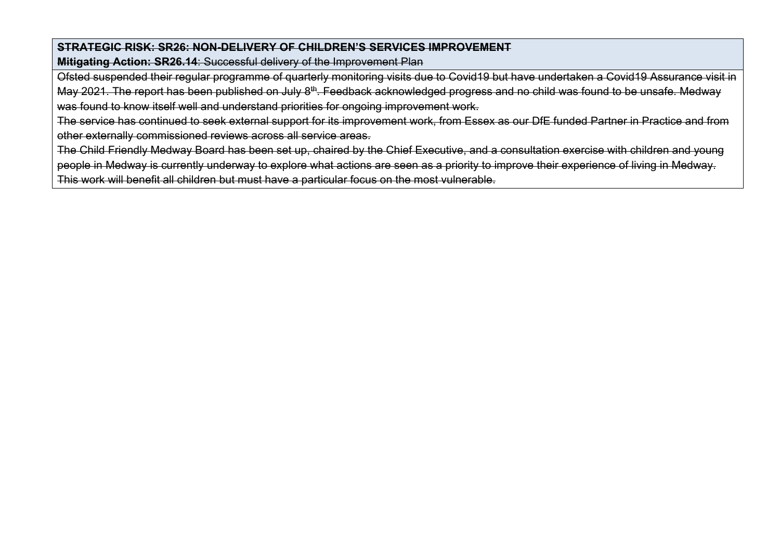### **STRATEGIC RISK: SR26: NON-DELIVERY OF CHILDREN'S SERVICES IMPROVEMENT**

**Mitigating Action: SR26.14**: Successful delivery of the Improvement Plan

Ofsted suspended their regular programme of quarterly monitoring visits due to Covid19 but have undertaken a Covid19 Assurance visit in May 2021. The report has been published on July 8<sup>th</sup>. Feedback acknowledged progress and no child was found to be unsafe. Medway was found to know itself well and understand priorities for ongoing improvement work.

The service has continued to seek external support for its improvement work, from Essex as our DfE funded Partner in Practice and from other externally commissioned reviews across all service areas.

The Child Friendly Medway Board has been set up, chaired by the Chief Executive, and a consultation exercise with children and young people in Medway is currently underway to explore what actions are seen as a priority to improve their experience of living in Medway. This work will benefit all children but must have a particular focus on the most vulnerable.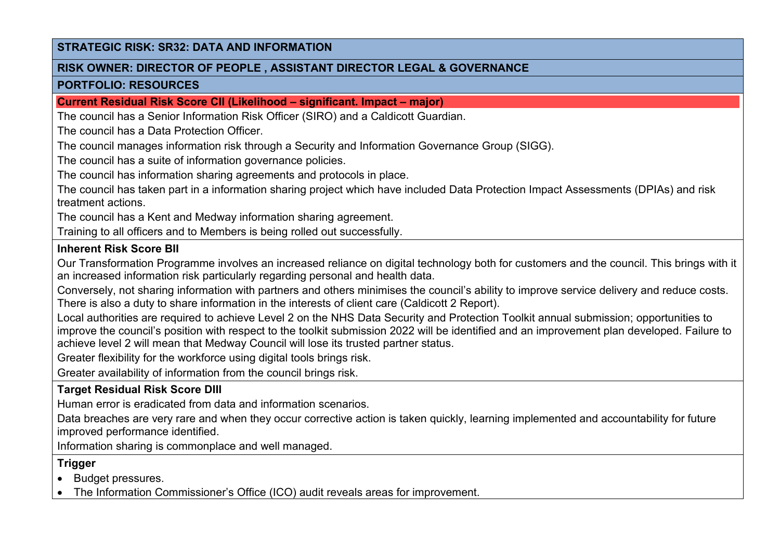#### **RISK OWNER: DIRECTOR OF PEOPLE , ASSISTANT DIRECTOR LEGAL & GOVERNANCE**

#### **PORTFOLIO: RESOURCES**

**Current Residual Risk Score CII (Likelihood – significant. Impact – major)**

The council has a Senior Information Risk Officer (SIRO) and a Caldicott Guardian.

The council has a Data Protection Officer.

The council manages information risk through a Security and Information Governance Group (SIGG).

The council has a suite of information governance policies.

The council has information sharing agreements and protocols in place.

The council has taken part in a information sharing project which have included Data Protection Impact Assessments (DPIAs) and risk treatment actions.

The council has a Kent and Medway information sharing agreement.

Training to all officers and to Members is being rolled out successfully.

## **Inherent Risk Score BII**

Our Transformation Programme involves an increased reliance on digital technology both for customers and the council. This brings with it an increased information risk particularly regarding personal and health data.

Conversely, not sharing information with partners and others minimises the council's ability to improve service delivery and reduce costs. There is also a duty to share information in the interests of client care (Caldicott 2 Report).

Local authorities are required to achieve Level 2 on the NHS Data Security and Protection Toolkit annual submission; opportunities to improve the council's position with respect to the toolkit submission 2022 will be identified and an improvement plan developed. Failure to achieve level 2 will mean that Medway Council will lose its trusted partner status.

Greater flexibility for the workforce using digital tools brings risk.

Greater availability of information from the council brings risk.

# **Target Residual Risk Score DIII**

Human error is eradicated from data and information scenarios.

Data breaches are very rare and when they occur corrective action is taken quickly, learning implemented and accountability for future improved performance identified.

Information sharing is commonplace and well managed.

# **Trigger**

• Budget pressures.

• The Information Commissioner's Office (ICO) audit reveals areas for improvement.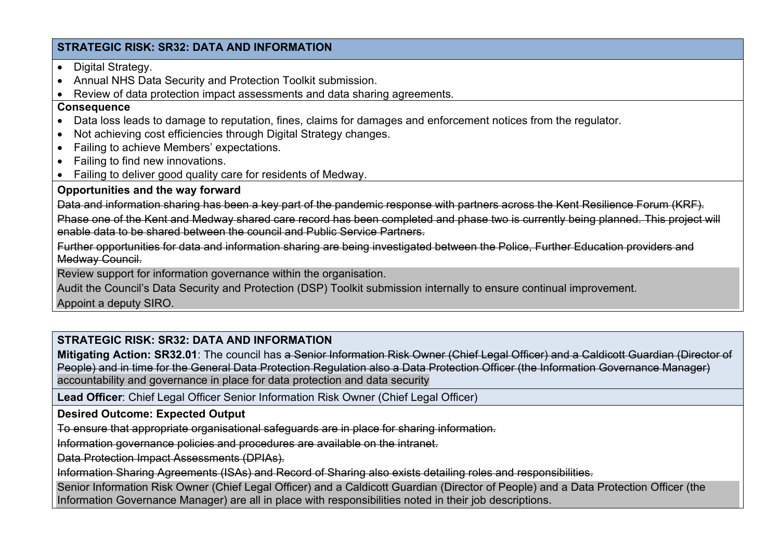- Digital Strategy.
- Annual NHS Data Security and Protection Toolkit submission.
- Review of data protection impact assessments and data sharing agreements.

#### **Consequence**

- Data loss leads to damage to reputation, fines, claims for damages and enforcement notices from the regulator.
- Not achieving cost efficiencies through Digital Strategy changes.
- Failing to achieve Members' expectations.
- Failing to find new innovations.
- Failing to deliver good quality care for residents of Medway.

# **Opportunities and the way forward**

Data and information sharing has been a key part of the pandemic response with partners across the Kent Resilience Forum (KRF).

Phase one of the Kent and Medway shared care record has been completed and phase two is currently being planned. This project will enable data to be shared between the council and Public Service Partners.

Further opportunities for data and information sharing are being investigated between the Police, Further Education providers and Medway Council.

Review support for information governance within the organisation.

Audit the Council's Data Security and Protection (DSP) Toolkit submission internally to ensure continual improvement.

Appoint a deputy SIRO.

# **STRATEGIC RISK: SR32: DATA AND INFORMATION**

**Mitigating Action: SR32.01**: The council has a Senior Information Risk Owner (Chief Legal Officer) and a Caldicott Guardian (Director of People) and in time for the General Data Protection Regulation also a Data Protection Officer (the Information Governance Manager) accountability and governance in place for data protection and data security

**Lead Officer**: Chief Legal Officer Senior Information Risk Owner (Chief Legal Officer)

# **Desired Outcome: Expected Output**

To ensure that appropriate organisational safeguards are in place for sharing information.

Information governance policies and procedures are available on the intranet.

Data Protection Impact Assessments (DPIAs).

Information Sharing Agreements (ISAs) and Record of Sharing also exists detailing roles and responsibilities.

Senior Information Risk Owner (Chief Legal Officer) and a Caldicott Guardian (Director of People) and a Data Protection Officer (the Information Governance Manager) are all in place with responsibilities noted in their job descriptions.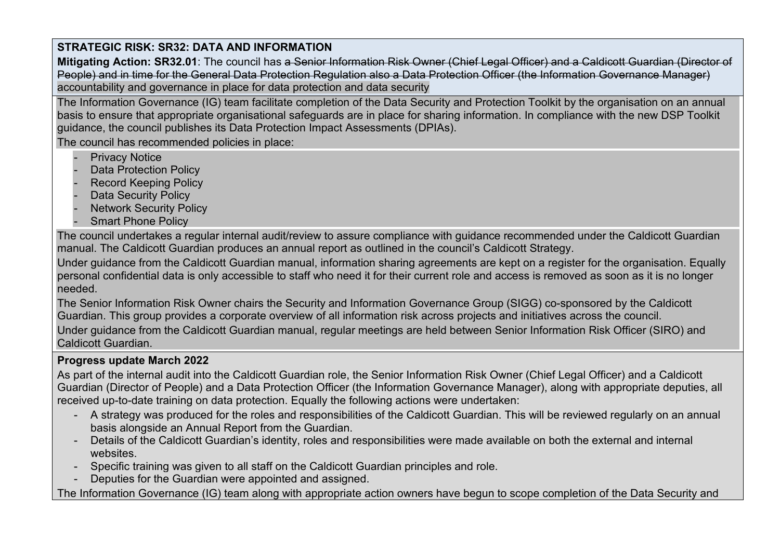**Mitigating Action: SR32.01**: The council has a Senior Information Risk Owner (Chief Legal Officer) and a Caldicott Guardian (Director of People) and in time for the General Data Protection Regulation also a Data Protection Officer (the Information Governance Manager) accountability and governance in place for data protection and data security

The Information Governance (IG) team facilitate completion of the Data Security and Protection Toolkit by the organisation on an annual basis to ensure that appropriate organisational safeguards are in place for sharing information. In compliance with the new DSP Toolkit guidance, the council publishes its Data Protection Impact Assessments (DPIAs).

The council has recommended policies in place:

- **Privacy Notice**
- Data Protection Policy
- **Record Keeping Policy**
- Data Security Policy
- **Network Security Policy**
- **Smart Phone Policy**

The council undertakes a regular internal audit/review to assure compliance with guidance recommended under the Caldicott Guardian manual. The Caldicott Guardian produces an annual report as outlined in the council's Caldicott Strategy.

Under guidance from the Caldicott Guardian manual, information sharing agreements are kept on a register for the organisation. Equally personal confidential data is only accessible to staff who need it for their current role and access is removed as soon as it is no longer needed.

The Senior Information Risk Owner chairs the Security and Information Governance Group (SIGG) co-sponsored by the Caldicott Guardian. This group provides a corporate overview of all information risk across projects and initiatives across the council. Under guidance from the Caldicott Guardian manual, regular meetings are held between Senior Information Risk Officer (SIRO) and Caldicott Guardian.

# **Progress update March 2022**

As part of the internal audit into the Caldicott Guardian role, the Senior Information Risk Owner (Chief Legal Officer) and a Caldicott Guardian (Director of People) and a Data Protection Officer (the Information Governance Manager), along with appropriate deputies, all received up-to-date training on data protection. Equally the following actions were undertaken:

- A strategy was produced for the roles and responsibilities of the Caldicott Guardian. This will be reviewed regularly on an annual basis alongside an Annual Report from the Guardian.
- Details of the Caldicott Guardian's identity, roles and responsibilities were made available on both the external and internal websites.
- Specific training was given to all staff on the Caldicott Guardian principles and role.
- Deputies for the Guardian were appointed and assigned.

The Information Governance (IG) team along with appropriate action owners have begun to scope completion of the Data Security and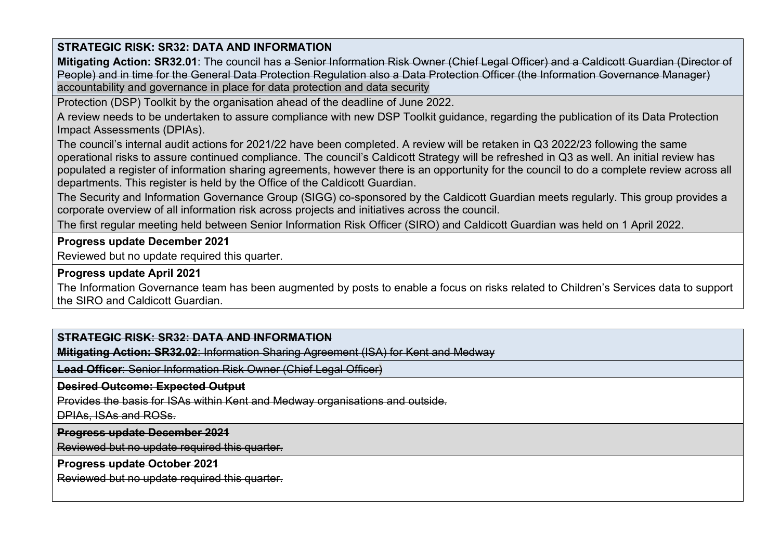**Mitigating Action: SR32.01**: The council has a Senior Information Risk Owner (Chief Legal Officer) and a Caldicott Guardian (Director of People) and in time for the General Data Protection Regulation also a Data Protection Officer (the Information Governance Manager) accountability and governance in place for data protection and data security

Protection (DSP) Toolkit by the organisation ahead of the deadline of June 2022.

A review needs to be undertaken to assure compliance with new DSP Toolkit guidance, regarding the publication of its Data Protection Impact Assessments (DPIAs).

The council's internal audit actions for 2021/22 have been completed. A review will be retaken in Q3 2022/23 following the same operational risks to assure continued compliance. The council's Caldicott Strategy will be refreshed in Q3 as well. An initial review has populated a register of information sharing agreements, however there is an opportunity for the council to do a complete review across all departments. This register is held by the Office of the Caldicott Guardian.

The Security and Information Governance Group (SIGG) co-sponsored by the Caldicott Guardian meets regularly. This group provides a corporate overview of all information risk across projects and initiatives across the council.

The first regular meeting held between Senior Information Risk Officer (SIRO) and Caldicott Guardian was held on 1 April 2022.

### **Progress update December 2021**

Reviewed but no update required this quarter.

#### **Progress update April 2021**

The Information Governance team has been augmented by posts to enable a focus on risks related to Children's Services data to support the SIRO and Caldicott Guardian.

# **STRATEGIC RISK: SR32: DATA AND INFORMATION**

**Mitigating Action: SR32.02**: Information Sharing Agreement (ISA) for Kent and Medway

**Lead Officer**: Senior Information Risk Owner (Chief Legal Officer)

#### **Desired Outcome: Expected Output**

Provides the basis for ISAs within Kent and Medway organisations and outside.

DPIAs, ISAs and ROSs.

#### **Progress update December 2021**

Reviewed but no update required this quarter.

#### **Progress update October 2021**

Reviewed but no update required this quarter.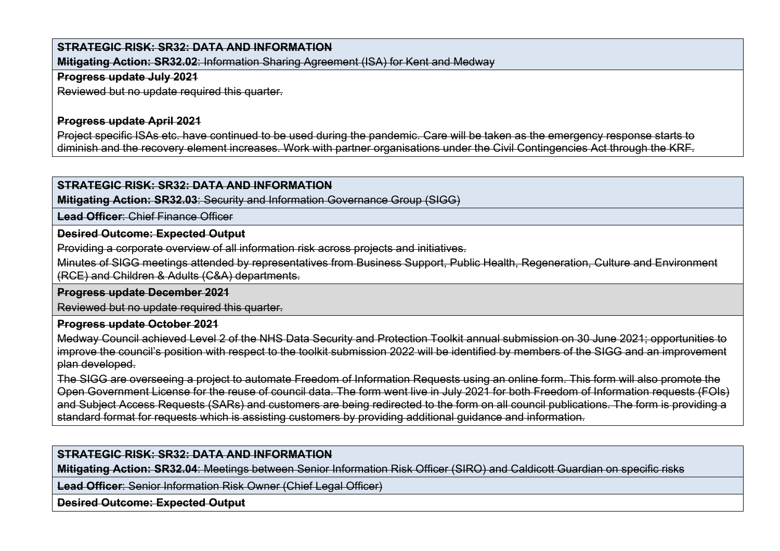**Mitigating Action: SR32.02**: Information Sharing Agreement (ISA) for Kent and Medway

#### **Progress update July 2021**

Reviewed but no update required this quarter.

#### **Progress update April 2021**

Project specific ISAs etc. have continued to be used during the pandemic. Care will be taken as the emergency response starts to diminish and the recovery element increases. Work with partner organisations under the Civil Contingencies Act through the KRF.

#### **STRATEGIC RISK: SR32: DATA AND INFORMATION**

**Mitigating Action: SR32.03**: Security and Information Governance Group (SIGG)

**Lead Officer**: Chief Finance Officer

#### **Desired Outcome: Expected Output**

Providing a corporate overview of all information risk across projects and initiatives.

Minutes of SIGG meetings attended by representatives from Business Support, Public Health, Regeneration, Culture and Environment (RCE) and Children & Adults (C&A) departments.

#### **Progress update December 2021**

Reviewed but no update required this quarter.

#### **Progress update October 2021**

Medway Council achieved Level 2 of the NHS Data Security and Protection Toolkit annual submission on 30 June 2021; opportunities to improve the council's position with respect to the toolkit submission 2022 will be identified by members of the SIGG and an improvement plan developed.

The SIGG are overseeing a project to automate Freedom of Information Requests using an online form. This form will also promote the Open Government License for the reuse of council data. The form went live in July 2021 for both Freedom of Information requests (FOIs) and Subject Access Requests (SARs) and customers are being redirected to the form on all council publications. The form is providing a standard format for requests which is assisting customers by providing additional guidance and information.

### **STRATEGIC RISK: SR32: DATA AND INFORMATION**

**Mitigating Action: SR32.04**: Meetings between Senior Information Risk Officer (SIRO) and Caldicott Guardian on specific risks

**Lead Officer**: Senior Information Risk Owner (Chief Legal Officer)

**Desired Outcome: Expected Output**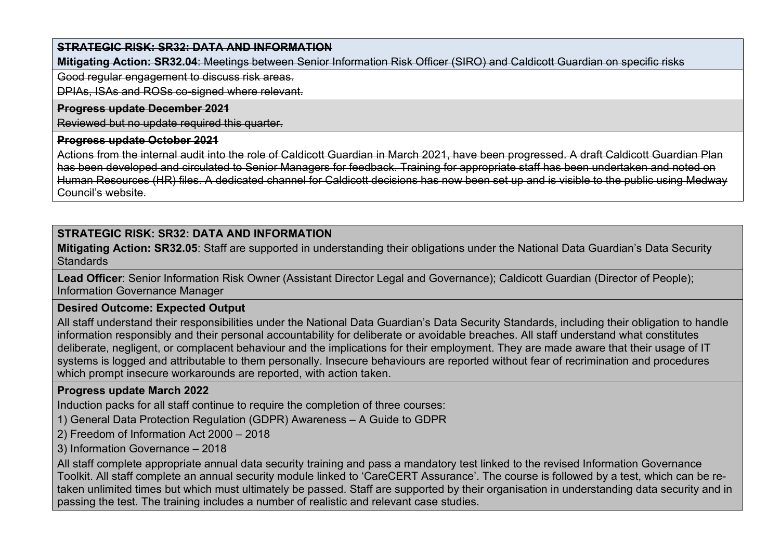**Mitigating Action: SR32.04**: Meetings between Senior Information Risk Officer (SIRO) and Caldicott Guardian on specific risks

Good regular engagement to discuss risk areas.

DPIAs, ISAs and ROSs co-signed where relevant.

#### **Progress update December 2021**

Reviewed but no update required this quarter.

#### **Progress update October 2021**

Actions from the internal audit into the role of Caldicott Guardian in March 2021, have been progressed. A draft Caldicott Guardian Plan has been developed and circulated to Senior Managers for feedback. Training for appropriate staff has been undertaken and noted on Human Resources (HR) files. A dedicated channel for Caldicott decisions has now been set up and is visible to the public using Medway Council's website.

# **STRATEGIC RISK: SR32: DATA AND INFORMATION**

**Mitigating Action: SR32.05**: Staff are supported in understanding their obligations under the National Data Guardian's Data Security **Standards** 

**Lead Officer**: Senior Information Risk Owner (Assistant Director Legal and Governance); Caldicott Guardian (Director of People); Information Governance Manager

### **Desired Outcome: Expected Output**

All staff understand their responsibilities under the National Data Guardian's Data Security Standards, including their obligation to handle information responsibly and their personal accountability for deliberate or avoidable breaches. All staff understand what constitutes deliberate, negligent, or complacent behaviour and the implications for their employment. They are made aware that their usage of IT systems is logged and attributable to them personally. Insecure behaviours are reported without fear of recrimination and procedures which prompt insecure workarounds are reported, with action taken.

# **Progress update March 2022**

Induction packs for all staff continue to require the completion of three courses:

1) General Data Protection Regulation (GDPR) Awareness – A Guide to GDPR

2) Freedom of Information Act 2000 – 2018

3) Information Governance – 2018

All staff complete appropriate annual data security training and pass a mandatory test linked to the revised Information Governance Toolkit. All staff complete an annual security module linked to 'CareCERT Assurance'. The course is followed by a test, which can be retaken unlimited times but which must ultimately be passed. Staff are supported by their organisation in understanding data security and in passing the test. The training includes a number of realistic and relevant case studies.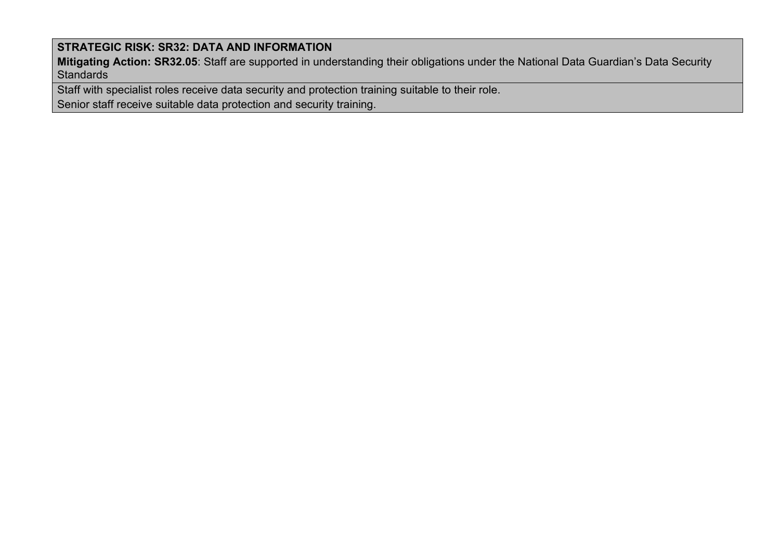**Mitigating Action: SR32.05**: Staff are supported in understanding their obligations under the National Data Guardian's Data Security **Standards** 

Staff with specialist roles receive data security and protection training suitable to their role.

Senior staff receive suitable data protection and security training.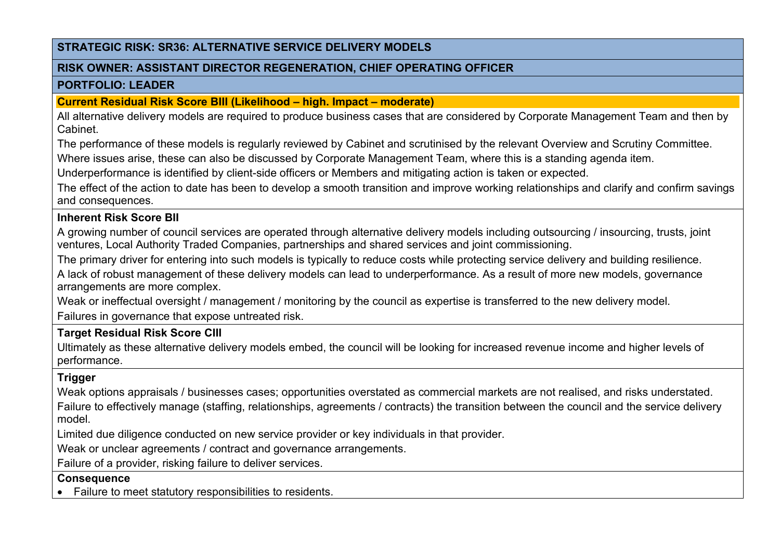#### **RISK OWNER: ASSISTANT DIRECTOR REGENERATION, CHIEF OPERATING OFFICER**

#### **PORTFOLIO: LEADER**

#### **Current Residual Risk Score BIII (Likelihood – high. Impact – moderate)**

All alternative delivery models are required to produce business cases that are considered by Corporate Management Team and then by Cabinet.

The performance of these models is regularly reviewed by Cabinet and scrutinised by the relevant Overview and Scrutiny Committee.

Where issues arise, these can also be discussed by Corporate Management Team, where this is a standing agenda item.

Underperformance is identified by client-side officers or Members and mitigating action is taken or expected.

The effect of the action to date has been to develop a smooth transition and improve working relationships and clarify and confirm savings and consequences.

## **Inherent Risk Score BII**

A growing number of council services are operated through alternative delivery models including outsourcing / insourcing, trusts, joint ventures, Local Authority Traded Companies, partnerships and shared services and joint commissioning.

The primary driver for entering into such models is typically to reduce costs while protecting service delivery and building resilience.

A lack of robust management of these delivery models can lead to underperformance. As a result of more new models, governance arrangements are more complex.

Weak or ineffectual oversight / management / monitoring by the council as expertise is transferred to the new delivery model. Failures in governance that expose untreated risk.

# **Target Residual Risk Score CIII**

Ultimately as these alternative delivery models embed, the council will be looking for increased revenue income and higher levels of performance.

# **Trigger**

Weak options appraisals / businesses cases; opportunities overstated as commercial markets are not realised, and risks understated. Failure to effectively manage (staffing, relationships, agreements / contracts) the transition between the council and the service delivery model.

Limited due diligence conducted on new service provider or key individuals in that provider.

Weak or unclear agreements / contract and governance arrangements.

Failure of a provider, risking failure to deliver services.

### **Consequence**

• Failure to meet statutory responsibilities to residents.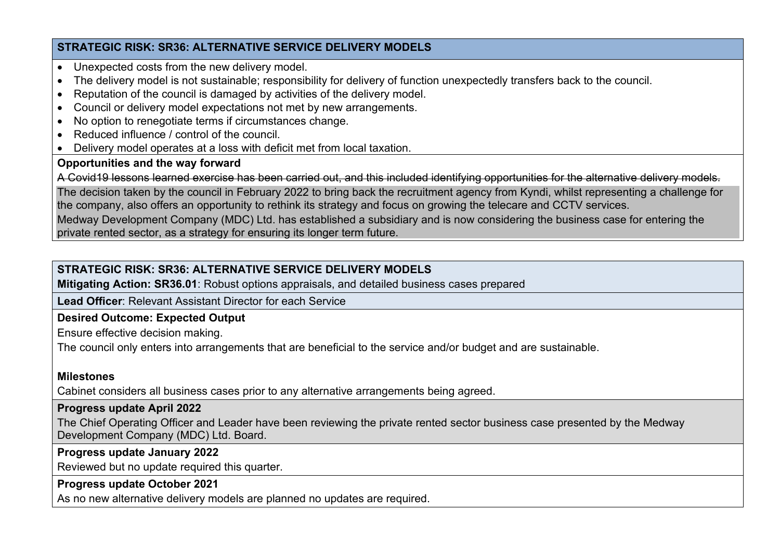- Unexpected costs from the new delivery model.
- The delivery model is not sustainable; responsibility for delivery of function unexpectedly transfers back to the council.
- Reputation of the council is damaged by activities of the delivery model.
- Council or delivery model expectations not met by new arrangements.
- No option to renegotiate terms if circumstances change.
- Reduced influence / control of the council.
- Delivery model operates at a loss with deficit met from local taxation.

#### **Opportunities and the way forward**

A Covid19 lessons learned exercise has been carried out, and this included identifying opportunities for the alternative delivery models.

The decision taken by the council in February 2022 to bring back the recruitment agency from Kyndi, whilst representing a challenge for the company, also offers an opportunity to rethink its strategy and focus on growing the telecare and CCTV services. Medway Development Company (MDC) Ltd. has established a subsidiary and is now considering the business case for entering the

private rented sector, as a strategy for ensuring its longer term future.

## **STRATEGIC RISK: SR36: ALTERNATIVE SERVICE DELIVERY MODELS**

**Mitigating Action: SR36.01**: Robust options appraisals, and detailed business cases prepared

**Lead Officer**: Relevant Assistant Director for each Service

### **Desired Outcome: Expected Output**

Ensure effective decision making.

The council only enters into arrangements that are beneficial to the service and/or budget and are sustainable.

### **Milestones**

Cabinet considers all business cases prior to any alternative arrangements being agreed.

#### **Progress update April 2022**

The Chief Operating Officer and Leader have been reviewing the private rented sector business case presented by the Medway Development Company (MDC) Ltd. Board.

**Progress update January 2022**

Reviewed but no update required this quarter.

# **Progress update October 2021**

As no new alternative delivery models are planned no updates are required.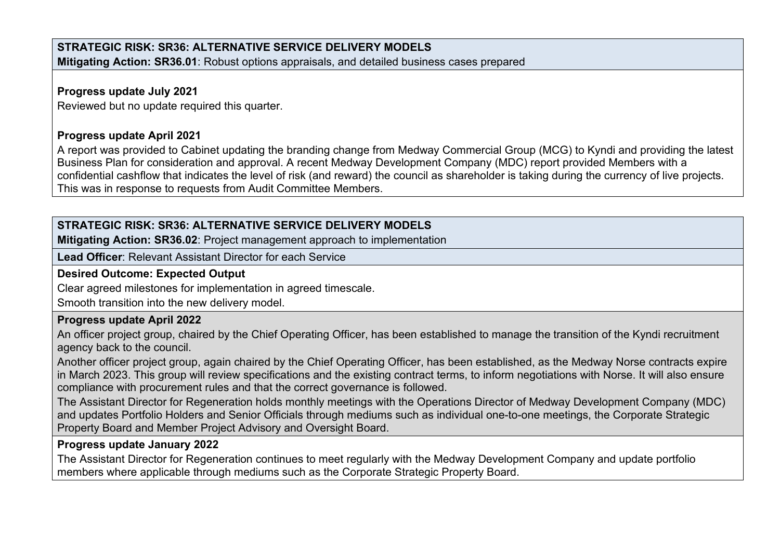# **STRATEGIC RISK: SR36: ALTERNATIVE SERVICE DELIVERY MODELS Mitigating Action: SR36.01**: Robust options appraisals, and detailed business cases prepared

## **Progress update July 2021**

Reviewed but no update required this quarter.

## **Progress update April 2021**

A report was provided to Cabinet updating the branding change from Medway Commercial Group (MCG) to Kyndi and providing the latest Business Plan for consideration and approval. A recent Medway Development Company (MDC) report provided Members with a confidential cashflow that indicates the level of risk (and reward) the council as shareholder is taking during the currency of live projects. This was in response to requests from Audit Committee Members.

# **STRATEGIC RISK: SR36: ALTERNATIVE SERVICE DELIVERY MODELS**

**Mitigating Action: SR36.02**: Project management approach to implementation

**Lead Officer**: Relevant Assistant Director for each Service

## **Desired Outcome: Expected Output**

Clear agreed milestones for implementation in agreed timescale.

Smooth transition into the new delivery model.

# **Progress update April 2022**

An officer project group, chaired by the Chief Operating Officer, has been established to manage the transition of the Kyndi recruitment agency back to the council.

Another officer project group, again chaired by the Chief Operating Officer, has been established, as the Medway Norse contracts expire in March 2023. This group will review specifications and the existing contract terms, to inform negotiations with Norse. It will also ensure compliance with procurement rules and that the correct governance is followed.

The Assistant Director for Regeneration holds monthly meetings with the Operations Director of Medway Development Company (MDC) and updates Portfolio Holders and Senior Officials through mediums such as individual one-to-one meetings, the Corporate Strategic Property Board and Member Project Advisory and Oversight Board.

# **Progress update January 2022**

The Assistant Director for Regeneration continues to meet regularly with the Medway Development Company and update portfolio members where applicable through mediums such as the Corporate Strategic Property Board.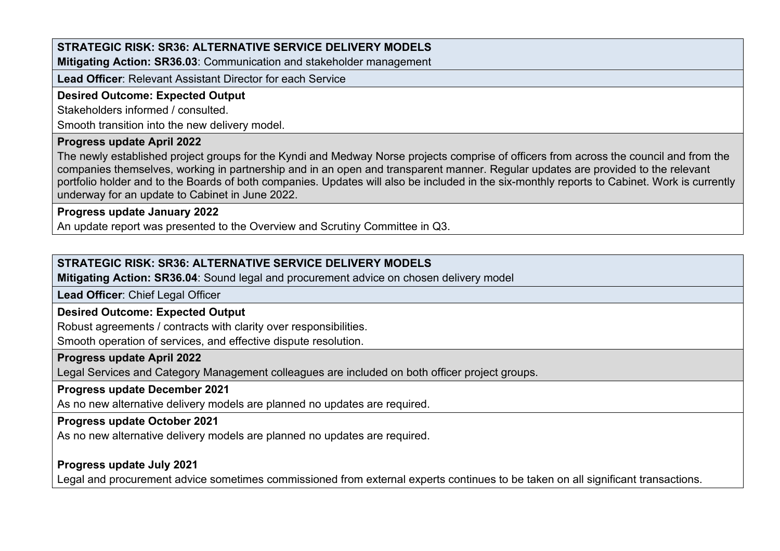**Mitigating Action: SR36.03**: Communication and stakeholder management

**Lead Officer**: Relevant Assistant Director for each Service

### **Desired Outcome: Expected Output**

Stakeholders informed / consulted.

Smooth transition into the new delivery model.

#### **Progress update April 2022**

The newly established project groups for the Kyndi and Medway Norse projects comprise of officers from across the council and from the companies themselves, working in partnership and in an open and transparent manner. Regular updates are provided to the relevant portfolio holder and to the Boards of both companies. Updates will also be included in the six-monthly reports to Cabinet. Work is currently underway for an update to Cabinet in June 2022.

#### **Progress update January 2022**

An update report was presented to the Overview and Scrutiny Committee in Q3.

# **STRATEGIC RISK: SR36: ALTERNATIVE SERVICE DELIVERY MODELS**

**Mitigating Action: SR36.04**: Sound legal and procurement advice on chosen delivery model

**Lead Officer**: Chief Legal Officer

### **Desired Outcome: Expected Output**

Robust agreements / contracts with clarity over responsibilities.

Smooth operation of services, and effective dispute resolution.

#### **Progress update April 2022**

Legal Services and Category Management colleagues are included on both officer project groups.

#### **Progress update December 2021**

As no new alternative delivery models are planned no updates are required.

#### **Progress update October 2021**

As no new alternative delivery models are planned no updates are required.

### **Progress update July 2021**

Legal and procurement advice sometimes commissioned from external experts continues to be taken on all significant transactions.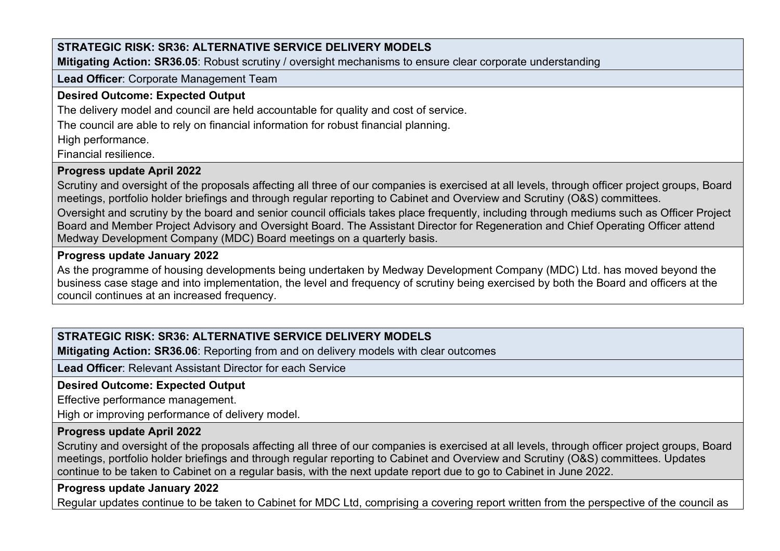**Mitigating Action: SR36.05**: Robust scrutiny / oversight mechanisms to ensure clear corporate understanding

#### **Lead Officer**: Corporate Management Team

## **Desired Outcome: Expected Output**

The delivery model and council are held accountable for quality and cost of service.

The council are able to rely on financial information for robust financial planning.

High performance.

Financial resilience.

# **Progress update April 2022**

Scrutiny and oversight of the proposals affecting all three of our companies is exercised at all levels, through officer project groups, Board meetings, portfolio holder briefings and through regular reporting to Cabinet and Overview and Scrutiny (O&S) committees.

Oversight and scrutiny by the board and senior council officials takes place frequently, including through mediums such as Officer Project Board and Member Project Advisory and Oversight Board. The Assistant Director for Regeneration and Chief Operating Officer attend Medway Development Company (MDC) Board meetings on a quarterly basis.

# **Progress update January 2022**

As the programme of housing developments being undertaken by Medway Development Company (MDC) Ltd. has moved beyond the business case stage and into implementation, the level and frequency of scrutiny being exercised by both the Board and officers at the council continues at an increased frequency.

# **STRATEGIC RISK: SR36: ALTERNATIVE SERVICE DELIVERY MODELS**

**Mitigating Action: SR36.06**: Reporting from and on delivery models with clear outcomes

**Lead Officer**: Relevant Assistant Director for each Service

# **Desired Outcome: Expected Output**

Effective performance management.

High or improving performance of delivery model.

# **Progress update April 2022**

Scrutiny and oversight of the proposals affecting all three of our companies is exercised at all levels, through officer project groups, Board meetings, portfolio holder briefings and through regular reporting to Cabinet and Overview and Scrutiny (O&S) committees. Updates continue to be taken to Cabinet on a regular basis, with the next update report due to go to Cabinet in June 2022.

# **Progress update January 2022**

Regular updates continue to be taken to Cabinet for MDC Ltd, comprising a covering report written from the perspective of the council as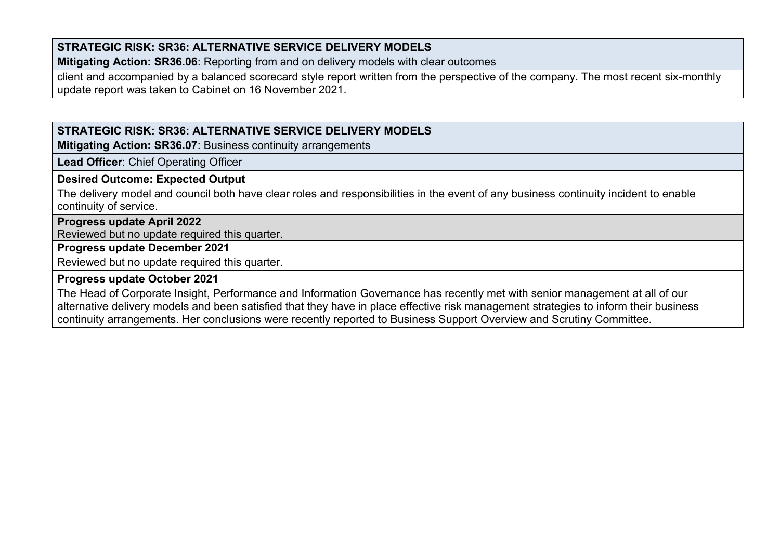**Mitigating Action: SR36.06**: Reporting from and on delivery models with clear outcomes

client and accompanied by a balanced scorecard style report written from the perspective of the company. The most recent six-monthly update report was taken to Cabinet on 16 November 2021.

# **STRATEGIC RISK: SR36: ALTERNATIVE SERVICE DELIVERY MODELS**

**Mitigating Action: SR36.07**: Business continuity arrangements

**Lead Officer**: Chief Operating Officer

## **Desired Outcome: Expected Output**

The delivery model and council both have clear roles and responsibilities in the event of any business continuity incident to enable continuity of service.

### **Progress update April 2022**

Reviewed but no update required this quarter.

### **Progress update December 2021**

Reviewed but no update required this quarter.

### **Progress update October 2021**

The Head of Corporate Insight, Performance and Information Governance has recently met with senior management at all of our alternative delivery models and been satisfied that they have in place effective risk management strategies to inform their business continuity arrangements. Her conclusions were recently reported to Business Support Overview and Scrutiny Committee.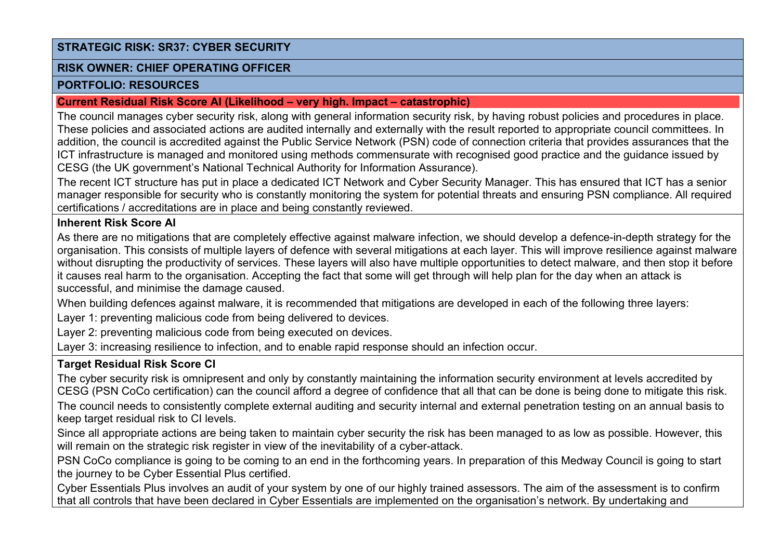### **RISK OWNER: CHIEF OPERATING OFFICER**

#### **PORTFOLIO: RESOURCES**

#### **Current Residual Risk Score AI (Likelihood – very high. Impact – catastrophic)**

The council manages cyber security risk, along with general information security risk, by having robust policies and procedures in place. These policies and associated actions are audited internally and externally with the result reported to appropriate council committees. In addition, the council is accredited against the Public Service Network (PSN) code of connection criteria that provides assurances that the ICT infrastructure is managed and monitored using methods commensurate with recognised good practice and the guidance issued by CESG (the UK government's National Technical Authority for Information Assurance).

The recent ICT structure has put in place a dedicated ICT Network and Cyber Security Manager. This has ensured that ICT has a senior manager responsible for security who is constantly monitoring the system for potential threats and ensuring PSN compliance. All required certifications / accreditations are in place and being constantly reviewed.

### **Inherent Risk Score AI**

As there are no mitigations that are completely effective against malware infection, we should develop a defence-in-depth strategy for the organisation. This consists of multiple layers of defence with several mitigations at each layer. This will improve resilience against malware without disrupting the productivity of services. These layers will also have multiple opportunities to detect malware, and then stop it before it causes real harm to the organisation. Accepting the fact that some will get through will help plan for the day when an attack is successful, and minimise the damage caused.

When building defences against malware, it is recommended that mitigations are developed in each of the following three layers:

Layer 1: preventing malicious code from being delivered to devices.

Layer 2: preventing malicious code from being executed on devices.

Layer 3: increasing resilience to infection, and to enable rapid response should an infection occur.

# **Target Residual Risk Score CI**

The cyber security risk is omnipresent and only by constantly maintaining the information security environment at levels accredited by CESG (PSN CoCo certification) can the council afford a degree of confidence that all that can be done is being done to mitigate this risk.

The council needs to consistently complete external auditing and security internal and external penetration testing on an annual basis to keep target residual risk to CI levels.

Since all appropriate actions are being taken to maintain cyber security the risk has been managed to as low as possible. However, this will remain on the strategic risk register in view of the inevitability of a cyber-attack.

PSN CoCo compliance is going to be coming to an end in the forthcoming years. In preparation of this Medway Council is going to start the journey to be Cyber Essential Plus certified.

Cyber Essentials Plus involves an audit of your system by one of our highly trained assessors. The aim of the assessment is to confirm that all controls that have been declared in Cyber Essentials are implemented on the organisation's network. By undertaking and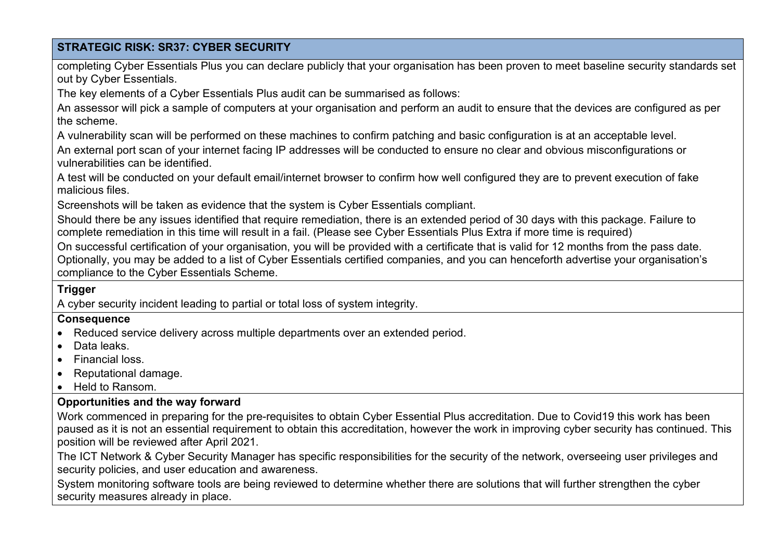completing Cyber Essentials Plus you can declare publicly that your organisation has been proven to meet baseline security standards set out by Cyber Essentials.

The key elements of a Cyber Essentials Plus audit can be summarised as follows:

An assessor will pick a sample of computers at your organisation and perform an audit to ensure that the devices are configured as per the scheme.

A vulnerability scan will be performed on these machines to confirm patching and basic configuration is at an acceptable level.

An external port scan of your internet facing IP addresses will be conducted to ensure no clear and obvious misconfigurations or vulnerabilities can be identified.

A test will be conducted on your default email/internet browser to confirm how well configured they are to prevent execution of fake malicious files.

Screenshots will be taken as evidence that the system is Cyber Essentials compliant.

Should there be any issues identified that require remediation, there is an extended period of 30 days with this package. Failure to complete remediation in this time will result in a fail. (Please see Cyber Essentials Plus Extra if more time is required)

On successful certification of your organisation, you will be provided with a certificate that is valid for 12 months from the pass date. Optionally, you may be added to a list of Cyber Essentials certified companies, and you can henceforth advertise your organisation's compliance to the Cyber Essentials Scheme.

# **Trigger**

A cyber security incident leading to partial or total loss of system integrity.

### **Consequence**

- Reduced service delivery across multiple departments over an extended period.
- Data leaks.
- Financial loss.
- Reputational damage.
- Held to Ransom.

# **Opportunities and the way forward**

Work commenced in preparing for the pre-requisites to obtain Cyber Essential Plus accreditation. Due to Covid19 this work has been paused as it is not an essential requirement to obtain this accreditation, however the work in improving cyber security has continued. This position will be reviewed after April 2021.

The ICT Network & Cyber Security Manager has specific responsibilities for the security of the network, overseeing user privileges and security policies, and user education and awareness.

System monitoring software tools are being reviewed to determine whether there are solutions that will further strengthen the cyber security measures already in place.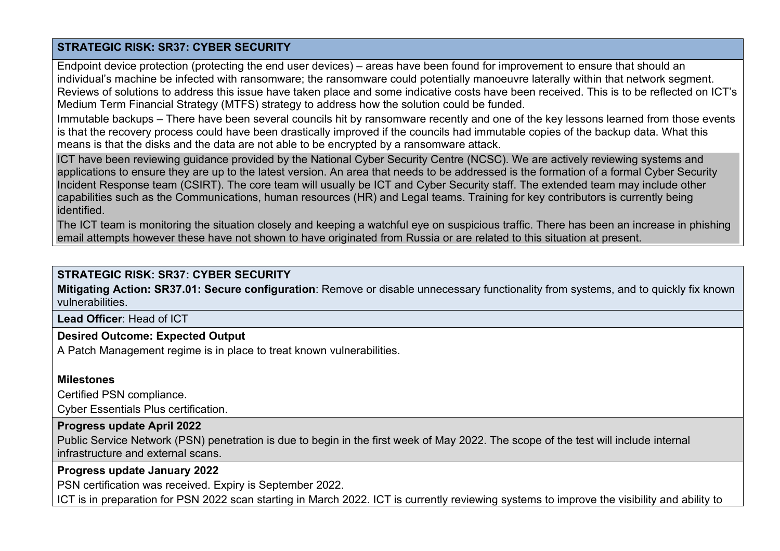Endpoint device protection (protecting the end user devices) – areas have been found for improvement to ensure that should an individual's machine be infected with ransomware; the ransomware could potentially manoeuvre laterally within that network segment. Reviews of solutions to address this issue have taken place and some indicative costs have been received. This is to be reflected on ICT's Medium Term Financial Strategy (MTFS) strategy to address how the solution could be funded.

Immutable backups – There have been several councils hit by ransomware recently and one of the key lessons learned from those events is that the recovery process could have been drastically improved if the councils had immutable copies of the backup data. What this means is that the disks and the data are not able to be encrypted by a ransomware attack.

ICT have been reviewing guidance provided by the National Cyber Security Centre (NCSC). We are actively reviewing systems and applications to ensure they are up to the latest version. An area that needs to be addressed is the formation of a formal Cyber Security Incident Response team (CSIRT). The core team will usually be ICT and Cyber Security staff. The extended team may include other capabilities such as the Communications, human resources (HR) and Legal teams. Training for key contributors is currently being identified.

The ICT team is monitoring the situation closely and keeping a watchful eye on suspicious traffic. There has been an increase in phishing email attempts however these have not shown to have originated from Russia or are related to this situation at present.

### **STRATEGIC RISK: SR37: CYBER SECURITY**

**Mitigating Action: SR37.01: Secure configuration**: Remove or disable unnecessary functionality from systems, and to quickly fix known vulnerabilities.

**Lead Officer**: Head of ICT

#### **Desired Outcome: Expected Output**

A Patch Management regime is in place to treat known vulnerabilities.

#### **Milestones**

Certified PSN compliance.

Cyber Essentials Plus certification.

#### **Progress update April 2022**

Public Service Network (PSN) penetration is due to begin in the first week of May 2022. The scope of the test will include internal infrastructure and external scans.

#### **Progress update January 2022**

PSN certification was received. Expiry is September 2022.

ICT is in preparation for PSN 2022 scan starting in March 2022. ICT is currently reviewing systems to improve the visibility and ability to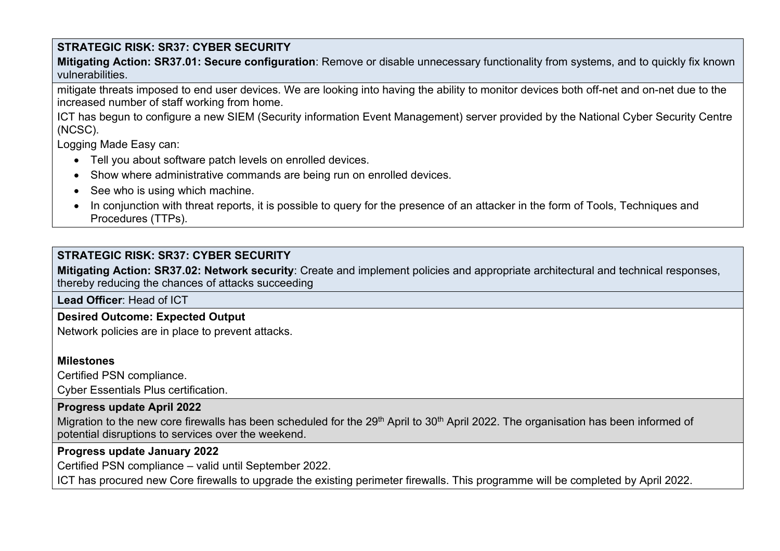**Mitigating Action: SR37.01: Secure configuration**: Remove or disable unnecessary functionality from systems, and to quickly fix known vulnerabilities.

mitigate threats imposed to end user devices. We are looking into having the ability to monitor devices both off-net and on-net due to the increased number of staff working from home.

ICT has begun to configure a new SIEM (Security information Event Management) server provided by the National Cyber Security Centre (NCSC).

Logging Made Easy can:

- Tell you about software patch levels on enrolled devices.
- Show where administrative commands are being run on enrolled devices.
- See who is using which machine.
- In coniunction with threat reports, it is possible to query for the presence of an attacker in the form of Tools, Techniques and Procedures (TTPs).

# **STRATEGIC RISK: SR37: CYBER SECURITY**

**Mitigating Action: SR37.02: Network security**: Create and implement policies and appropriate architectural and technical responses, thereby reducing the chances of attacks succeeding

**Lead Officer**: Head of ICT

**Desired Outcome: Expected Output**

Network policies are in place to prevent attacks.

### **Milestones**

Certified PSN compliance.

Cyber Essentials Plus certification.

### **Progress update April 2022**

Migration to the new core firewalls has been scheduled for the 29<sup>th</sup> April to 30<sup>th</sup> April 2022. The organisation has been informed of potential disruptions to services over the weekend.

### **Progress update January 2022**

Certified PSN compliance – valid until September 2022.

ICT has procured new Core firewalls to upgrade the existing perimeter firewalls. This programme will be completed by April 2022.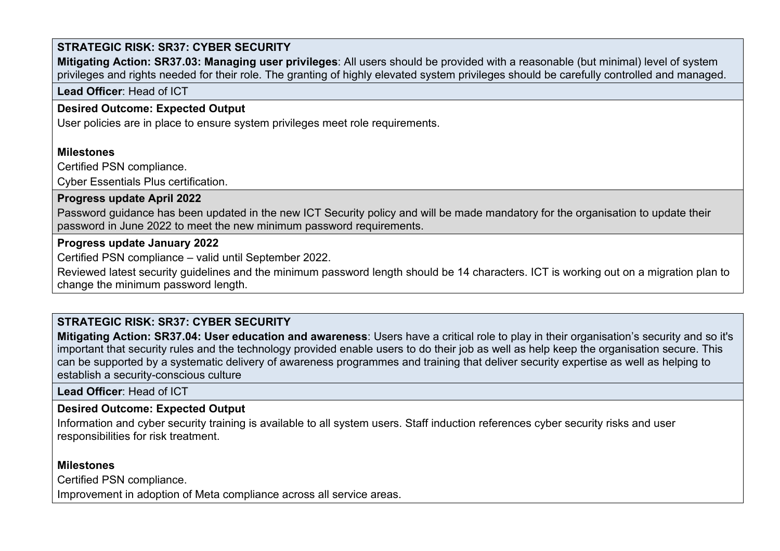**Mitigating Action: SR37.03: Managing user privileges**: All users should be provided with a reasonable (but minimal) level of system privileges and rights needed for their role. The granting of highly elevated system privileges should be carefully controlled and managed.

**Lead Officer**: Head of ICT

# **Desired Outcome: Expected Output**

User policies are in place to ensure system privileges meet role requirements.

## **Milestones**

Certified PSN compliance.

Cyber Essentials Plus certification.

# **Progress update April 2022**

Password guidance has been updated in the new ICT Security policy and will be made mandatory for the organisation to update their password in June 2022 to meet the new minimum password requirements.

## **Progress update January 2022**

Certified PSN compliance – valid until September 2022.

Reviewed latest security guidelines and the minimum password length should be 14 characters. ICT is working out on a migration plan to change the minimum password length.

# **STRATEGIC RISK: SR37: CYBER SECURITY**

**Mitigating Action: SR37.04: User education and awareness**: Users have a critical role to play in their organisation's security and so it's important that security rules and the technology provided enable users to do their job as well as help keep the organisation secure. This can be supported by a systematic delivery of awareness programmes and training that deliver security expertise as well as helping to establish a security-conscious culture

**Lead Officer**: Head of ICT

# **Desired Outcome: Expected Output**

Information and cyber security training is available to all system users. Staff induction references cyber security risks and user responsibilities for risk treatment.

# **Milestones**

Certified PSN compliance.

Improvement in adoption of Meta compliance across all service areas.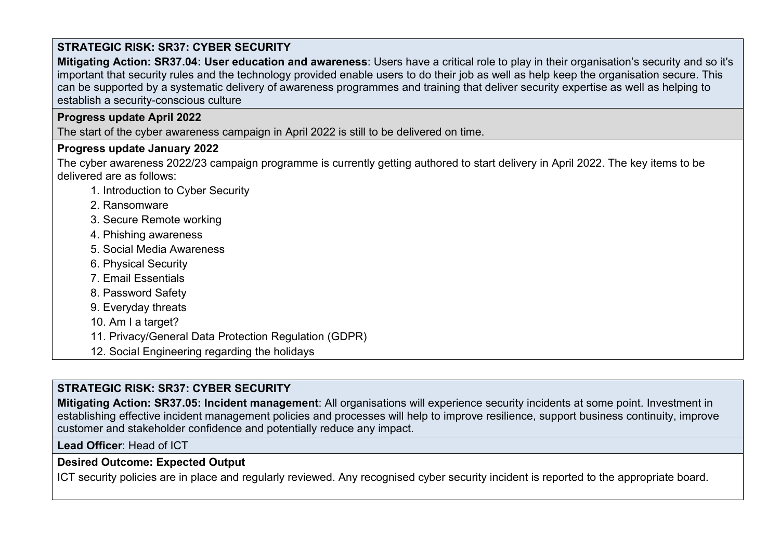**Mitigating Action: SR37.04: User education and awareness**: Users have a critical role to play in their organisation's security and so it's important that security rules and the technology provided enable users to do their job as well as help keep the organisation secure. This can be supported by a systematic delivery of awareness programmes and training that deliver security expertise as well as helping to establish a security-conscious culture

## **Progress update April 2022**

The start of the cyber awareness campaign in April 2022 is still to be delivered on time.

### **Progress update January 2022**

The cyber awareness 2022/23 campaign programme is currently getting authored to start delivery in April 2022. The key items to be delivered are as follows:

- 1. Introduction to Cyber Security
- 2. Ransomware
- 3. Secure Remote working
- 4. Phishing awareness
- 5. Social Media Awareness
- 6. Physical Security
- 7. Email Essentials
- 8. Password Safety
- 9. Everyday threats
- 10. Am I a target?
- 11. Privacy/General Data Protection Regulation (GDPR)
- 12. Social Engineering regarding the holidays

# **STRATEGIC RISK: SR37: CYBER SECURITY**

**Mitigating Action: SR37.05: Incident management**: All organisations will experience security incidents at some point. Investment in establishing effective incident management policies and processes will help to improve resilience, support business continuity, improve customer and stakeholder confidence and potentially reduce any impact.

**Lead Officer**: Head of ICT

# **Desired Outcome: Expected Output**

ICT security policies are in place and regularly reviewed. Any recognised cyber security incident is reported to the appropriate board.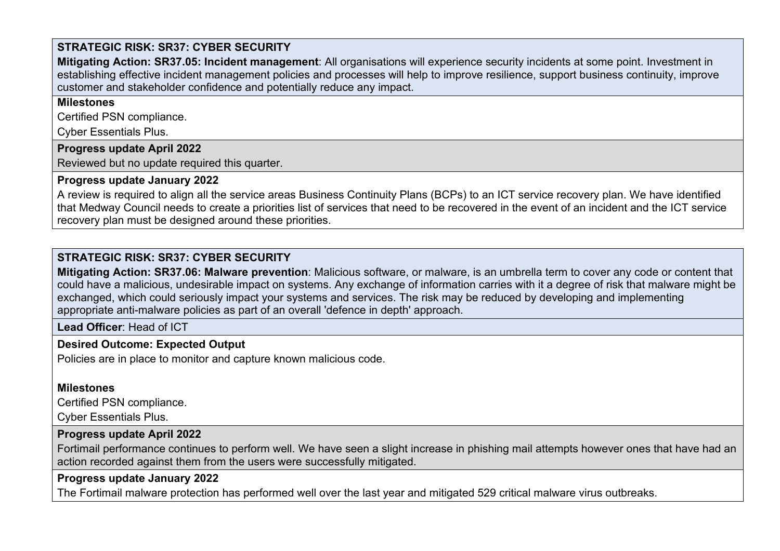**Mitigating Action: SR37.05: Incident management**: All organisations will experience security incidents at some point. Investment in establishing effective incident management policies and processes will help to improve resilience, support business continuity, improve customer and stakeholder confidence and potentially reduce any impact.

#### **Milestones**

Certified PSN compliance.

Cyber Essentials Plus.

#### **Progress update April 2022**

Reviewed but no update required this quarter.

### **Progress update January 2022**

A review is required to align all the service areas Business Continuity Plans (BCPs) to an ICT service recovery plan. We have identified that Medway Council needs to create a priorities list of services that need to be recovered in the event of an incident and the ICT service recovery plan must be designed around these priorities.

# **STRATEGIC RISK: SR37: CYBER SECURITY**

**Mitigating Action: SR37.06: Malware prevention**: Malicious software, or malware, is an umbrella term to cover any code or content that could have a malicious, undesirable impact on systems. Any exchange of information carries with it a degree of risk that malware might be exchanged, which could seriously impact your systems and services. The risk may be reduced by developing and implementing appropriate anti-malware policies as part of an overall 'defence in depth' approach.

**Lead Officer**: Head of ICT

# **Desired Outcome: Expected Output**

Policies are in place to monitor and capture known malicious code.

# **Milestones**

Certified PSN compliance.

Cyber Essentials Plus.

# **Progress update April 2022**

Fortimail performance continues to perform well. We have seen a slight increase in phishing mail attempts however ones that have had an action recorded against them from the users were successfully mitigated.

# **Progress update January 2022**

The Fortimail malware protection has performed well over the last year and mitigated 529 critical malware virus outbreaks.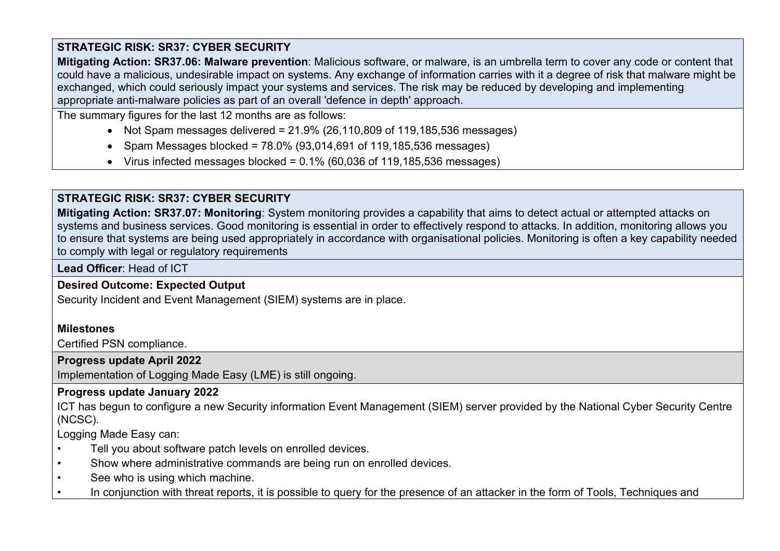**Mitigating Action: SR37.06: Malware prevention**: Malicious software, or malware, is an umbrella term to cover any code or content that could have a malicious, undesirable impact on systems. Any exchange of information carries with it a degree of risk that malware might be exchanged, which could seriously impact your systems and services. The risk may be reduced by developing and implementing appropriate anti-malware policies as part of an overall 'defence in depth' approach.

The summary figures for the last 12 months are as follows:

- Not Spam messages delivered =  $21.9\%$  (26,110,809 of 119,185,536 messages)
- Spam Messages blocked =  $78.0\%$  (93,014,691 of 119,185,536 messages)
- Virus infected messages blocked =  $0.1\%$  (60,036 of 119,185,536 messages)

# **STRATEGIC RISK: SR37: CYBER SECURITY**

**Mitigating Action: SR37.07: Monitoring**: System monitoring provides a capability that aims to detect actual or attempted attacks on systems and business services. Good monitoring is essential in order to effectively respond to attacks. In addition, monitoring allows you to ensure that systems are being used appropriately in accordance with organisational policies. Monitoring is often a key capability needed to comply with legal or regulatory requirements

**Lead Officer**: Head of ICT

# **Desired Outcome: Expected Output**

Security Incident and Event Management (SIEM) systems are in place.

# **Milestones**

Certified PSN compliance.

# **Progress update April 2022**

Implementation of Logging Made Easy (LME) is still ongoing.

# **Progress update January 2022**

ICT has begun to configure a new Security information Event Management (SIEM) server provided by the National Cyber Security Centre (NCSC).

Logging Made Easy can:

- Tell you about software patch levels on enrolled devices.
- Show where administrative commands are being run on enrolled devices.
- See who is using which machine.
- In conjunction with threat reports, it is possible to query for the presence of an attacker in the form of Tools, Techniques and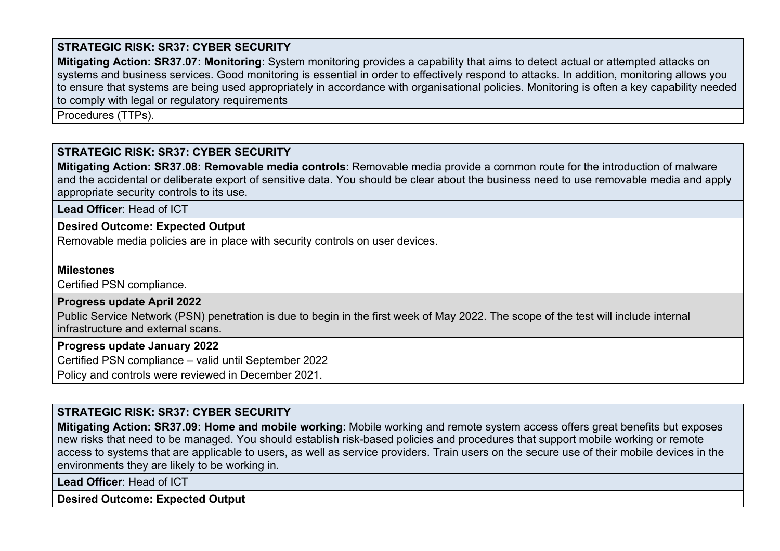**Mitigating Action: SR37.07: Monitoring**: System monitoring provides a capability that aims to detect actual or attempted attacks on systems and business services. Good monitoring is essential in order to effectively respond to attacks. In addition, monitoring allows you to ensure that systems are being used appropriately in accordance with organisational policies. Monitoring is often a key capability needed to comply with legal or regulatory requirements

Procedures (TTPs).

### **STRATEGIC RISK: SR37: CYBER SECURITY**

**Mitigating Action: SR37.08: Removable media controls**: Removable media provide a common route for the introduction of malware and the accidental or deliberate export of sensitive data. You should be clear about the business need to use removable media and apply appropriate security controls to its use.

**Lead Officer**: Head of ICT

#### **Desired Outcome: Expected Output**

Removable media policies are in place with security controls on user devices.

#### **Milestones**

Certified PSN compliance.

#### **Progress update April 2022**

Public Service Network (PSN) penetration is due to begin in the first week of May 2022. The scope of the test will include internal infrastructure and external scans.

#### **Progress update January 2022**

Certified PSN compliance – valid until September 2022

Policy and controls were reviewed in December 2021.

#### **STRATEGIC RISK: SR37: CYBER SECURITY**

**Mitigating Action: SR37.09: Home and mobile working**: Mobile working and remote system access offers great benefits but exposes new risks that need to be managed. You should establish risk-based policies and procedures that support mobile working or remote access to systems that are applicable to users, as well as service providers. Train users on the secure use of their mobile devices in the environments they are likely to be working in.

**Lead Officer**: Head of ICT

**Desired Outcome: Expected Output**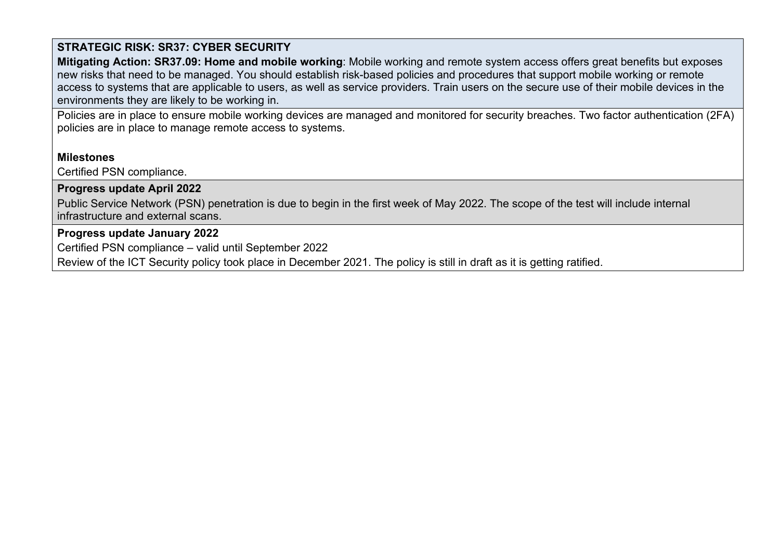**Mitigating Action: SR37.09: Home and mobile working**: Mobile working and remote system access offers great benefits but exposes new risks that need to be managed. You should establish risk-based policies and procedures that support mobile working or remote access to systems that are applicable to users, as well as service providers. Train users on the secure use of their mobile devices in the environments they are likely to be working in.

Policies are in place to ensure mobile working devices are managed and monitored for security breaches. Two factor authentication (2FA) policies are in place to manage remote access to systems.

#### **Milestones**

Certified PSN compliance.

### **Progress update April 2022**

Public Service Network (PSN) penetration is due to begin in the first week of May 2022. The scope of the test will include internal infrastructure and external scans.

# **Progress update January 2022**

Certified PSN compliance – valid until September 2022

Review of the ICT Security policy took place in December 2021. The policy is still in draft as it is getting ratified.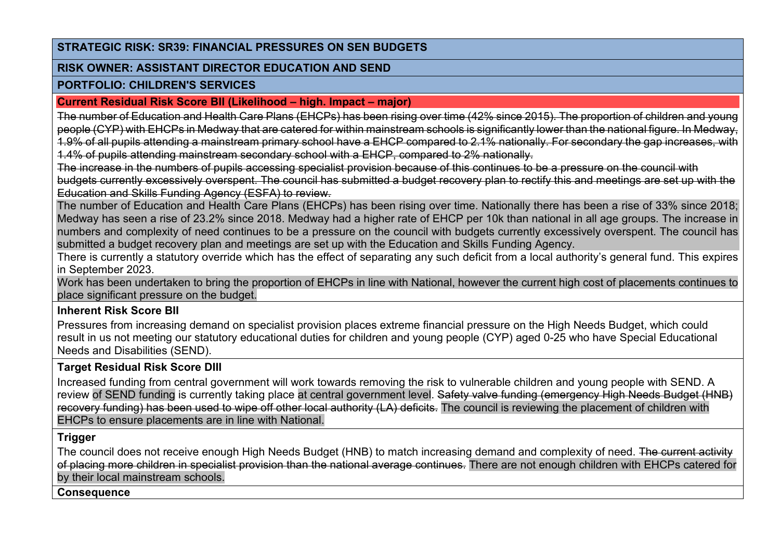#### **STRATEGIC RISK: SR39: FINANCIAL PRESSURES ON SEN BUDGETS**

#### **RISK OWNER: ASSISTANT DIRECTOR EDUCATION AND SEND**

#### **PORTFOLIO: CHILDREN'S SERVICES**

#### **Current Residual Risk Score BII (Likelihood – high. Impact – major)**

The number of Education and Health Care Plans (EHCPs) has been rising over time (42% since 2015). The proportion of children and young people (CYP) with EHCPs in Medway that are catered for within mainstream schools is significantly lower than the national figure. In Medway, 1.9% of all pupils attending a mainstream primary school have a EHCP compared to 2.1% nationally. For secondary the gap increases, with

1.4% of pupils attending mainstream secondary school with a EHCP, compared to 2% nationally.

The increase in the numbers of pupils accessing specialist provision because of this continues to be a pressure on the council with budgets currently excessively overspent. The council has submitted a budget recovery plan to rectify this and meetings are set up with the Education and Skills Funding Agency (ESFA) to review.

The number of Education and Health Care Plans (EHCPs) has been rising over time. Nationally there has been a rise of 33% since 2018; Medway has seen a rise of 23.2% since 2018. Medway had a higher rate of EHCP per 10k than national in all age groups. The increase in numbers and complexity of need continues to be a pressure on the council with budgets currently excessively overspent. The council has submitted a budget recovery plan and meetings are set up with the Education and Skills Funding Agency.

There is currently a statutory override which has the effect of separating any such deficit from a local authority's general fund. This expires in September 2023.

Work has been undertaken to bring the proportion of EHCPs in line with National, however the current high cost of placements continues to place significant pressure on the budget.

### **Inherent Risk Score BII**

Pressures from increasing demand on specialist provision places extreme financial pressure on the High Needs Budget, which could result in us not meeting our statutory educational duties for children and young people (CYP) aged 0-25 who have Special Educational Needs and Disabilities (SEND).

### **Target Residual Risk Score DIII**

Increased funding from central government will work towards removing the risk to vulnerable children and young people with SEND. A review of SEND funding is currently taking place at central government level. Safety valve funding (emergency High Needs Budget (HNB) recovery funding) has been used to wipe off other local authority (LA) deficits. The council is reviewing the placement of children with EHCPs to ensure placements are in line with National.

### **Trigger**

The council does not receive enough High Needs Budget (HNB) to match increasing demand and complexity of need. The current activity of placing more children in specialist provision than the national average continues. There are not enough children with EHCPs catered for by their local mainstream schools.

**Consequence**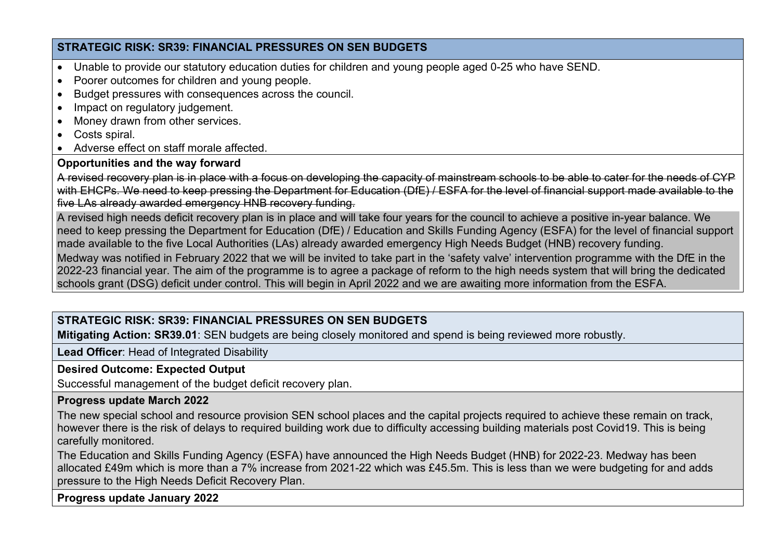### **STRATEGIC RISK: SR39: FINANCIAL PRESSURES ON SEN BUDGETS**

- Unable to provide our statutory education duties for children and young people aged 0-25 who have SEND.
- Poorer outcomes for children and young people.
- Budget pressures with consequences across the council.
- Impact on regulatory judgement.
- Money drawn from other services.
- Costs spiral.
- Adverse effect on staff morale affected.

# **Opportunities and the way forward**

A revised recovery plan is in place with a focus on developing the capacity of mainstream schools to be able to cater for the needs of CYP with EHCPs. We need to keep pressing the Department for Education (DfE) / ESFA for the level of financial support made available to the five LAs already awarded emergency HNB recovery funding.

A revised high needs deficit recovery plan is in place and will take four years for the council to achieve a positive in-year balance. We need to keep pressing the Department for Education (DfE) / Education and Skills Funding Agency (ESFA) for the level of financial support made available to the five Local Authorities (LAs) already awarded emergency High Needs Budget (HNB) recovery funding.

Medway was notified in February 2022 that we will be invited to take part in the 'safety valve' intervention programme with the DfE in the 2022-23 financial year. The aim of the programme is to agree a package of reform to the high needs system that will bring the dedicated schools grant (DSG) deficit under control. This will begin in April 2022 and we are awaiting more information from the ESFA.

# **STRATEGIC RISK: SR39: FINANCIAL PRESSURES ON SEN BUDGETS**

**Mitigating Action: SR39.01**: SEN budgets are being closely monitored and spend is being reviewed more robustly.

**Lead Officer**: Head of Integrated Disability

**Desired Outcome: Expected Output**

Successful management of the budget deficit recovery plan.

### **Progress update March 2022**

The new special school and resource provision SEN school places and the capital projects required to achieve these remain on track, however there is the risk of delays to required building work due to difficulty accessing building materials post Covid19. This is being carefully monitored.

The Education and Skills Funding Agency (ESFA) have announced the High Needs Budget (HNB) for 2022-23. Medway has been allocated £49m which is more than a 7% increase from 2021-22 which was £45.5m. This is less than we were budgeting for and adds pressure to the High Needs Deficit Recovery Plan.

**Progress update January 2022**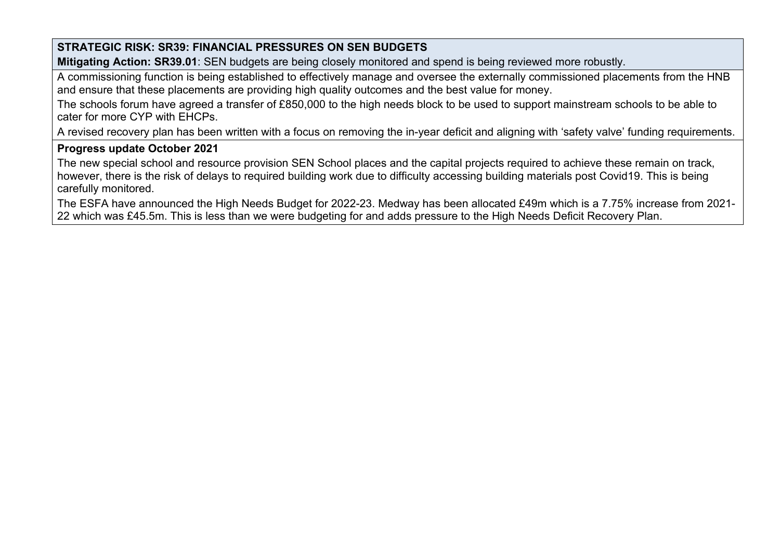# **STRATEGIC RISK: SR39: FINANCIAL PRESSURES ON SEN BUDGETS**

**Mitigating Action: SR39.01**: SEN budgets are being closely monitored and spend is being reviewed more robustly.

A commissioning function is being established to effectively manage and oversee the externally commissioned placements from the HNB and ensure that these placements are providing high quality outcomes and the best value for money.

The schools forum have agreed a transfer of £850,000 to the high needs block to be used to support mainstream schools to be able to cater for more CYP with EHCPs.

A revised recovery plan has been written with a focus on removing the in-year deficit and aligning with 'safety valve' funding requirements.

#### **Progress update October 2021**

The new special school and resource provision SEN School places and the capital projects required to achieve these remain on track, however, there is the risk of delays to required building work due to difficulty accessing building materials post Covid19. This is being carefully monitored.

The ESFA have announced the High Needs Budget for 2022-23. Medway has been allocated £49m which is a 7.75% increase from 2021- 22 which was £45.5m. This is less than we were budgeting for and adds pressure to the High Needs Deficit Recovery Plan.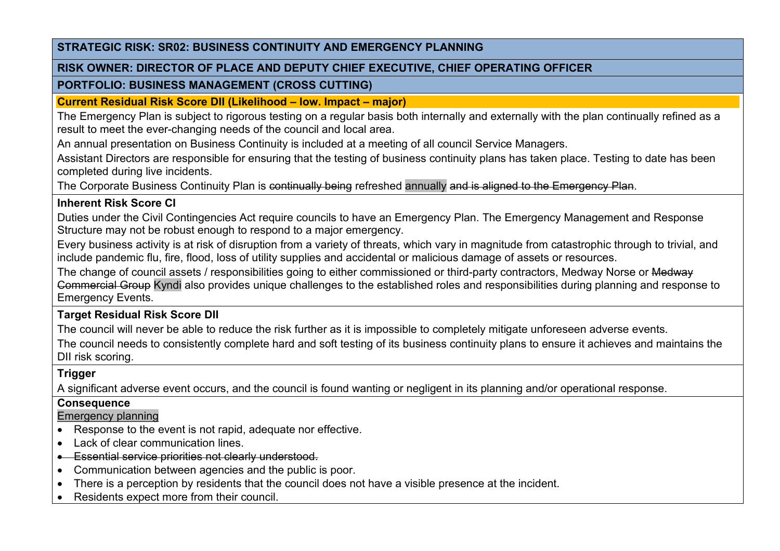#### **STRATEGIC RISK: SR02: BUSINESS CONTINUITY AND EMERGENCY PLANNING**

#### **RISK OWNER: DIRECTOR OF PLACE AND DEPUTY CHIEF EXECUTIVE, CHIEF OPERATING OFFICER**

#### **PORTFOLIO: BUSINESS MANAGEMENT (CROSS CUTTING)**

**Current Residual Risk Score DII (Likelihood – low. Impact – major)**

The Emergency Plan is subject to rigorous testing on a regular basis both internally and externally with the plan continually refined as a result to meet the ever-changing needs of the council and local area.

An annual presentation on Business Continuity is included at a meeting of all council Service Managers.

Assistant Directors are responsible for ensuring that the testing of business continuity plans has taken place. Testing to date has been completed during live incidents.

The Corporate Business Continuity Plan is continually being refreshed annually and is aligned to the Emergency Plan.

# **Inherent Risk Score CI**

Duties under the Civil Contingencies Act require councils to have an Emergency Plan. The Emergency Management and Response Structure may not be robust enough to respond to a major emergency.

Every business activity is at risk of disruption from a variety of threats, which vary in magnitude from catastrophic through to trivial, and include pandemic flu, fire, flood, loss of utility supplies and accidental or malicious damage of assets or resources.

The change of council assets / responsibilities going to either commissioned or third-party contractors, Medway Norse or Medway Commercial Group Kyndi also provides unique challenges to the established roles and responsibilities during planning and response to Emergency Events.

**Target Residual Risk Score DII**

The council will never be able to reduce the risk further as it is impossible to completely mitigate unforeseen adverse events.

The council needs to consistently complete hard and soft testing of its business continuity plans to ensure it achieves and maintains the DII risk scoring.

# **Trigger**

A significant adverse event occurs, and the council is found wanting or negligent in its planning and/or operational response.

# **Consequence**

# Emergency planning

- Response to the event is not rapid, adequate nor effective.
- Lack of clear communication lines
- Essential service priorities not clearly understood.
- Communication between agencies and the public is poor.
- There is a perception by residents that the council does not have a visible presence at the incident.
- Residents expect more from their council.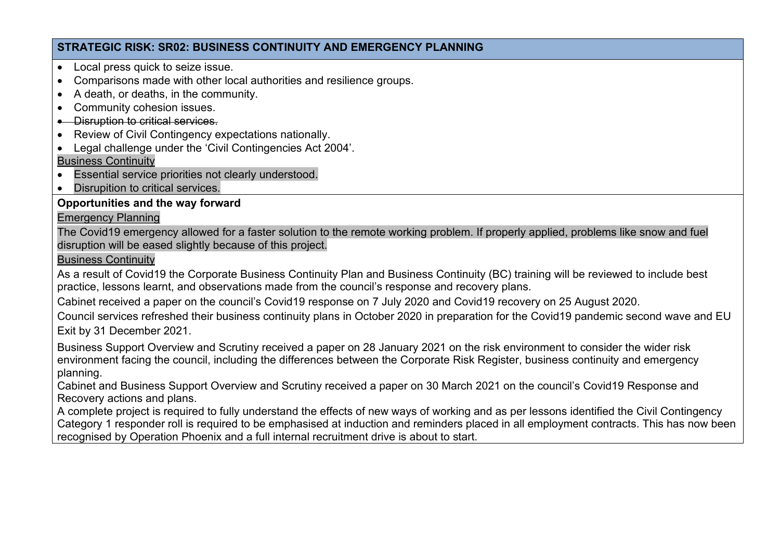### **STRATEGIC RISK: SR02: BUSINESS CONTINUITY AND EMERGENCY PLANNING**

- Local press quick to seize issue.
- Comparisons made with other local authorities and resilience groups.
- A death, or deaths, in the community.
- Community cohesion issues.
- Disruption to critical services.
- Review of Civil Contingency expectations nationally.
- Legal challenge under the 'Civil Contingencies Act 2004'.

### Business Continuity

- Essential service priorities not clearly understood.
- Disrupition to critical services.

# **Opportunities and the way forward**

### Emergency Planning

The Covid19 emergency allowed for a faster solution to the remote working problem. If properly applied, problems like snow and fuel disruption will be eased slightly because of this project.

### Business Continuity

As a result of Covid19 the Corporate Business Continuity Plan and Business Continuity (BC) training will be reviewed to include best practice, lessons learnt, and observations made from the council's response and recovery plans.

Cabinet received a paper on the council's Covid19 response on 7 July 2020 and Covid19 recovery on 25 August 2020.

Council services refreshed their business continuity plans in October 2020 in preparation for the Covid19 pandemic second wave and EU Exit by 31 December 2021.

Business Support Overview and Scrutiny received a paper on 28 January 2021 on the risk environment to consider the wider risk environment facing the council, including the differences between the Corporate Risk Register, business continuity and emergency planning.

Cabinet and Business Support Overview and Scrutiny received a paper on 30 March 2021 on the council's Covid19 Response and Recovery actions and plans.

A complete project is required to fully understand the effects of new ways of working and as per lessons identified the Civil Contingency Category 1 responder roll is required to be emphasised at induction and reminders placed in all employment contracts. This has now been recognised by Operation Phoenix and a full internal recruitment drive is about to start.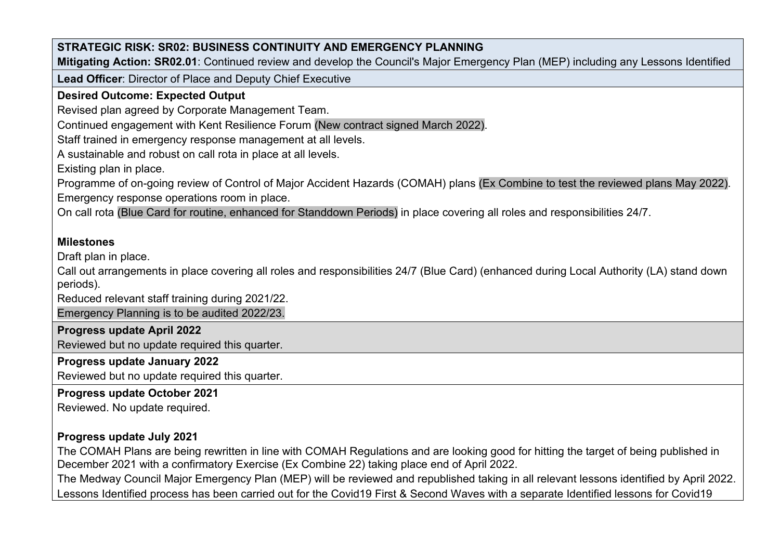| STRATEGIC RISK: SR02: BUSINESS CONTINUITY AND EMERGENCY PLANNING<br>Mitigating Action: SR02.01: Continued review and develop the Council's Major Emergency Plan (MEP) including any Lessons Identified |
|--------------------------------------------------------------------------------------------------------------------------------------------------------------------------------------------------------|
|                                                                                                                                                                                                        |
|                                                                                                                                                                                                        |
| Lead Officer: Director of Place and Deputy Chief Executive                                                                                                                                             |
| <b>Desired Outcome: Expected Output</b>                                                                                                                                                                |
| Revised plan agreed by Corporate Management Team.                                                                                                                                                      |
| Continued engagement with Kent Resilience Forum (New contract signed March 2022).                                                                                                                      |
| Staff trained in emergency response management at all levels.                                                                                                                                          |
| A sustainable and robust on call rota in place at all levels.                                                                                                                                          |
| Existing plan in place.                                                                                                                                                                                |
| Programme of on-going review of Control of Major Accident Hazards (COMAH) plans (Ex Combine to test the reviewed plans May 2022).                                                                      |
| Emergency response operations room in place.                                                                                                                                                           |
| On call rota (Blue Card for routine, enhanced for Standdown Periods) in place covering all roles and responsibilities 24/7.                                                                            |
|                                                                                                                                                                                                        |
| <b>Milestones</b>                                                                                                                                                                                      |
| Draft plan in place.                                                                                                                                                                                   |
| Call out arrangements in place covering all roles and responsibilities 24/7 (Blue Card) (enhanced during Local Authority (LA) stand down<br>periods).                                                  |
| Reduced relevant staff training during 2021/22.                                                                                                                                                        |
| Emergency Planning is to be audited 2022/23.                                                                                                                                                           |
| Progress update April 2022                                                                                                                                                                             |
| Reviewed but no update required this quarter.                                                                                                                                                          |
| Progress update January 2022                                                                                                                                                                           |
| Reviewed but no update required this quarter.                                                                                                                                                          |
| Progress update October 2021                                                                                                                                                                           |
| Reviewed. No update required.                                                                                                                                                                          |
| Progress update July 2021                                                                                                                                                                              |
| The COMAH Plans are being rewritten in line with COMAH Regulations and are looking good for hitting the target of being published in                                                                   |

December 2021 with a confirmatory Exercise (Ex Combine 22) taking place end of April 2022.

The Medway Council Major Emergency Plan (MEP) will be reviewed and republished taking in all relevant lessons identified by April 2022. Lessons Identified process has been carried out for the Covid19 First & Second Waves with a separate Identified lessons for Covid19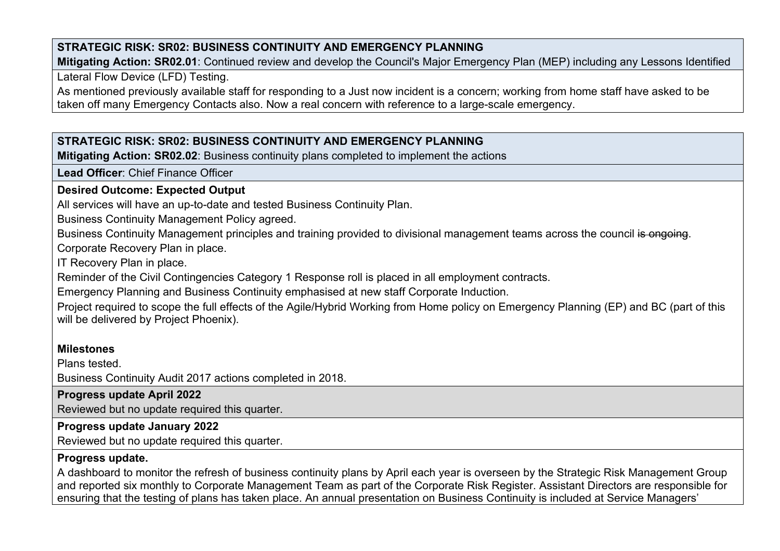# **STRATEGIC RISK: SR02: BUSINESS CONTINUITY AND EMERGENCY PLANNING**

**Mitigating Action: SR02.01**: Continued review and develop the Council's Major Emergency Plan (MEP) including any Lessons Identified

Lateral Flow Device (LFD) Testing.

As mentioned previously available staff for responding to a Just now incident is a concern; working from home staff have asked to be taken off many Emergency Contacts also. Now a real concern with reference to a large-scale emergency.

# **STRATEGIC RISK: SR02: BUSINESS CONTINUITY AND EMERGENCY PLANNING**

**Mitigating Action: SR02.02**: Business continuity plans completed to implement the actions

**Lead Officer**: Chief Finance Officer

#### **Desired Outcome: Expected Output**

All services will have an up-to-date and tested Business Continuity Plan.

Business Continuity Management Policy agreed.

Business Continuity Management principles and training provided to divisional management teams across the council is ongoing. Corporate Recovery Plan in place.

IT Recovery Plan in place.

Reminder of the Civil Contingencies Category 1 Response roll is placed in all employment contracts.

Emergency Planning and Business Continuity emphasised at new staff Corporate Induction.

Project required to scope the full effects of the Agile/Hybrid Working from Home policy on Emergency Planning (EP) and BC (part of this will be delivered by Project Phoenix).

### **Milestones**

Plans tested.

Business Continuity Audit 2017 actions completed in 2018.

# **Progress update April 2022**

Reviewed but no update required this quarter.

# **Progress update January 2022**

Reviewed but no update required this quarter.

# **Progress update.**

A dashboard to monitor the refresh of business continuity plans by April each year is overseen by the Strategic Risk Management Group and reported six monthly to Corporate Management Team as part of the Corporate Risk Register. Assistant Directors are responsible for ensuring that the testing of plans has taken place. An annual presentation on Business Continuity is included at Service Managers'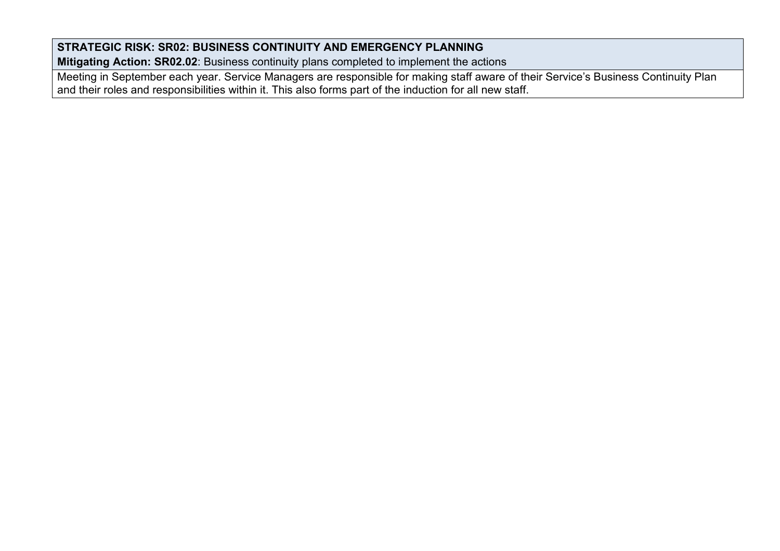# **STRATEGIC RISK: SR02: BUSINESS CONTINUITY AND EMERGENCY PLANNING**

**Mitigating Action: SR02.02**: Business continuity plans completed to implement the actions

Meeting in September each year. Service Managers are responsible for making staff aware of their Service's Business Continuity Plan and their roles and responsibilities within it. This also forms part of the induction for all new staff.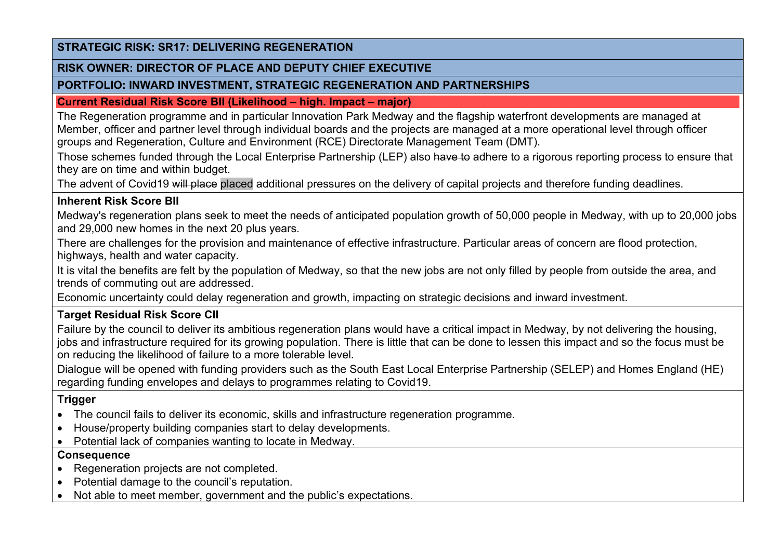#### **STRATEGIC RISK: SR17: DELIVERING REGENERATION**

#### **RISK OWNER: DIRECTOR OF PLACE AND DEPUTY CHIEF EXECUTIVE**

### **PORTFOLIO: INWARD INVESTMENT, STRATEGIC REGENERATION AND PARTNERSHIPS**

**Current Residual Risk Score BII (Likelihood – high. Impact – major)**

The Regeneration programme and in particular Innovation Park Medway and the flagship waterfront developments are managed at Member, officer and partner level through individual boards and the projects are managed at a more operational level through officer groups and Regeneration, Culture and Environment (RCE) Directorate Management Team (DMT).

Those schemes funded through the Local Enterprise Partnership (LEP) also have to adhere to a rigorous reporting process to ensure that they are on time and within budget.

The advent of Covid19 will place placed additional pressures on the delivery of capital projects and therefore funding deadlines.

## **Inherent Risk Score BII**

Medway's regeneration plans seek to meet the needs of anticipated population growth of 50,000 people in Medway, with up to 20,000 jobs and 29,000 new homes in the next 20 plus years.

There are challenges for the provision and maintenance of effective infrastructure. Particular areas of concern are flood protection, highways, health and water capacity.

It is vital the benefits are felt by the population of Medway, so that the new jobs are not only filled by people from outside the area, and trends of commuting out are addressed.

Economic uncertainty could delay regeneration and growth, impacting on strategic decisions and inward investment.

# **Target Residual Risk Score CII**

Failure by the council to deliver its ambitious regeneration plans would have a critical impact in Medway, by not delivering the housing, jobs and infrastructure required for its growing population. There is little that can be done to lessen this impact and so the focus must be on reducing the likelihood of failure to a more tolerable level.

Dialogue will be opened with funding providers such as the South East Local Enterprise Partnership (SELEP) and Homes England (HE) regarding funding envelopes and delays to programmes relating to Covid19.

# **Trigger**

- The council fails to deliver its economic, skills and infrastructure regeneration programme.
- House/property building companies start to delay developments.
- Potential lack of companies wanting to locate in Medway.

# **Consequence**

- Regeneration projects are not completed.
- Potential damage to the council's reputation.
- Not able to meet member, government and the public's expectations.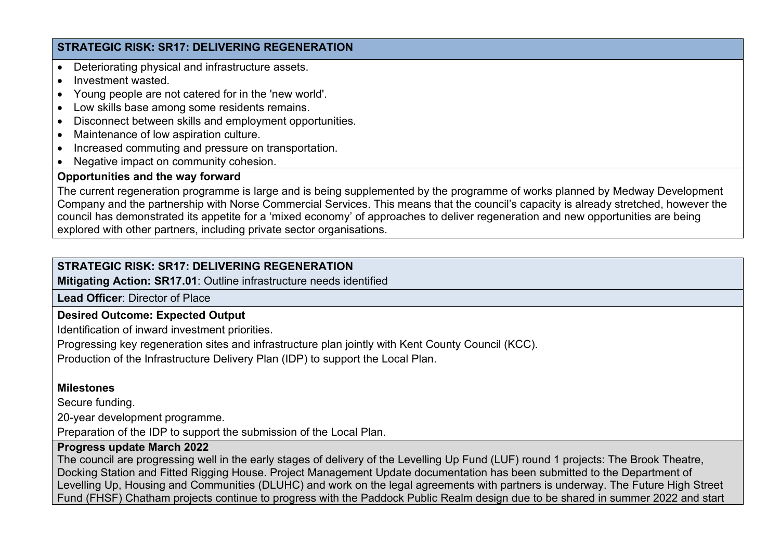## **STRATEGIC RISK: SR17: DELIVERING REGENERATION**

- Deteriorating physical and infrastructure assets.
- Investment wasted
- Young people are not catered for in the 'new world'.
- Low skills base among some residents remains.
- Disconnect between skills and employment opportunities.
- Maintenance of low aspiration culture.
- Increased commuting and pressure on transportation.
- Negative impact on community cohesion.

## **Opportunities and the way forward**

The current regeneration programme is large and is being supplemented by the programme of works planned by Medway Development Company and the partnership with Norse Commercial Services. This means that the council's capacity is already stretched, however the council has demonstrated its appetite for a 'mixed economy' of approaches to deliver regeneration and new opportunities are being explored with other partners, including private sector organisations.

# **STRATEGIC RISK: SR17: DELIVERING REGENERATION**

**Mitigating Action: SR17.01**: Outline infrastructure needs identified

**Lead Officer**: Director of Place

# **Desired Outcome: Expected Output**

Identification of inward investment priorities.

Progressing key regeneration sites and infrastructure plan jointly with Kent County Council (KCC).

Production of the Infrastructure Delivery Plan (IDP) to support the Local Plan.

# **Milestones**

Secure funding.

20-year development programme.

Preparation of the IDP to support the submission of the Local Plan.

# **Progress update March 2022**

The council are progressing well in the early stages of delivery of the Levelling Up Fund (LUF) round 1 projects: The Brook Theatre, Docking Station and Fitted Rigging House. Project Management Update documentation has been submitted to the Department of Levelling Up, Housing and Communities (DLUHC) and work on the legal agreements with partners is underway. The Future High Street Fund (FHSF) Chatham projects continue to progress with the Paddock Public Realm design due to be shared in summer 2022 and start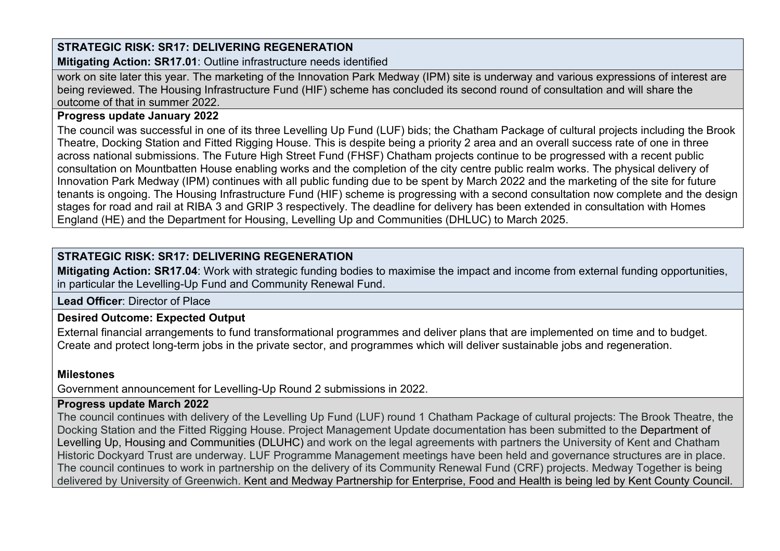# **STRATEGIC RISK: SR17: DELIVERING REGENERATION**

**Mitigating Action: SR17.01**: Outline infrastructure needs identified

work on site later this year. The marketing of the Innovation Park Medway (IPM) site is underway and various expressions of interest are being reviewed. The Housing Infrastructure Fund (HIF) scheme has concluded its second round of consultation and will share the outcome of that in summer 2022.

### **Progress update January 2022**

The council was successful in one of its three Levelling Up Fund (LUF) bids; the Chatham Package of cultural projects including the Brook Theatre, Docking Station and Fitted Rigging House. This is despite being a priority 2 area and an overall success rate of one in three across national submissions. The Future High Street Fund (FHSF) Chatham projects continue to be progressed with a recent public consultation on Mountbatten House enabling works and the completion of the city centre public realm works. The physical delivery of Innovation Park Medway (IPM) continues with all public funding due to be spent by March 2022 and the marketing of the site for future tenants is ongoing. The Housing Infrastructure Fund (HIF) scheme is progressing with a second consultation now complete and the design stages for road and rail at RIBA 3 and GRIP 3 respectively. The deadline for delivery has been extended in consultation with Homes England (HE) and the Department for Housing, Levelling Up and Communities (DHLUC) to March 2025.

# **STRATEGIC RISK: SR17: DELIVERING REGENERATION**

**Mitigating Action: SR17.04**: Work with strategic funding bodies to maximise the impact and income from external funding opportunities, in particular the Levelling-Up Fund and Community Renewal Fund.

**Lead Officer**: Director of Place

# **Desired Outcome: Expected Output**

External financial arrangements to fund transformational programmes and deliver plans that are implemented on time and to budget. Create and protect long-term jobs in the private sector, and programmes which will deliver sustainable jobs and regeneration.

# **Milestones**

Government announcement for Levelling-Up Round 2 submissions in 2022.

### **Progress update March 2022**

The council continues with delivery of the Levelling Up Fund (LUF) round 1 Chatham Package of cultural projects: The Brook Theatre, the Docking Station and the Fitted Rigging House. Project Management Update documentation has been submitted to the Department of Levelling Up, Housing and Communities (DLUHC) and work on the legal agreements with partners the University of Kent and Chatham Historic Dockyard Trust are underway. LUF Programme Management meetings have been held and governance structures are in place. The council continues to work in partnership on the delivery of its Community Renewal Fund (CRF) projects. Medway Together is being delivered by University of Greenwich. Kent and Medway Partnership for Enterprise, Food and Health is being led by Kent County Council.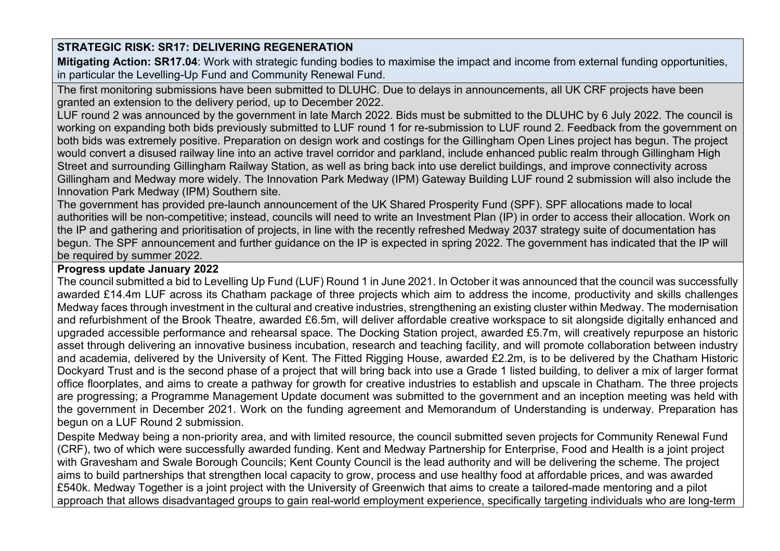**Mitigating Action: SR17.04**: Work with strategic funding bodies to maximise the impact and income from external funding opportunities, in particular the Levelling-Up Fund and Community Renewal Fund.

The first monitoring submissions have been submitted to DLUHC. Due to delays in announcements, all UK CRF projects have been granted an extension to the delivery period, up to December 2022.

LUF round 2 was announced by the government in late March 2022. Bids must be submitted to the DLUHC by 6 July 2022. The council is working on expanding both bids previously submitted to LUF round 1 for re-submission to LUF round 2. Feedback from the government on both bids was extremely positive. Preparation on design work and costings for the Gillingham Open Lines project has begun. The project would convert a disused railway line into an active travel corridor and parkland, include enhanced public realm through Gillingham High Street and surrounding Gillingham Railway Station, as well as bring back into use derelict buildings, and improve connectivity across Gillingham and Medway more widely. The Innovation Park Medway (IPM) Gateway Building LUF round 2 submission will also include the Innovation Park Medway (IPM) Southern site.

The government has provided pre-launch announcement of the UK Shared Prosperity Fund (SPF). SPF allocations made to local authorities will be non-competitive; instead, councils will need to write an Investment Plan (IP) in order to access their allocation. Work on the IP and gathering and prioritisation of projects, in line with the recently refreshed Medway 2037 strategy suite of documentation has begun. The SPF announcement and further guidance on the IP is expected in spring 2022. The government has indicated that the IP will be required by summer 2022.

## **Progress update January 2022**

The council submitted a bid to Levelling Up Fund (LUF) Round 1 in June 2021. In October it was announced that the council was successfully awarded £14.4m LUF across its Chatham package of three projects which aim to address the income, productivity and skills challenges Medway faces through investment in the cultural and creative industries, strengthening an existing cluster within Medway. The modernisation and refurbishment of the Brook Theatre, awarded £6.5m, will deliver affordable creative workspace to sit alongside digitally enhanced and upgraded accessible performance and rehearsal space. The Docking Station project, awarded £5.7m, will creatively repurpose an historic asset through delivering an innovative business incubation, research and teaching facility, and will promote collaboration between industry and academia, delivered by the University of Kent. The Fitted Rigging House, awarded £2.2m, is to be delivered by the Chatham Historic Dockyard Trust and is the second phase of a project that will bring back into use a Grade 1 listed building, to deliver a mix of larger format office floorplates, and aims to create a pathway for growth for creative industries to establish and upscale in Chatham. The three projects are progressing; a Programme Management Update document was submitted to the government and an inception meeting was held with the government in December 2021. Work on the funding agreement and Memorandum of Understanding is underway. Preparation has begun on a LUF Round 2 submission.

Despite Medway being a non-priority area, and with limited resource, the council submitted seven projects for Community Renewal Fund (CRF), two of which were successfully awarded funding. Kent and Medway Partnership for Enterprise, Food and Health is a joint project with Gravesham and Swale Borough Councils; Kent County Council is the lead authority and will be delivering the scheme. The project aims to build partnerships that strengthen local capacity to grow, process and use healthy food at affordable prices, and was awarded £540k. Medway Together is a joint project with the University of Greenwich that aims to create a tailored-made mentoring and a pilot approach that allows disadvantaged groups to gain real-world employment experience, specifically targeting individuals who are long-term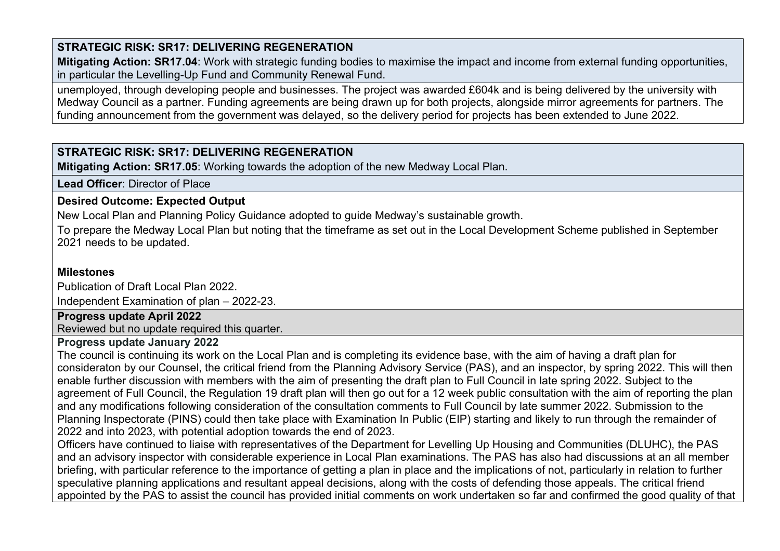**Mitigating Action: SR17.04**: Work with strategic funding bodies to maximise the impact and income from external funding opportunities, in particular the Levelling-Up Fund and Community Renewal Fund.

unemployed, through developing people and businesses. The project was awarded £604k and is being delivered by the university with Medway Council as a partner. Funding agreements are being drawn up for both projects, alongside mirror agreements for partners. The funding announcement from the government was delayed, so the delivery period for projects has been extended to June 2022.

# **STRATEGIC RISK: SR17: DELIVERING REGENERATION**

**Mitigating Action: SR17.05**: Working towards the adoption of the new Medway Local Plan.

**Lead Officer**: Director of Place

# **Desired Outcome: Expected Output**

New Local Plan and Planning Policy Guidance adopted to guide Medway's sustainable growth.

To prepare the Medway Local Plan but noting that the timeframe as set out in the Local Development Scheme published in September 2021 needs to be updated.

## **Milestones**

Publication of Draft Local Plan 2022. Independent Examination of plan – 2022-23.

## **Progress update April 2022**

Reviewed but no update required this quarter.

## **Progress update January 2022**

The council is continuing its work on the Local Plan and is completing its evidence base, with the aim of having a draft plan for consideraton by our Counsel, the critical friend from the Planning Advisory Service (PAS), and an inspector, by spring 2022. This will then enable further discussion with members with the aim of presenting the draft plan to Full Council in late spring 2022. Subject to the agreement of Full Council, the Regulation 19 draft plan will then go out for a 12 week public consultation with the aim of reporting the plan and any modifications following consideration of the consultation comments to Full Council by late summer 2022. Submission to the Planning Inspectorate (PINS) could then take place with Examination In Public (EIP) starting and likely to run through the remainder of 2022 and into 2023, with potential adoption towards the end of 2023.

Officers have continued to liaise with representatives of the Department for Levelling Up Housing and Communities (DLUHC), the PAS and an advisory inspector with considerable experience in Local Plan examinations. The PAS has also had discussions at an all member briefing, with particular reference to the importance of getting a plan in place and the implications of not, particularly in relation to further speculative planning applications and resultant appeal decisions, along with the costs of defending those appeals. The critical friend appointed by the PAS to assist the council has provided initial comments on work undertaken so far and confirmed the good quality of that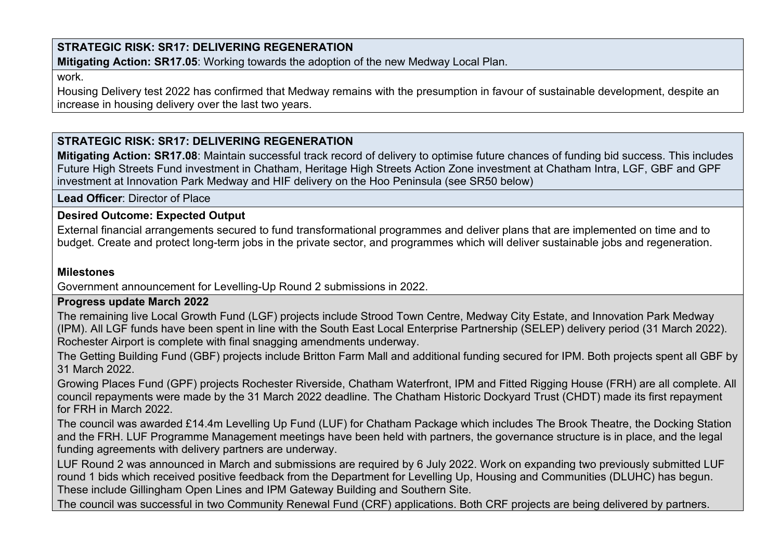**Mitigating Action: SR17.05**: Working towards the adoption of the new Medway Local Plan.

work.

Housing Delivery test 2022 has confirmed that Medway remains with the presumption in favour of sustainable development, despite an increase in housing delivery over the last two years.

# **STRATEGIC RISK: SR17: DELIVERING REGENERATION**

**Mitigating Action: SR17.08**: Maintain successful track record of delivery to optimise future chances of funding bid success. This includes Future High Streets Fund investment in Chatham, Heritage High Streets Action Zone investment at Chatham Intra, LGF, GBF and GPF investment at Innovation Park Medway and HIF delivery on the Hoo Peninsula (see SR50 below)

**Lead Officer**: Director of Place

### **Desired Outcome: Expected Output**

External financial arrangements secured to fund transformational programmes and deliver plans that are implemented on time and to budget. Create and protect long-term jobs in the private sector, and programmes which will deliver sustainable jobs and regeneration.

## **Milestones**

Government announcement for Levelling-Up Round 2 submissions in 2022.

**Progress update March 2022**

The remaining live Local Growth Fund (LGF) projects include Strood Town Centre, Medway City Estate, and Innovation Park Medway (IPM). All LGF funds have been spent in line with the South East Local Enterprise Partnership (SELEP) delivery period (31 March 2022). Rochester Airport is complete with final snagging amendments underway.

The Getting Building Fund (GBF) projects include Britton Farm Mall and additional funding secured for IPM. Both projects spent all GBF by 31 March 2022.

Growing Places Fund (GPF) projects Rochester Riverside, Chatham Waterfront, IPM and Fitted Rigging House (FRH) are all complete. All council repayments were made by the 31 March 2022 deadline. The Chatham Historic Dockyard Trust (CHDT) made its first repayment for FRH in March 2022.

The council was awarded £14.4m Levelling Up Fund (LUF) for Chatham Package which includes The Brook Theatre, the Docking Station and the FRH. LUF Programme Management meetings have been held with partners, the governance structure is in place, and the legal funding agreements with delivery partners are underway.

LUF Round 2 was announced in March and submissions are required by 6 July 2022. Work on expanding two previously submitted LUF round 1 bids which received positive feedback from the Department for Levelling Up, Housing and Communities (DLUHC) has begun. These include Gillingham Open Lines and IPM Gateway Building and Southern Site.

The council was successful in two Community Renewal Fund (CRF) applications. Both CRF projects are being delivered by partners.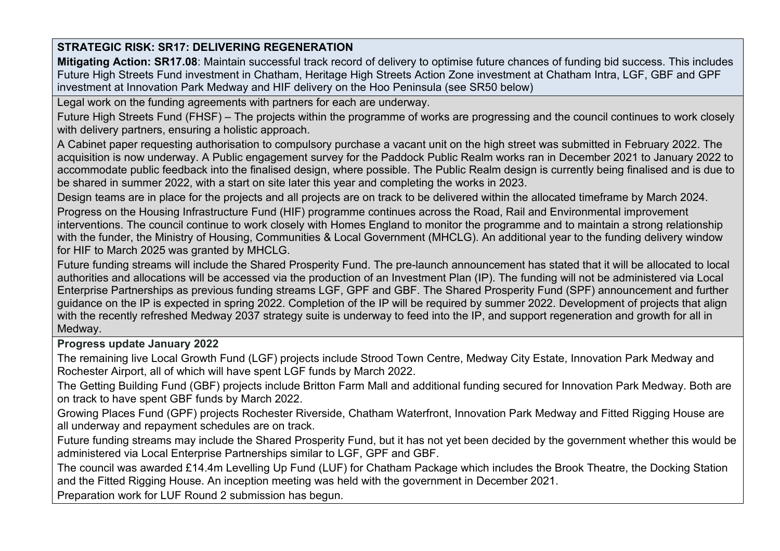**Mitigating Action: SR17.08**: Maintain successful track record of delivery to optimise future chances of funding bid success. This includes Future High Streets Fund investment in Chatham, Heritage High Streets Action Zone investment at Chatham Intra, LGF, GBF and GPF investment at Innovation Park Medway and HIF delivery on the Hoo Peninsula (see SR50 below)

Legal work on the funding agreements with partners for each are underway.

Future High Streets Fund (FHSF) – The projects within the programme of works are progressing and the council continues to work closely with delivery partners, ensuring a holistic approach.

A Cabinet paper requesting authorisation to compulsory purchase a vacant unit on the high street was submitted in February 2022. The acquisition is now underway. A Public engagement survey for the Paddock Public Realm works ran in December 2021 to January 2022 to accommodate public feedback into the finalised design, where possible. The Public Realm design is currently being finalised and is due to be shared in summer 2022, with a start on site later this year and completing the works in 2023.

Design teams are in place for the projects and all projects are on track to be delivered within the allocated timeframe by March 2024.

Progress on the Housing Infrastructure Fund (HIF) programme continues across the Road, Rail and Environmental improvement interventions. The council continue to work closely with Homes England to monitor the programme and to maintain a strong relationship with the funder, the Ministry of Housing, Communities & Local Government (MHCLG). An additional year to the funding delivery window for HIF to March 2025 was granted by MHCLG.

Future funding streams will include the Shared Prosperity Fund. The pre-launch announcement has stated that it will be allocated to local authorities and allocations will be accessed via the production of an Investment Plan (IP). The funding will not be administered via Local Enterprise Partnerships as previous funding streams LGF, GPF and GBF. The Shared Prosperity Fund (SPF) announcement and further guidance on the IP is expected in spring 2022. Completion of the IP will be required by summer 2022. Development of projects that align with the recently refreshed Medway 2037 strategy suite is underway to feed into the IP, and support regeneration and growth for all in Medway.

## **Progress update January 2022**

The remaining live Local Growth Fund (LGF) projects include Strood Town Centre, Medway City Estate, Innovation Park Medway and Rochester Airport, all of which will have spent LGF funds by March 2022.

The Getting Building Fund (GBF) projects include Britton Farm Mall and additional funding secured for Innovation Park Medway. Both are on track to have spent GBF funds by March 2022.

Growing Places Fund (GPF) projects Rochester Riverside, Chatham Waterfront, Innovation Park Medway and Fitted Rigging House are all underway and repayment schedules are on track.

Future funding streams may include the Shared Prosperity Fund, but it has not yet been decided by the government whether this would be administered via Local Enterprise Partnerships similar to LGF, GPF and GBF.

The council was awarded £14.4m Levelling Up Fund (LUF) for Chatham Package which includes the Brook Theatre, the Docking Station and the Fitted Rigging House. An inception meeting was held with the government in December 2021.

Preparation work for LUF Round 2 submission has begun.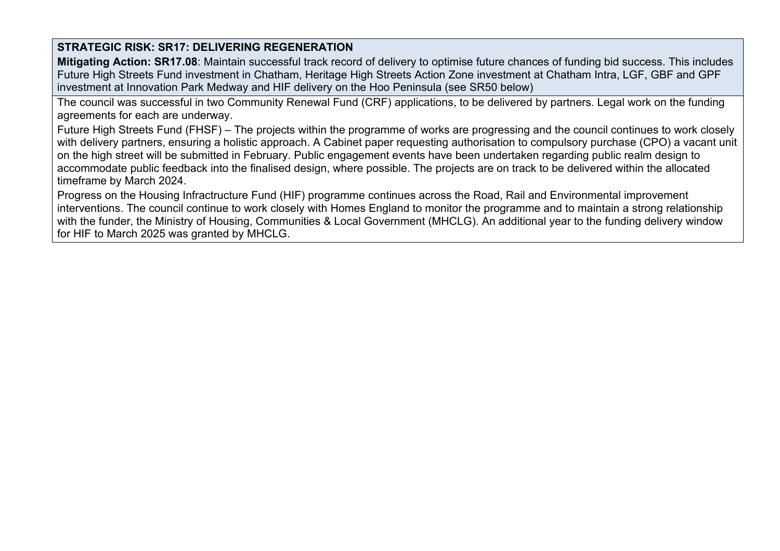**Mitigating Action: SR17.08**: Maintain successful track record of delivery to optimise future chances of funding bid success. This includes Future High Streets Fund investment in Chatham, Heritage High Streets Action Zone investment at Chatham Intra, LGF, GBF and GPF investment at Innovation Park Medway and HIF delivery on the Hoo Peninsula (see SR50 below)

The council was successful in two Community Renewal Fund (CRF) applications, to be delivered by partners. Legal work on the funding agreements for each are underway.

Future High Streets Fund (FHSF) – The projects within the programme of works are progressing and the council continues to work closely with delivery partners, ensuring a holistic approach. A Cabinet paper requesting authorisation to compulsory purchase (CPO) a vacant unit on the high street will be submitted in February. Public engagement events have been undertaken regarding public realm design to accommodate public feedback into the finalised design, where possible. The projects are on track to be delivered within the allocated timeframe by March 2024.

Progress on the Housing Infractructure Fund (HIF) programme continues across the Road, Rail and Environmental improvement interventions. The council continue to work closely with Homes England to monitor the programme and to maintain a strong relationship with the funder, the Ministry of Housing, Communities & Local Government (MHCLG). An additional year to the funding delivery window for HIF to March 2025 was granted by MHCLG.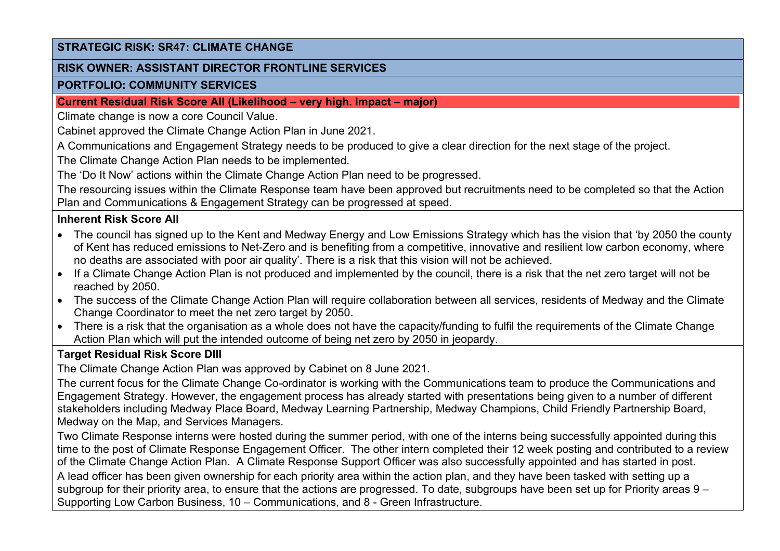### **STRATEGIC RISK: SR47: CLIMATE CHANGE**

#### **RISK OWNER: ASSISTANT DIRECTOR FRONTLINE SERVICES**

#### **PORTFOLIO: COMMUNITY SERVICES**

#### **Current Residual Risk Score AII (Likelihood – very high. Impact – major)**

Climate change is now a core Council Value.

Cabinet approved the Climate Change Action Plan in June 2021.

A Communications and Engagement Strategy needs to be produced to give a clear direction for the next stage of the project.

The Climate Change Action Plan needs to be implemented.

The 'Do It Now' actions within the Climate Change Action Plan need to be progressed.

The resourcing issues within the Climate Response team have been approved but recruitments need to be completed so that the Action Plan and Communications & Engagement Strategy can be progressed at speed.

## **Inherent Risk Score AII**

- The council has signed up to the Kent and Medway Energy and Low Emissions Strategy which has the vision that 'by 2050 the county of Kent has reduced emissions to Net-Zero and is benefiting from a competitive, innovative and resilient low carbon economy, where no deaths are associated with poor air quality'. There is a risk that this vision will not be achieved.
- If a Climate Change Action Plan is not produced and implemented by the council, there is a risk that the net zero target will not be reached by 2050.
- The success of the Climate Change Action Plan will require collaboration between all services, residents of Medway and the Climate Change Coordinator to meet the net zero target by 2050.
- There is a risk that the organisation as a whole does not have the capacity/funding to fulfil the requirements of the Climate Change Action Plan which will put the intended outcome of being net zero by 2050 in jeopardy.

## **Target Residual Risk Score DIII**

The Climate Change Action Plan was approved by Cabinet on 8 June 2021.

The current focus for the Climate Change Co-ordinator is working with the Communications team to produce the Communications and Engagement Strategy. However, the engagement process has already started with presentations being given to a number of different stakeholders including Medway Place Board, Medway Learning Partnership, Medway Champions, Child Friendly Partnership Board, Medway on the Map, and Services Managers.

Two Climate Response interns were hosted during the summer period, with one of the interns being successfully appointed during this time to the post of Climate Response Engagement Officer. The other intern completed their 12 week posting and contributed to a review of the Climate Change Action Plan. A Climate Response Support Officer was also successfully appointed and has started in post. A lead officer has been given ownership for each priority area within the action plan, and they have been tasked with setting up a subgroup for their priority area, to ensure that the actions are progressed. To date, subgroups have been set up for Priority areas 9 – Supporting Low Carbon Business, 10 – Communications, and 8 - Green Infrastructure.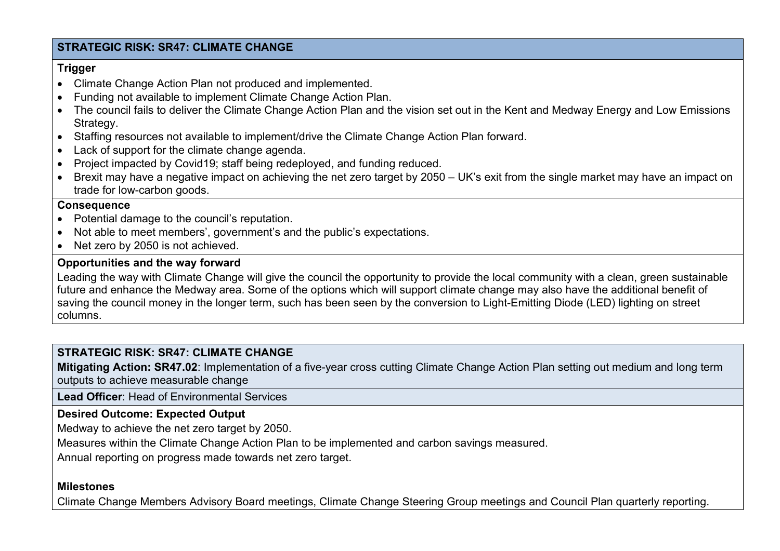## **STRATEGIC RISK: SR47: CLIMATE CHANGE**

### **Trigger**

- Climate Change Action Plan not produced and implemented.
- Funding not available to implement Climate Change Action Plan.
- The council fails to deliver the Climate Change Action Plan and the vision set out in the Kent and Medway Energy and Low Emissions Strategy.
- Staffing resources not available to implement/drive the Climate Change Action Plan forward.
- Lack of support for the climate change agenda.
- Project impacted by Covid19; staff being redeployed, and funding reduced.
- Brexit may have a negative impact on achieving the net zero target by 2050 UK's exit from the single market may have an impact on trade for low-carbon goods.

### **Consequence**

- Potential damage to the council's reputation.
- Not able to meet members', government's and the public's expectations.
- Net zero by 2050 is not achieved.

## **Opportunities and the way forward**

Leading the way with Climate Change will give the council the opportunity to provide the local community with a clean, green sustainable future and enhance the Medway area. Some of the options which will support climate change may also have the additional benefit of saving the council money in the longer term, such has been seen by the conversion to Light-Emitting Diode (LED) lighting on street columns.

## **STRATEGIC RISK: SR47: CLIMATE CHANGE**

**Mitigating Action: SR47.02**: Implementation of a five-year cross cutting Climate Change Action Plan setting out medium and long term outputs to achieve measurable change

**Lead Officer**: Head of Environmental Services

## **Desired Outcome: Expected Output**

Medway to achieve the net zero target by 2050.

Measures within the Climate Change Action Plan to be implemented and carbon savings measured.

Annual reporting on progress made towards net zero target.

### **Milestones**

Climate Change Members Advisory Board meetings, Climate Change Steering Group meetings and Council Plan quarterly reporting.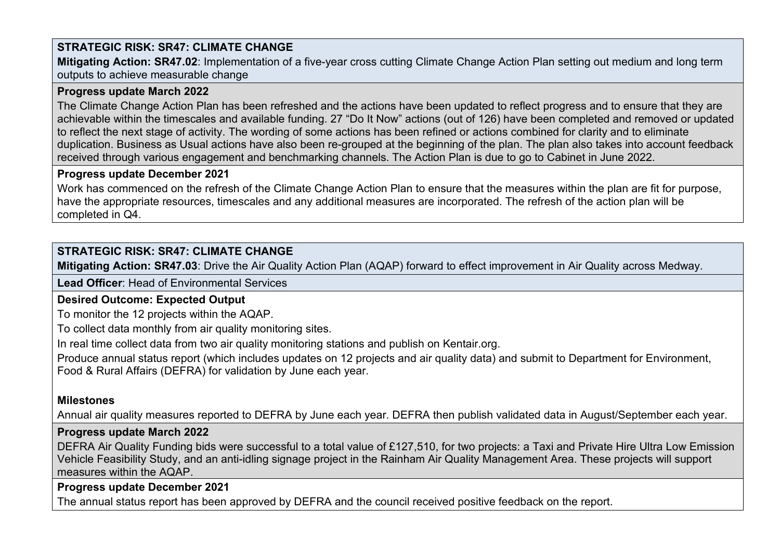# **STRATEGIC RISK: SR47: CLIMATE CHANGE**

**Mitigating Action: SR47.02**: Implementation of a five-year cross cutting Climate Change Action Plan setting out medium and long term outputs to achieve measurable change

## **Progress update March 2022**

The Climate Change Action Plan has been refreshed and the actions have been updated to reflect progress and to ensure that they are achievable within the timescales and available funding. 27 "Do It Now" actions (out of 126) have been completed and removed or updated to reflect the next stage of activity. The wording of some actions has been refined or actions combined for clarity and to eliminate duplication. Business as Usual actions have also been re-grouped at the beginning of the plan. The plan also takes into account feedback received through various engagement and benchmarking channels. The Action Plan is due to go to Cabinet in June 2022.

### **Progress update December 2021**

Work has commenced on the refresh of the Climate Change Action Plan to ensure that the measures within the plan are fit for purpose, have the appropriate resources, timescales and any additional measures are incorporated. The refresh of the action plan will be completed in Q4.

# **STRATEGIC RISK: SR47: CLIMATE CHANGE**

**Mitigating Action: SR47.03**: Drive the Air Quality Action Plan (AQAP) forward to effect improvement in Air Quality across Medway.

**Lead Officer**: Head of Environmental Services

## **Desired Outcome: Expected Output**

To monitor the 12 projects within the AQAP.

To collect data monthly from air quality monitoring sites.

In real time collect data from two air quality monitoring stations and publish on Kentair.org.

Produce annual status report (which includes updates on 12 projects and air quality data) and submit to Department for Environment, Food & Rural Affairs (DEFRA) for validation by June each year.

## **Milestones**

Annual air quality measures reported to DEFRA by June each year. DEFRA then publish validated data in August/September each year.

## **Progress update March 2022**

DEFRA Air Quality Funding bids were successful to a total value of £127,510, for two projects: a Taxi and Private Hire Ultra Low Emission Vehicle Feasibility Study, and an anti-idling signage project in the Rainham Air Quality Management Area. These projects will support measures within the AQAP.

## **Progress update December 2021**

The annual status report has been approved by DEFRA and the council received positive feedback on the report.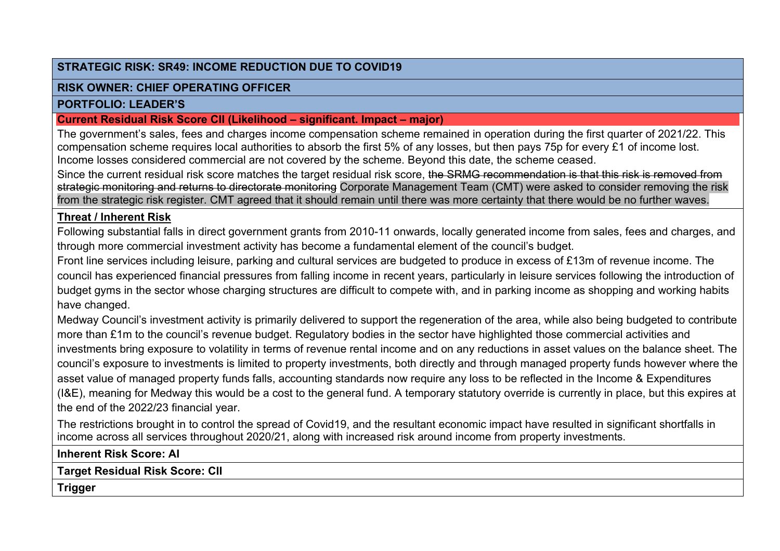## **STRATEGIC RISK: SR49: INCOME REDUCTION DUE TO COVID19**

## **RISK OWNER: CHIEF OPERATING OFFICER**

## **PORTFOLIO: LEADER'S**

## **Current Residual Risk Score CII (Likelihood – significant. Impact – major)**

The government's sales, fees and charges income compensation scheme remained in operation during the first quarter of 2021/22. This compensation scheme requires local authorities to absorb the first 5% of any losses, but then pays 75p for every £1 of income lost. Income losses considered commercial are not covered by the scheme. Beyond this date, the scheme ceased.

Since the current residual risk score matches the target residual risk score, the SRMG recommendation is that this risk is removed from strategic monitoring and returns to directorate monitoring Corporate Management Team (CMT) were asked to consider removing the risk from the strategic risk register. CMT agreed that it should remain until there was more certainty that there would be no further waves.

## **Threat / Inherent Risk**

Following substantial falls in direct government grants from 2010-11 onwards, locally generated income from sales, fees and charges, and through more commercial investment activity has become a fundamental element of the council's budget.

Front line services including leisure, parking and cultural services are budgeted to produce in excess of £13m of revenue income. The council has experienced financial pressures from falling income in recent years, particularly in leisure services following the introduction of budget gyms in the sector whose charging structures are difficult to compete with, and in parking income as shopping and working habits have changed.

Medway Council's investment activity is primarily delivered to support the regeneration of the area, while also being budgeted to contribute more than £1m to the council's revenue budget. Regulatory bodies in the sector have highlighted those commercial activities and investments bring exposure to volatility in terms of revenue rental income and on any reductions in asset values on the balance sheet. The council's exposure to investments is limited to property investments, both directly and through managed property funds however where the asset value of managed property funds falls, accounting standards now require any loss to be reflected in the Income & Expenditures (I&E), meaning for Medway this would be a cost to the general fund. A temporary statutory override is currently in place, but this expires at the end of the 2022/23 financial year.

The restrictions brought in to control the spread of Covid19, and the resultant economic impact have resulted in significant shortfalls in income across all services throughout 2020/21, along with increased risk around income from property investments.

**Inherent Risk Score: AI**

**Target Residual Risk Score: CII**

**Trigger**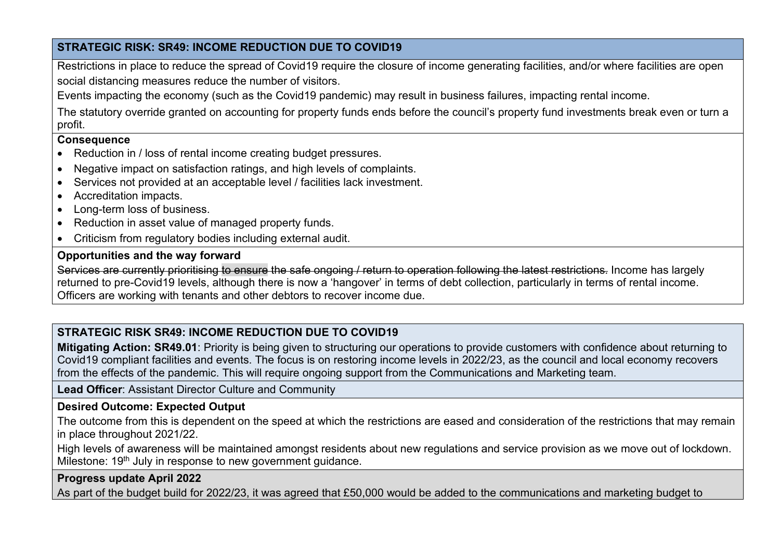## **STRATEGIC RISK: SR49: INCOME REDUCTION DUE TO COVID19**

Restrictions in place to reduce the spread of Covid19 require the closure of income generating facilities, and/or where facilities are open social distancing measures reduce the number of visitors.

Events impacting the economy (such as the Covid19 pandemic) may result in business failures, impacting rental income.

The statutory override granted on accounting for property funds ends before the council's property fund investments break even or turn a profit.

## **Consequence**

- Reduction in / loss of rental income creating budget pressures.
- Negative impact on satisfaction ratings, and high levels of complaints.
- Services not provided at an acceptable level / facilities lack investment.
- Accreditation impacts.
- Long-term loss of business.
- Reduction in asset value of managed property funds.
- Criticism from regulatory bodies including external audit.

## **Opportunities and the way forward**

Services are currently prioritising to ensure the safe ongoing / return to operation following the latest restrictions. Income has largely returned to pre-Covid19 levels, although there is now a 'hangover' in terms of debt collection, particularly in terms of rental income. Officers are working with tenants and other debtors to recover income due.

# **STRATEGIC RISK SR49: INCOME REDUCTION DUE TO COVID19**

**Mitigating Action: SR49.01**: Priority is being given to structuring our operations to provide customers with confidence about returning to Covid19 compliant facilities and events. The focus is on restoring income levels in 2022/23, as the council and local economy recovers from the effects of the pandemic. This will require ongoing support from the Communications and Marketing team.

## **Lead Officer**: Assistant Director Culture and Community

## **Desired Outcome: Expected Output**

The outcome from this is dependent on the speed at which the restrictions are eased and consideration of the restrictions that may remain in place throughout 2021/22.

High levels of awareness will be maintained amongst residents about new regulations and service provision as we move out of lockdown. Milestone: 19<sup>th</sup> July in response to new government guidance.

## **Progress update April 2022**

As part of the budget build for 2022/23, it was agreed that £50,000 would be added to the communications and marketing budget to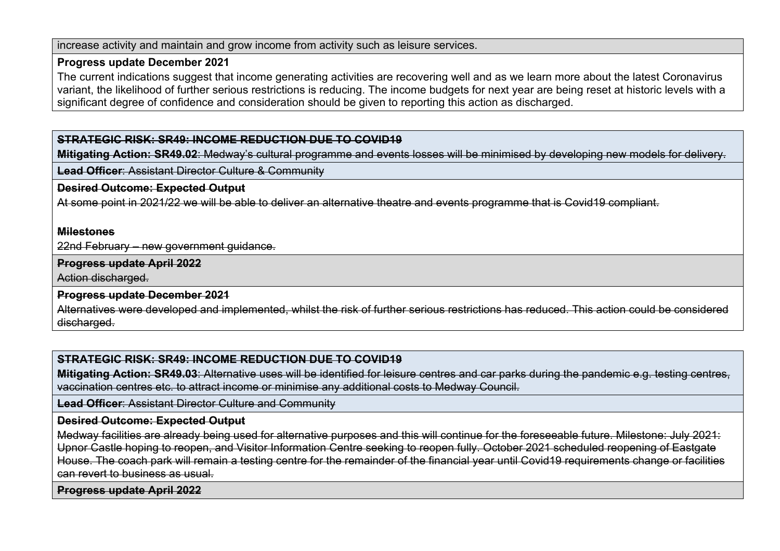increase activity and maintain and grow income from activity such as leisure services.

#### **Progress update December 2021**

The current indications suggest that income generating activities are recovering well and as we learn more about the latest Coronavirus variant, the likelihood of further serious restrictions is reducing. The income budgets for next year are being reset at historic levels with a significant degree of confidence and consideration should be given to reporting this action as discharged.

### **STRATEGIC RISK: SR49: INCOME REDUCTION DUE TO COVID19**

**Mitigating Action: SR49.02**: Medway's cultural programme and events losses will be minimised by developing new models for delivery.

**Lead Officer**: Assistant Director Culture & Community

#### **Desired Outcome: Expected Output**

At some point in 2021/22 we will be able to deliver an alternative theatre and events programme that is Covid19 compliant.

#### **Milestones**

22nd February – new government guidance.

#### **Progress update April 2022**

Action discharged.

**Progress update December 2021**

Alternatives were developed and implemented, whilst the risk of further serious restrictions has reduced. This action could be considered discharged.

## **STRATEGIC RISK: SR49: INCOME REDUCTION DUE TO COVID19**

**Mitigating Action: SR49.03**: Alternative uses will be identified for leisure centres and car parks during the pandemic e.g. testing centres, vaccination centres etc. to attract income or minimise any additional costs to Medway Council.

**Lead Officer**: Assistant Director Culture and Community

#### **Desired Outcome: Expected Output**

Medway facilities are already being used for alternative purposes and this will continue for the foreseeable future. Milestone: July 2021: Upnor Castle hoping to reopen, and Visitor Information Centre seeking to reopen fully. October 2021 scheduled reopening of Eastgate House. The coach park will remain a testing centre for the remainder of the financial year until Covid19 requirements change or facilities can revert to business as usual.

**Progress update April 2022**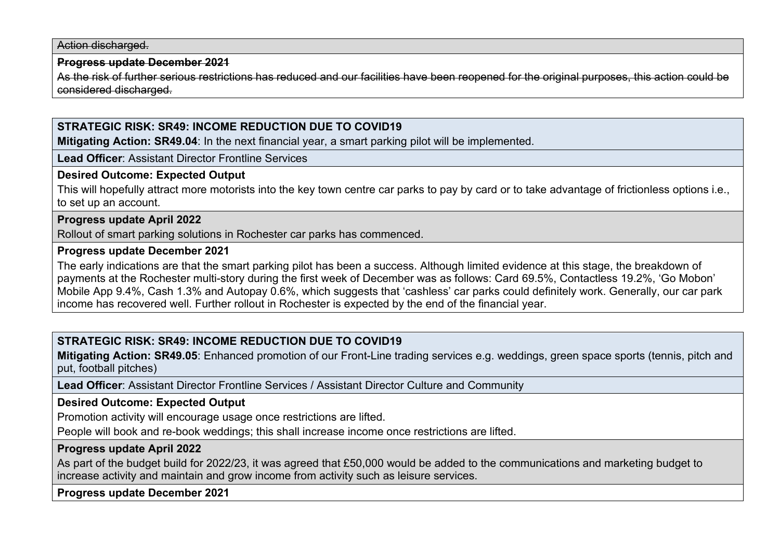Action discharged.

#### **Progress update December 2021**

As the risk of further serious restrictions has reduced and our facilities have been reopened for the original purposes, this action could be considered discharged.

## **STRATEGIC RISK: SR49: INCOME REDUCTION DUE TO COVID19**

**Mitigating Action: SR49.04**: In the next financial year, a smart parking pilot will be implemented.

**Lead Officer**: Assistant Director Frontline Services

#### **Desired Outcome: Expected Output**

This will hopefully attract more motorists into the key town centre car parks to pay by card or to take advantage of frictionless options i.e., to set up an account.

### **Progress update April 2022**

Rollout of smart parking solutions in Rochester car parks has commenced.

#### **Progress update December 2021**

The early indications are that the smart parking pilot has been a success. Although limited evidence at this stage, the breakdown of payments at the Rochester multi-story during the first week of December was as follows: Card 69.5%, Contactless 19.2%, 'Go Mobon' Mobile App 9.4%, Cash 1.3% and Autopay 0.6%, which suggests that 'cashless' car parks could definitely work. Generally, our car park income has recovered well. Further rollout in Rochester is expected by the end of the financial year.

## **STRATEGIC RISK: SR49: INCOME REDUCTION DUE TO COVID19**

**Mitigating Action: SR49.05**: Enhanced promotion of our Front-Line trading services e.g. weddings, green space sports (tennis, pitch and put, football pitches)

**Lead Officer**: Assistant Director Frontline Services / Assistant Director Culture and Community

### **Desired Outcome: Expected Output**

Promotion activity will encourage usage once restrictions are lifted.

People will book and re-book weddings; this shall increase income once restrictions are lifted.

#### **Progress update April 2022**

As part of the budget build for 2022/23, it was agreed that £50,000 would be added to the communications and marketing budget to increase activity and maintain and grow income from activity such as leisure services.

**Progress update December 2021**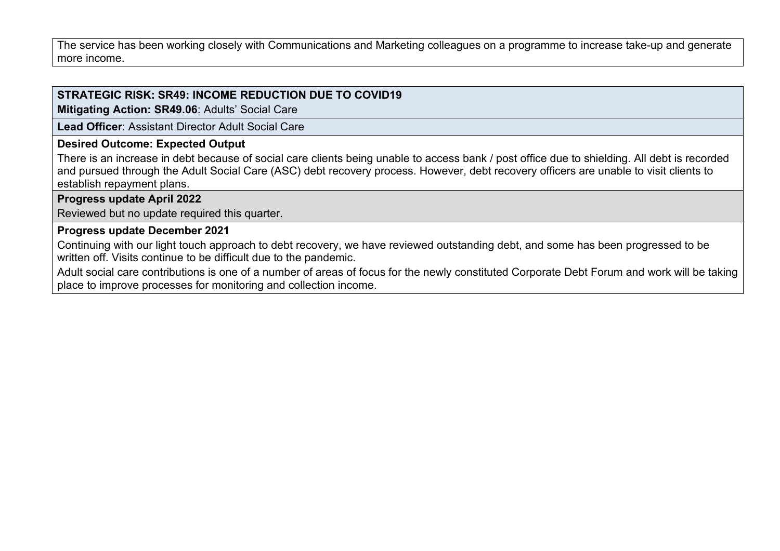The service has been working closely with Communications and Marketing colleagues on a programme to increase take-up and generate more income.

# **STRATEGIC RISK: SR49: INCOME REDUCTION DUE TO COVID19**

**Mitigating Action: SR49.06**: Adults' Social Care

**Lead Officer**: Assistant Director Adult Social Care

### **Desired Outcome: Expected Output**

There is an increase in debt because of social care clients being unable to access bank / post office due to shielding. All debt is recorded and pursued through the Adult Social Care (ASC) debt recovery process. However, debt recovery officers are unable to visit clients to establish repayment plans.

## **Progress update April 2022**

Reviewed but no update required this quarter.

### **Progress update December 2021**

Continuing with our light touch approach to debt recovery, we have reviewed outstanding debt, and some has been progressed to be written off. Visits continue to be difficult due to the pandemic.

Adult social care contributions is one of a number of areas of focus for the newly constituted Corporate Debt Forum and work will be taking place to improve processes for monitoring and collection income.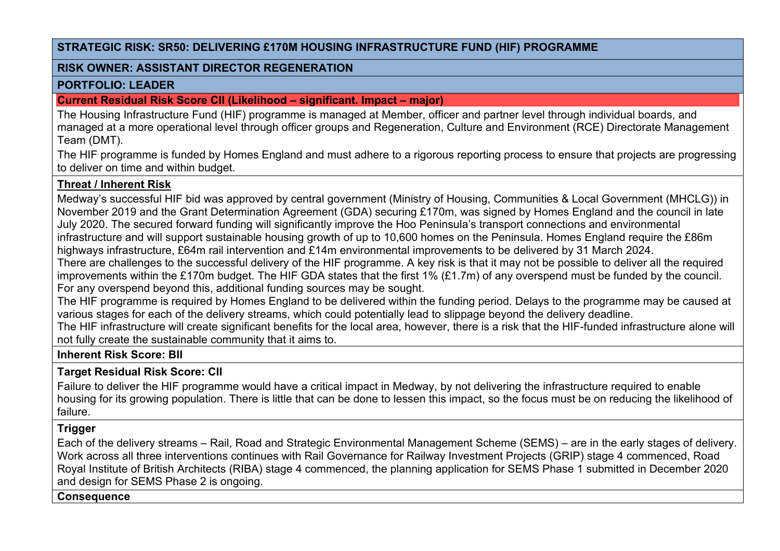## **STRATEGIC RISK: SR50: DELIVERING £170M HOUSING INFRASTRUCTURE FUND (HIF) PROGRAMME**

### **RISK OWNER: ASSISTANT DIRECTOR REGENERATION**

### **PORTFOLIO: LEADER**

## **Current Residual Risk Score CII (Likelihood – significant. Impact – major)**

The Housing Infrastructure Fund (HIF) programme is managed at Member, officer and partner level through individual boards, and managed at a more operational level through officer groups and Regeneration, Culture and Environment (RCE) Directorate Management Team (DMT).

The HIF programme is funded by Homes England and must adhere to a rigorous reporting process to ensure that projects are progressing to deliver on time and within budget.

# **Threat / Inherent Risk**

Medway's successful HIF bid was approved by central government (Ministry of Housing, Communities & Local Government (MHCLG)) in November 2019 and the Grant Determination Agreement (GDA) securing £170m, was signed by Homes England and the council in late July 2020. The secured forward funding will significantly improve the Hoo Peninsula's transport connections and environmental infrastructure and will support sustainable housing growth of up to 10,600 homes on the Peninsula. Homes England require the £86m highways infrastructure, £64m rail intervention and £14m environmental improvements to be delivered by 31 March 2024. There are challenges to the successful delivery of the HIF programme. A key risk is that it may not be possible to deliver all the required

improvements within the £170m budget. The HIF GDA states that the first 1% (£1.7m) of any overspend must be funded by the council. For any overspend beyond this, additional funding sources may be sought.

The HIF programme is required by Homes England to be delivered within the funding period. Delays to the programme may be caused at various stages for each of the delivery streams, which could potentially lead to slippage beyond the delivery deadline.

The HIF infrastructure will create significant benefits for the local area, however, there is a risk that the HIF-funded infrastructure alone will not fully create the sustainable community that it aims to.

## **Inherent Risk Score: BII**

## **Target Residual Risk Score: CII**

Failure to deliver the HIF programme would have a critical impact in Medway, by not delivering the infrastructure required to enable housing for its growing population. There is little that can be done to lessen this impact, so the focus must be on reducing the likelihood of failure.

# **Trigger**

Each of the delivery streams – Rail, Road and Strategic Environmental Management Scheme (SEMS) – are in the early stages of delivery. Work across all three interventions continues with Rail Governance for Railway Investment Projects (GRIP) stage 4 commenced, Road Royal Institute of British Architects (RIBA) stage 4 commenced, the planning application for SEMS Phase 1 submitted in December 2020 and design for SEMS Phase 2 is ongoing.

### **Consequence**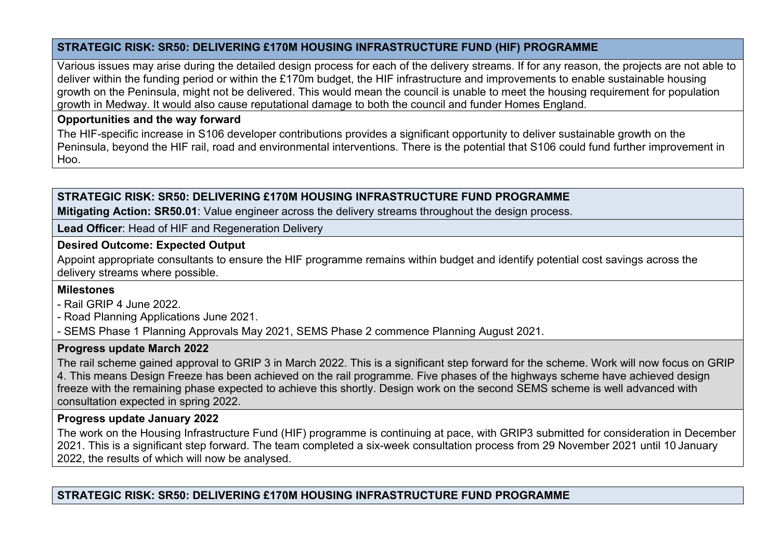## **STRATEGIC RISK: SR50: DELIVERING £170M HOUSING INFRASTRUCTURE FUND (HIF) PROGRAMME**

Various issues may arise during the detailed design process for each of the delivery streams. If for any reason, the projects are not able to deliver within the funding period or within the £170m budget, the HIF infrastructure and improvements to enable sustainable housing growth on the Peninsula, might not be delivered. This would mean the council is unable to meet the housing requirement for population growth in Medway. It would also cause reputational damage to both the council and funder Homes England.

## **Opportunities and the way forward**

The HIF-specific increase in S106 developer contributions provides a significant opportunity to deliver sustainable growth on the Peninsula, beyond the HIF rail, road and environmental interventions. There is the potential that S106 could fund further improvement in Hoo.

# **STRATEGIC RISK: SR50: DELIVERING £170M HOUSING INFRASTRUCTURE FUND PROGRAMME**

**Mitigating Action: SR50.01**: Value engineer across the delivery streams throughout the design process.

**Lead Officer**: Head of HIF and Regeneration Delivery

## **Desired Outcome: Expected Output**

Appoint appropriate consultants to ensure the HIF programme remains within budget and identify potential cost savings across the delivery streams where possible.

# **Milestones**

- Rail GRIP 4 June 2022.

- Road Planning Applications June 2021.

- SEMS Phase 1 Planning Approvals May 2021, SEMS Phase 2 commence Planning August 2021.

## **Progress update March 2022**

The rail scheme gained approval to GRIP 3 in March 2022. This is a significant step forward for the scheme. Work will now focus on GRIP 4. This means Design Freeze has been achieved on the rail programme. Five phases of the highways scheme have achieved design freeze with the remaining phase expected to achieve this shortly. Design work on the second SEMS scheme is well advanced with consultation expected in spring 2022.

## **Progress update January 2022**

The work on the Housing Infrastructure Fund (HIF) programme is continuing at pace, with GRIP3 submitted for consideration in December 2021. This is a significant step forward. The team completed a six-week consultation process from 29 November 2021 until 10 January 2022, the results of which will now be analysed.

**STRATEGIC RISK: SR50: DELIVERING £170M HOUSING INFRASTRUCTURE FUND PROGRAMME**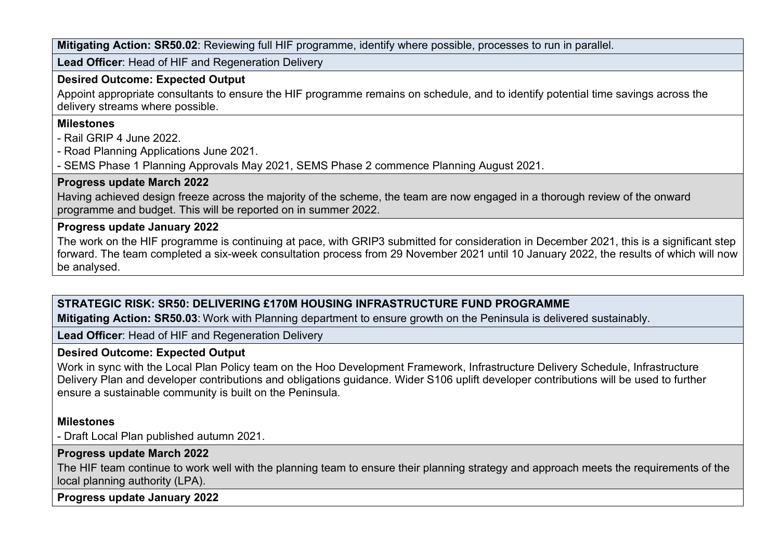**Mitigating Action: SR50.02**: Reviewing full HIF programme, identify where possible, processes to run in parallel.

**Lead Officer**: Head of HIF and Regeneration Delivery

#### **Desired Outcome: Expected Output**

Appoint appropriate consultants to ensure the HIF programme remains on schedule, and to identify potential time savings across the delivery streams where possible.

### **Milestones**

- Rail GRIP 4 June 2022.

- Road Planning Applications June 2021.

- SEMS Phase 1 Planning Approvals May 2021, SEMS Phase 2 commence Planning August 2021.

## **Progress update March 2022**

Having achieved design freeze across the majority of the scheme, the team are now engaged in a thorough review of the onward programme and budget. This will be reported on in summer 2022.

## **Progress update January 2022**

The work on the HIF programme is continuing at pace, with GRIP3 submitted for consideration in December 2021, this is a significant step forward. The team completed a six-week consultation process from 29 November 2021 until 10 January 2022, the results of which will now be analysed.

# **STRATEGIC RISK: SR50: DELIVERING £170M HOUSING INFRASTRUCTURE FUND PROGRAMME**

**Mitigating Action: SR50.03**: Work with Planning department to ensure growth on the Peninsula is delivered sustainably.

**Lead Officer**: Head of HIF and Regeneration Delivery

## **Desired Outcome: Expected Output**

Work in sync with the Local Plan Policy team on the Hoo Development Framework, Infrastructure Delivery Schedule, Infrastructure Delivery Plan and developer contributions and obligations guidance. Wider S106 uplift developer contributions will be used to further ensure a sustainable community is built on the Peninsula.

# **Milestones**

- Draft Local Plan published autumn 2021.

## **Progress update March 2022**

The HIF team continue to work well with the planning team to ensure their planning strategy and approach meets the requirements of the local planning authority (LPA).

**Progress update January 2022**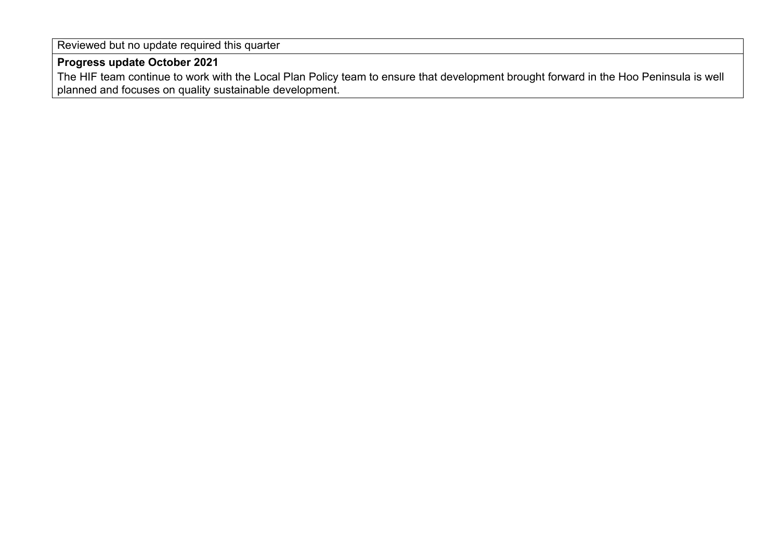Reviewed but no update required this quarter

## **Progress update October 2021**

The HIF team continue to work with the Local Plan Policy team to ensure that development brought forward in the Hoo Peninsula is well planned and focuses on quality sustainable development.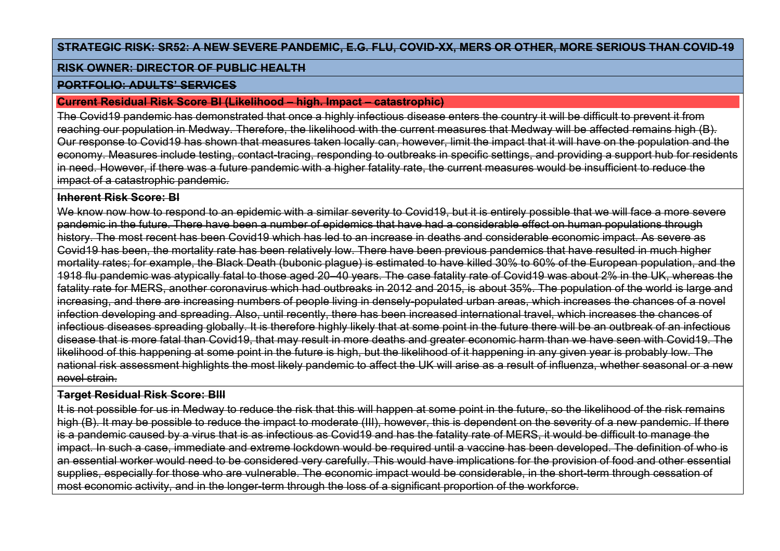### **STRATEGIC RISK: SR52: A NEW SEVERE PANDEMIC, E.G. FLU, COVID-XX, MERS OR OTHER, MORE SERIOUS THAN COVID-19**

#### **RISK OWNER: DIRECTOR OF PUBLIC HEALTH**

#### **PORTFOLIO: ADULTS' SERVICES**

#### **Current Residual Risk Score BI (Likelihood – high. Impact – catastrophic)**

The Covid19 pandemic has demonstrated that once a highly infectious disease enters the country it will be difficult to prevent it from reaching our population in Medway. Therefore, the likelihood with the current measures that Medway will be affected remains high (B). Our response to Covid19 has shown that measures taken locally can, however, limit the impact that it will have on the population and the economy. Measures include testing, contact-tracing, responding to outbreaks in specific settings, and providing a support hub for residents in need. However, if there was a future pandemic with a higher fatality rate, the current measures would be insufficient to reduce the impact of a catastrophic pandemic.

### **Inherent Risk Score: BI**

We know now how to respond to an epidemic with a similar severity to Covid19, but it is entirely possible that we will face a more severe pandemic in the future. There have been a number of epidemics that have had a considerable effect on human populations through history. The most recent has been Covid19 which has led to an increase in deaths and considerable economic impact. As severe as Covid19 has been, the mortality rate has been relatively low. There have been previous pandemics that have resulted in much higher mortality rates; for example, the Black Death (bubonic plague) is estimated to have killed 30% to 60% of the European population, and the 1918 flu pandemic was atypically fatal to those aged 20–40 years. The case fatality rate of Covid19 was about 2% in the UK, whereas the fatality rate for MERS, another coronavirus which had outbreaks in 2012 and 2015, is about 35%. The population of the world is large and increasing, and there are increasing numbers of people living in densely-populated urban areas, which increases the chances of a novel infection developing and spreading. Also, until recently, there has been increased international travel, which increases the chances of infectious diseases spreading globally. It is therefore highly likely that at some point in the future there will be an outbreak of an infectious disease that is more fatal than Covid19, that may result in more deaths and greater economic harm than we have seen with Covid19. The likelihood of this happening at some point in the future is high, but the likelihood of it happening in any given year is probably low. The national risk assessment highlights the most likely pandemic to affect the UK will arise as a result of influenza, whether seasonal or a new novel strain.

## **Target Residual Risk Score: BIII**

It is not possible for us in Medway to reduce the risk that this will happen at some point in the future, so the likelihood of the risk remains high (B). It may be possible to reduce the impact to moderate (III), however, this is dependent on the severity of a new pandemic. If there is a pandemic caused by a virus that is as infectious as Covid19 and has the fatality rate of MERS, it would be difficult to manage the impact. In such a case, immediate and extreme lockdown would be required until a vaccine has been developed. The definition of who is an essential worker would need to be considered very carefully. This would have implications for the provision of food and other essential supplies, especially for those who are vulnerable. The economic impact would be considerable, in the short-term through cessation of most economic activity, and in the longer-term through the loss of a significant proportion of the workforce.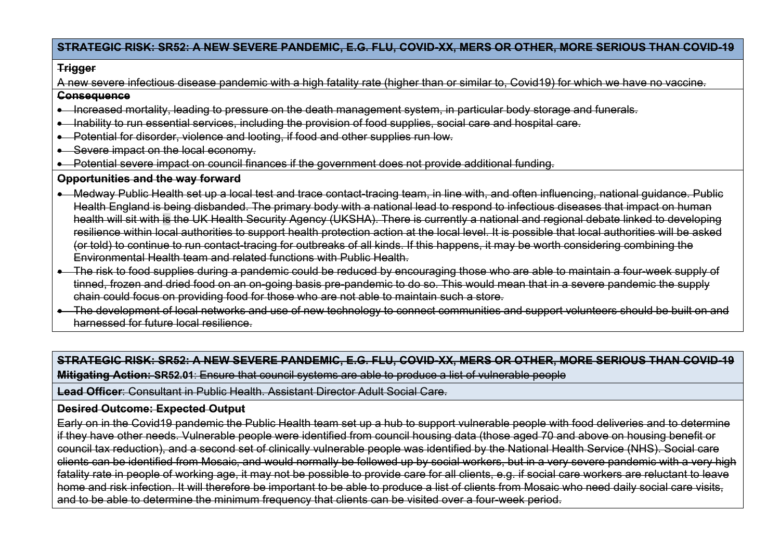## **STRATEGIC RISK: SR52: A NEW SEVERE PANDEMIC, E.G. FLU, COVID-XX, MERS OR OTHER, MORE SERIOUS THAN COVID-19**

#### **Trigger**

A new severe infectious disease pandemic with a high fatality rate (higher than or similar to, Covid19) for which we have no vaccine.

### **Consequence**

- Increased mortality, leading to pressure on the death management system, in particular body storage and funerals.
- Inability to run essential services, including the provision of food supplies, social care and hospital care.
- Potential for disorder, violence and looting, if food and other supplies run low.
- Severe impact on the local economy.
- Potential severe impact on council finances if the government does not provide additional funding.

### **Opportunities and the way forward**

- Medway Public Health set up a local test and trace contact-tracing team, in line with, and often influencing, national guidance. Public Health England is being disbanded. The primary body with a national lead to respond to infectious diseases that impact on human health will sit with is the UK Health Security Agency (UKSHA). There is currently a national and regional debate linked to developing resilience within local authorities to support health protection action at the local level. It is possible that local authorities will be asked (or told) to continue to run contact-tracing for outbreaks of all kinds. If this happens, it may be worth considering combining the Environmental Health team and related functions with Public Health.
- The risk to food supplies during a pandemic could be reduced by encouraging those who are able to maintain a four-week supply of tinned, frozen and dried food on an on-going basis pre-pandemic to do so. This would mean that in a severe pandemic the supply chain could focus on providing food for those who are not able to maintain such a store.
- The development of local networks and use of new technology to connect communities and support volunteers should be built on and harnessed for future local resilience.

## **STRATEGIC RISK: SR52: A NEW SEVERE PANDEMIC, E.G. FLU, COVID-XX, MERS OR OTHER, MORE SERIOUS THAN COVID-19 Mitigating Action: SR52.01**: Ensure that council systems are able to produce a list of vulnerable people

**Lead Officer**: Consultant in Public Health. Assistant Director Adult Social Care.

## **Desired Outcome: Expected Output**

Early on in the Covid19 pandemic the Public Health team set up a hub to support vulnerable people with food deliveries and to determine if they have other needs. Vulnerable people were identified from council housing data (those aged 70 and above on housing benefit or council tax reduction), and a second set of clinically vulnerable people was identified by the National Health Service (NHS). Social care clients can be identified from Mosaic, and would normally be followed up by social workers, but in a very severe pandemic with a very high fatality rate in people of working age, it may not be possible to provide care for all clients, e.g. if social care workers are reluctant to leave home and risk infection. It will therefore be important to be able to produce a list of clients from Mosaic who need daily social care visits, and to be able to determine the minimum frequency that clients can be visited over a four-week period.